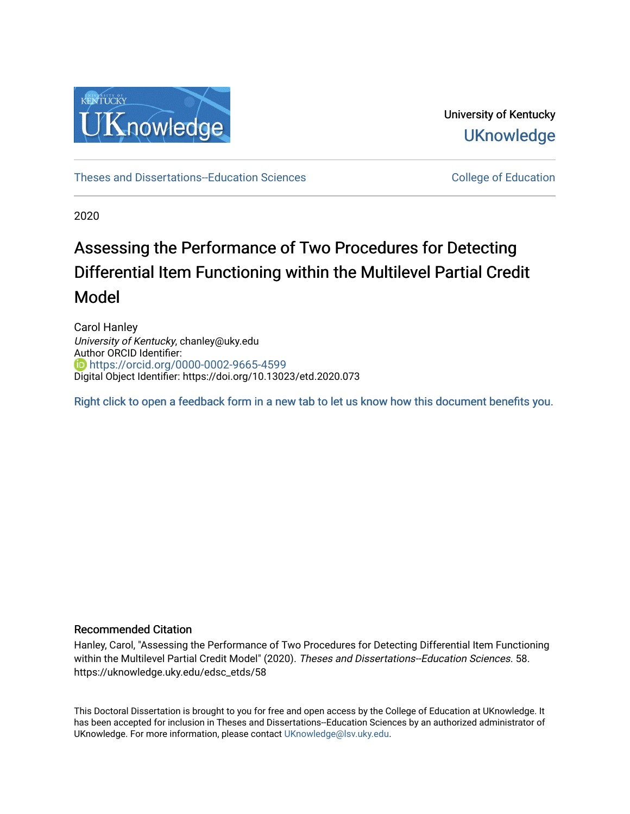

University of Kentucky **UKnowledge** 

[Theses and Dissertations--Education Sciences](https://uknowledge.uky.edu/edsc_etds) [College of Education](https://uknowledge.uky.edu/education) 

2020

# Assessing the Performance of Two Procedures for Detecting Differential Item Functioning within the Multilevel Partial Credit Model

Carol Hanley University of Kentucky, chanley@uky.edu Author ORCID Identifier: <https://orcid.org/0000-0002-9665-4599> Digital Object Identifier: https://doi.org/10.13023/etd.2020.073

[Right click to open a feedback form in a new tab to let us know how this document benefits you.](https://uky.az1.qualtrics.com/jfe/form/SV_9mq8fx2GnONRfz7)

#### Recommended Citation

Hanley, Carol, "Assessing the Performance of Two Procedures for Detecting Differential Item Functioning within the Multilevel Partial Credit Model" (2020). Theses and Dissertations--Education Sciences. 58. https://uknowledge.uky.edu/edsc\_etds/58

This Doctoral Dissertation is brought to you for free and open access by the College of Education at UKnowledge. It has been accepted for inclusion in Theses and Dissertations--Education Sciences by an authorized administrator of UKnowledge. For more information, please contact [UKnowledge@lsv.uky.edu](mailto:UKnowledge@lsv.uky.edu).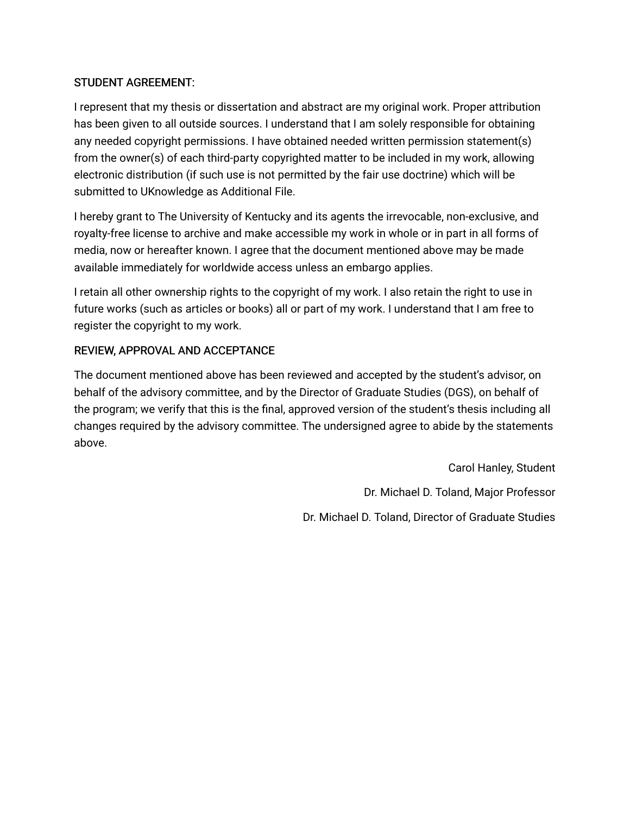## STUDENT AGREEMENT:

I represent that my thesis or dissertation and abstract are my original work. Proper attribution has been given to all outside sources. I understand that I am solely responsible for obtaining any needed copyright permissions. I have obtained needed written permission statement(s) from the owner(s) of each third-party copyrighted matter to be included in my work, allowing electronic distribution (if such use is not permitted by the fair use doctrine) which will be submitted to UKnowledge as Additional File.

I hereby grant to The University of Kentucky and its agents the irrevocable, non-exclusive, and royalty-free license to archive and make accessible my work in whole or in part in all forms of media, now or hereafter known. I agree that the document mentioned above may be made available immediately for worldwide access unless an embargo applies.

I retain all other ownership rights to the copyright of my work. I also retain the right to use in future works (such as articles or books) all or part of my work. I understand that I am free to register the copyright to my work.

## REVIEW, APPROVAL AND ACCEPTANCE

The document mentioned above has been reviewed and accepted by the student's advisor, on behalf of the advisory committee, and by the Director of Graduate Studies (DGS), on behalf of the program; we verify that this is the final, approved version of the student's thesis including all changes required by the advisory committee. The undersigned agree to abide by the statements above.

> Carol Hanley, Student Dr. Michael D. Toland, Major Professor Dr. Michael D. Toland, Director of Graduate Studies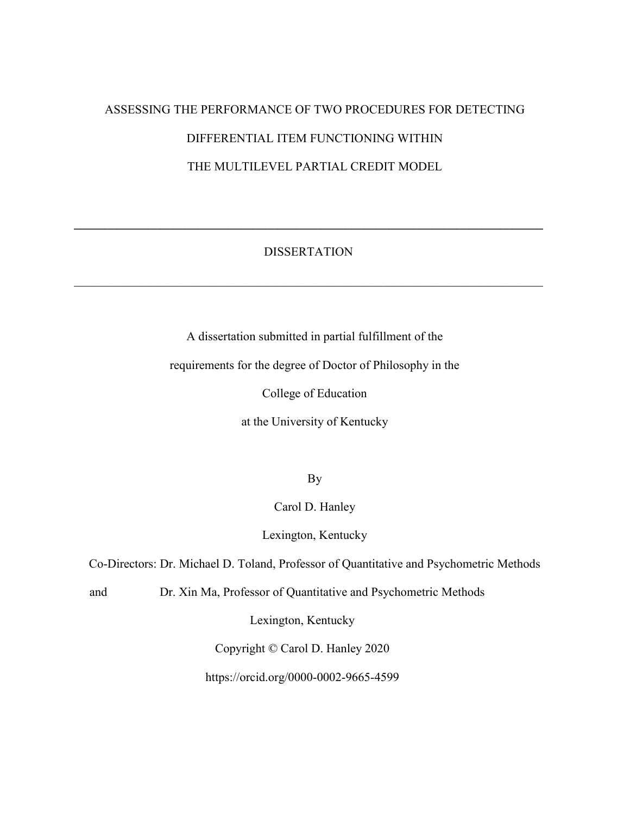# ASSESSING THE PERFORMANCE OF TWO PROCEDURES FOR DETECTING DIFFERENTIAL ITEM FUNCTIONING WITHIN THE MULTILEVEL PARTIAL CREDIT MODEL

### DISSERTATION

\_\_\_\_\_\_\_\_\_\_\_\_\_\_\_\_\_\_\_\_\_\_\_\_\_\_\_\_\_\_\_\_\_\_\_\_\_\_\_\_\_\_\_\_\_\_\_\_\_\_\_\_\_\_\_\_\_\_\_\_\_\_\_\_\_\_\_\_\_\_\_\_\_\_\_\_

**\_\_\_\_\_\_\_\_\_\_\_\_\_\_\_\_\_\_\_\_\_\_\_\_\_\_\_\_\_\_\_\_\_\_\_\_\_\_\_\_\_\_\_\_\_\_\_\_\_\_\_\_\_\_\_\_\_\_\_\_\_\_\_\_\_\_\_\_\_\_\_\_\_\_\_\_** 

A dissertation submitted in partial fulfillment of the

requirements for the degree of Doctor of Philosophy in the

College of Education

at the University of Kentucky

By

Carol D. Hanley

Lexington, Kentucky

Co-Directors: Dr. Michael D. Toland, Professor of Quantitative and Psychometric Methods

and Dr. Xin Ma, Professor of Quantitative and Psychometric Methods

Lexington, Kentucky

Copyright © Carol D. Hanley 2020

https://orcid.org/0000-0002-9665-4599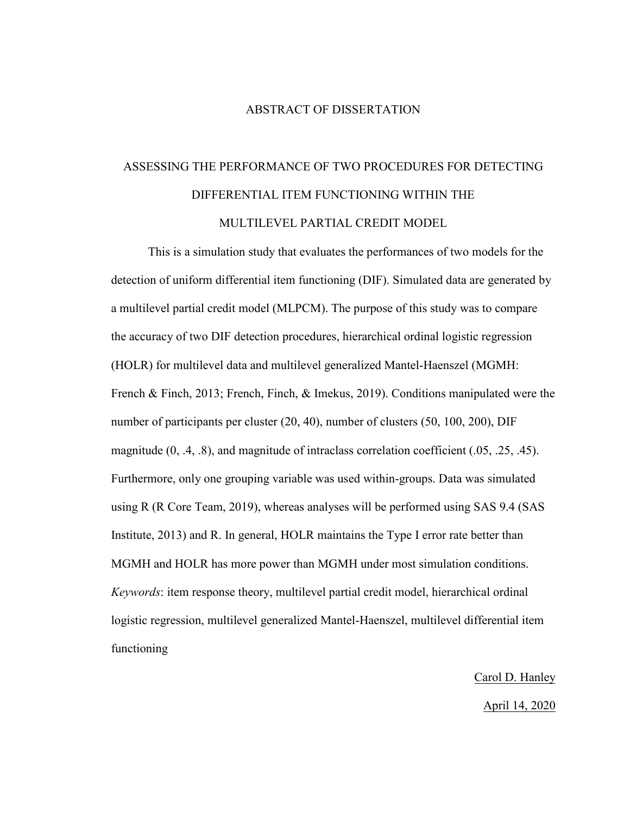#### ABSTRACT OF DISSERTATION

# ASSESSING THE PERFORMANCE OF TWO PROCEDURES FOR DETECTING DIFFERENTIAL ITEM FUNCTIONING WITHIN THE MULTILEVEL PARTIAL CREDIT MODEL

This is a simulation study that evaluates the performances of two models for the detection of uniform differential item functioning (DIF). Simulated data are generated by a multilevel partial credit model (MLPCM). The purpose of this study was to compare the accuracy of two DIF detection procedures, hierarchical ordinal logistic regression (HOLR) for multilevel data and multilevel generalized Mantel-Haenszel (MGMH: French & Finch, 2013; French, Finch, & Imekus, 2019). Conditions manipulated were the number of participants per cluster (20, 40), number of clusters (50, 100, 200), DIF magnitude (0, .4, .8), and magnitude of intraclass correlation coefficient (.05, .25, .45). Furthermore, only one grouping variable was used within-groups. Data was simulated using R (R Core Team, 2019), whereas analyses will be performed using SAS 9.4 (SAS Institute, 2013) and R. In general, HOLR maintains the Type I error rate better than MGMH and HOLR has more power than MGMH under most simulation conditions. *Keywords*: item response theory, multilevel partial credit model, hierarchical ordinal logistic regression, multilevel generalized Mantel-Haenszel, multilevel differential item functioning

> Carol D. Hanley April 14, 2020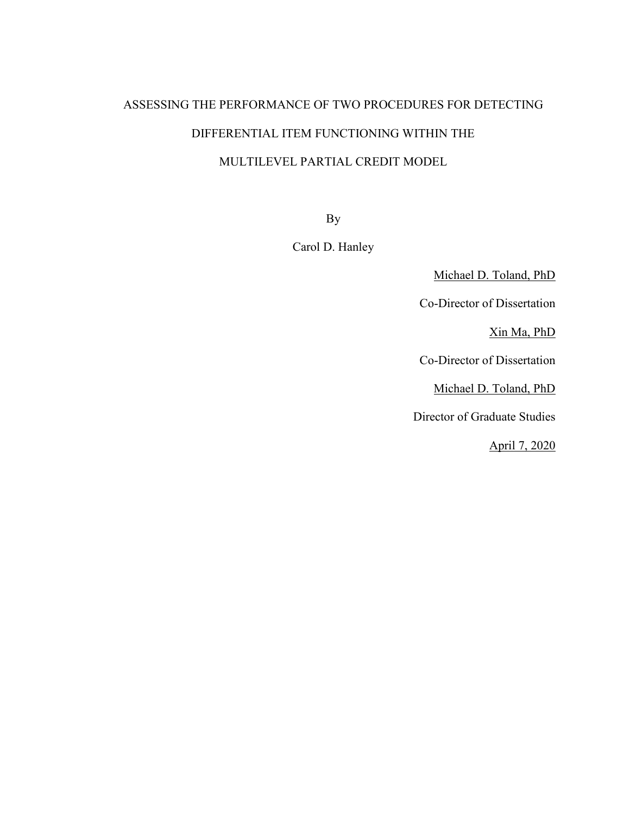# ASSESSING THE PERFORMANCE OF TWO PROCEDURES FOR DETECTING DIFFERENTIAL ITEM FUNCTIONING WITHIN THE MULTILEVEL PARTIAL CREDIT MODEL

By

Carol D. Hanley

Michael D. Toland, PhD

Co-Director of Dissertation

Xin Ma, PhD

Co-Director of Dissertation

Michael D. Toland, PhD

Director of Graduate Studies

April 7, 2020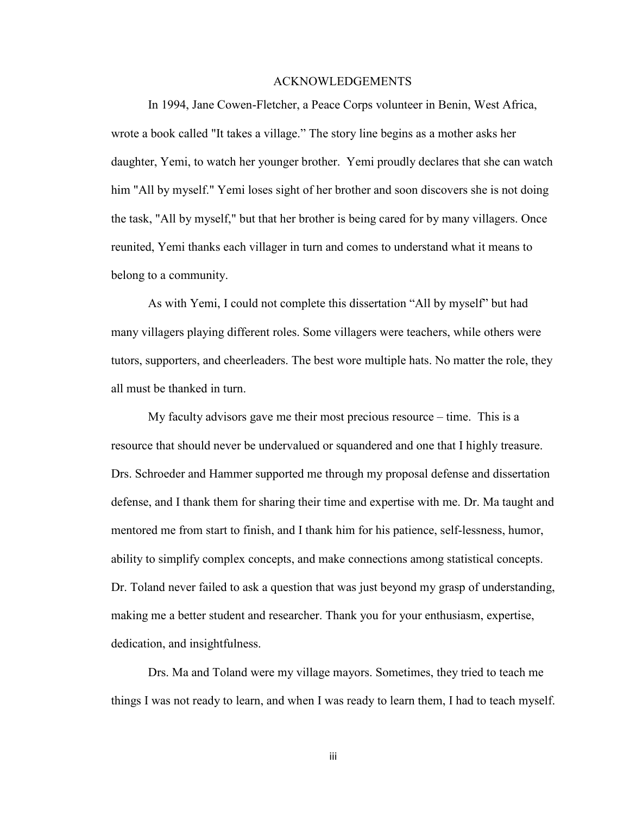#### ACKNOWLEDGEMENTS

In 1994, Jane Cowen-Fletcher, a Peace Corps volunteer in Benin, West Africa, wrote a book called "It takes a village." The story line begins as a mother asks her daughter, Yemi, to watch her younger brother. Yemi proudly declares that she can watch him "All by myself." Yemi loses sight of her brother and soon discovers she is not doing the task, "All by myself," but that her brother is being cared for by many villagers. Once reunited, Yemi thanks each villager in turn and comes to understand what it means to belong to a community.

As with Yemi, I could not complete this dissertation "All by myself" but had many villagers playing different roles. Some villagers were teachers, while others were tutors, supporters, and cheerleaders. The best wore multiple hats. No matter the role, they all must be thanked in turn.

My faculty advisors gave me their most precious resource – time. This is a resource that should never be undervalued or squandered and one that I highly treasure. Drs. Schroeder and Hammer supported me through my proposal defense and dissertation defense, and I thank them for sharing their time and expertise with me. Dr. Ma taught and mentored me from start to finish, and I thank him for his patience, self-lessness, humor, ability to simplify complex concepts, and make connections among statistical concepts. Dr. Toland never failed to ask a question that was just beyond my grasp of understanding, making me a better student and researcher. Thank you for your enthusiasm, expertise, dedication, and insightfulness.

Drs. Ma and Toland were my village mayors. Sometimes, they tried to teach me things I was not ready to learn, and when I was ready to learn them, I had to teach myself.

iii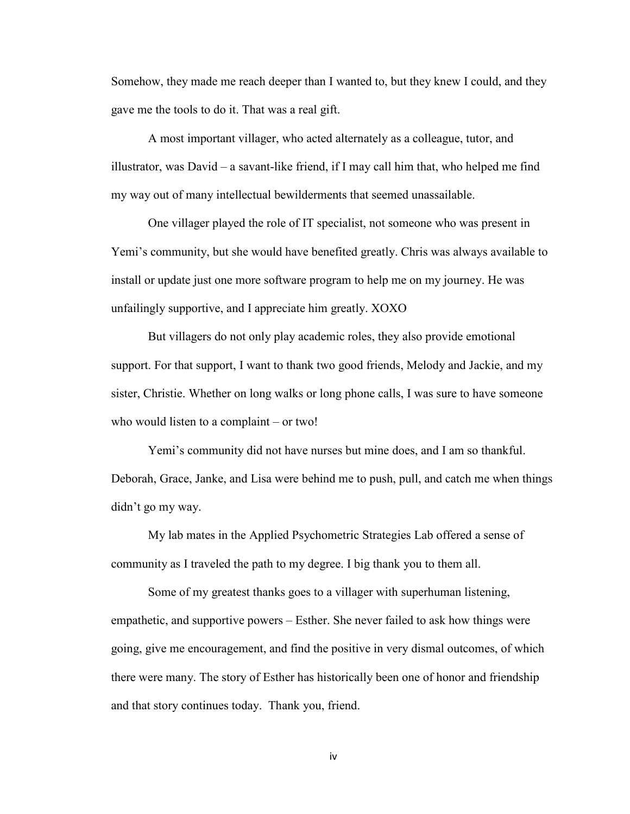Somehow, they made me reach deeper than I wanted to, but they knew I could, and they gave me the tools to do it. That was a real gift.

A most important villager, who acted alternately as a colleague, tutor, and illustrator, was David – a savant-like friend, if I may call him that, who helped me find my way out of many intellectual bewilderments that seemed unassailable.

One villager played the role of IT specialist, not someone who was present in Yemi's community, but she would have benefited greatly. Chris was always available to install or update just one more software program to help me on my journey. He was unfailingly supportive, and I appreciate him greatly. XOXO

But villagers do not only play academic roles, they also provide emotional support. For that support, I want to thank two good friends, Melody and Jackie, and my sister, Christie. Whether on long walks or long phone calls, I was sure to have someone who would listen to a complaint – or two!

Yemi's community did not have nurses but mine does, and I am so thankful. Deborah, Grace, Janke, and Lisa were behind me to push, pull, and catch me when things didn't go my way.

My lab mates in the Applied Psychometric Strategies Lab offered a sense of community as I traveled the path to my degree. I big thank you to them all.

Some of my greatest thanks goes to a villager with superhuman listening, empathetic, and supportive powers – Esther. She never failed to ask how things were going, give me encouragement, and find the positive in very dismal outcomes, of which there were many. The story of Esther has historically been one of honor and friendship and that story continues today. Thank you, friend.

iv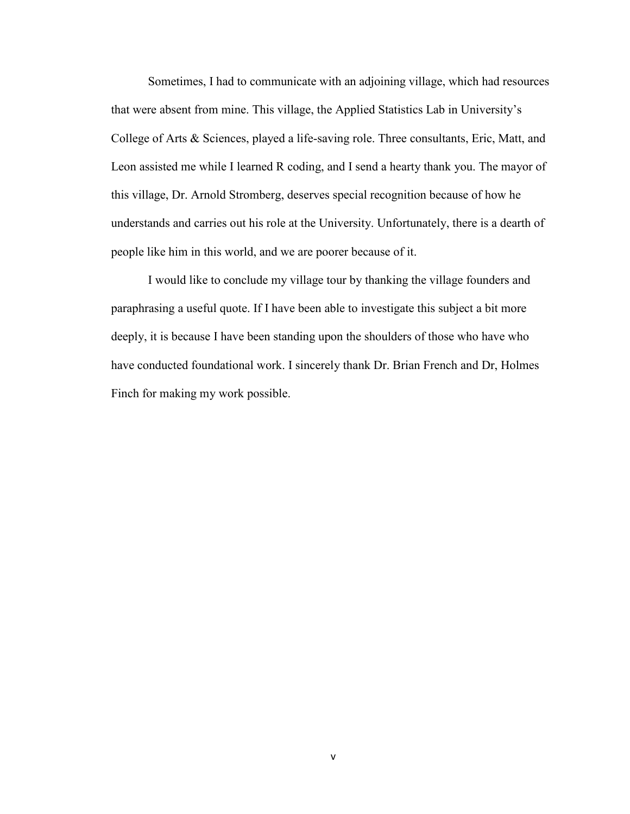Sometimes, I had to communicate with an adjoining village, which had resources that were absent from mine. This village, the Applied Statistics Lab in University's College of Arts & Sciences, played a life-saving role. Three consultants, Eric, Matt, and Leon assisted me while I learned R coding, and I send a hearty thank you. The mayor of this village, Dr. Arnold Stromberg, deserves special recognition because of how he understands and carries out his role at the University. Unfortunately, there is a dearth of people like him in this world, and we are poorer because of it.

I would like to conclude my village tour by thanking the village founders and paraphrasing a useful quote. If I have been able to investigate this subject a bit more deeply, it is because I have been standing upon the shoulders of those who have who have conducted foundational work. I sincerely thank Dr. Brian French and Dr, Holmes Finch for making my work possible.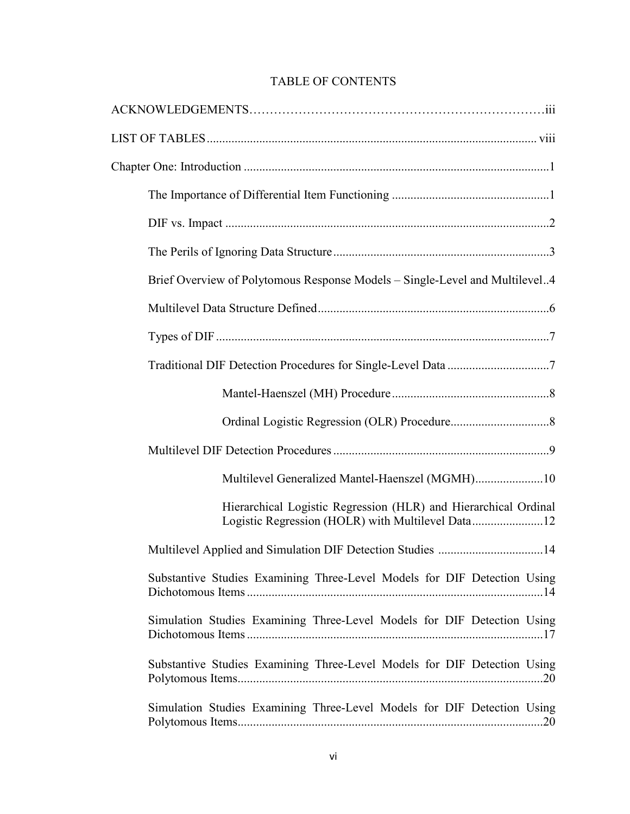## TABLE OF CONTENTS

| Brief Overview of Polytomous Response Models – Single-Level and Multilevel4 |
|-----------------------------------------------------------------------------|
|                                                                             |
|                                                                             |
|                                                                             |
|                                                                             |
|                                                                             |
|                                                                             |
| Multilevel Generalized Mantel-Haenszel (MGMH)10                             |
| Hierarchical Logistic Regression (HLR) and Hierarchical Ordinal             |
| Multilevel Applied and Simulation DIF Detection Studies 14                  |
| Substantive Studies Examining Three-Level Models for DIF Detection Using    |
| Simulation Studies Examining Three-Level Models for DIF Detection Using     |
| Substantive Studies Examining Three-Level Models for DIF Detection Using    |
| Simulation Studies Examining Three-Level Models for DIF Detection Using     |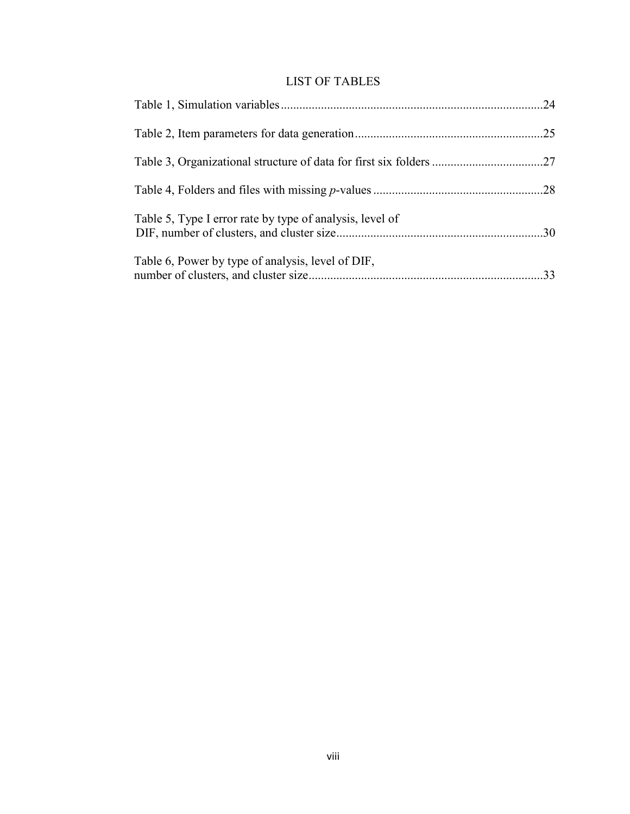## LIST OF TABLES

|                                                          | .24 |
|----------------------------------------------------------|-----|
|                                                          |     |
|                                                          |     |
|                                                          |     |
| Table 5, Type I error rate by type of analysis, level of |     |
| Table 6, Power by type of analysis, level of DIF,        |     |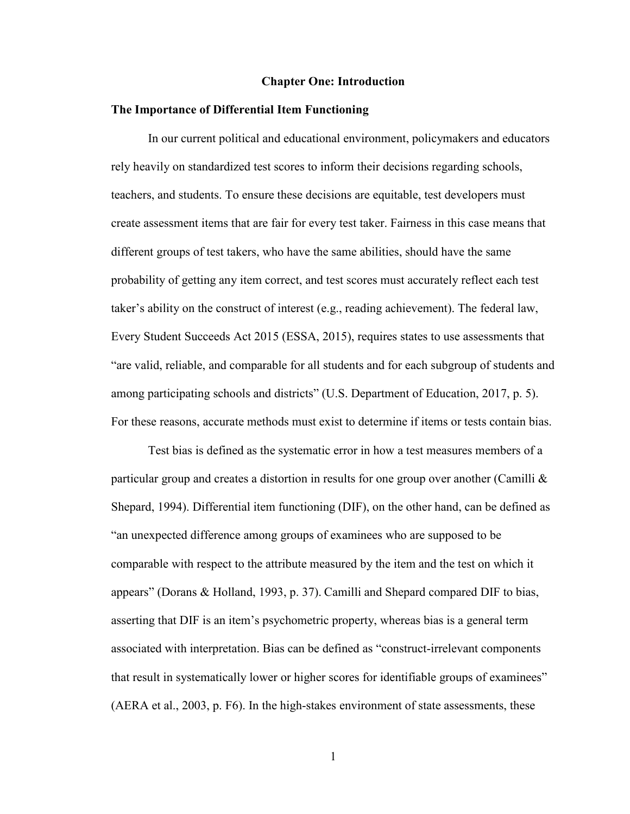#### **Chapter One: Introduction**

#### **The Importance of Differential Item Functioning**

In our current political and educational environment, policymakers and educators rely heavily on standardized test scores to inform their decisions regarding schools, teachers, and students. To ensure these decisions are equitable, test developers must create assessment items that are fair for every test taker. Fairness in this case means that different groups of test takers, who have the same abilities, should have the same probability of getting any item correct, and test scores must accurately reflect each test taker's ability on the construct of interest (e.g., reading achievement). The federal law, Every Student Succeeds Act 2015 (ESSA, 2015), requires states to use assessments that "are valid, reliable, and comparable for all students and for each subgroup of students and among participating schools and districts" (U.S. Department of Education, 2017, p. 5). For these reasons, accurate methods must exist to determine if items or tests contain bias.

Test bias is defined as the systematic error in how a test measures members of a particular group and creates a distortion in results for one group over another (Camilli  $\&$ Shepard, 1994). Differential item functioning (DIF), on the other hand, can be defined as "an unexpected difference among groups of examinees who are supposed to be comparable with respect to the attribute measured by the item and the test on which it appears" (Dorans & Holland, 1993, p. 37). Camilli and Shepard compared DIF to bias, asserting that DIF is an item's psychometric property, whereas bias is a general term associated with interpretation. Bias can be defined as "construct-irrelevant components that result in systematically lower or higher scores for identifiable groups of examinees" (AERA et al., 2003, p. F6). In the high-stakes environment of state assessments, these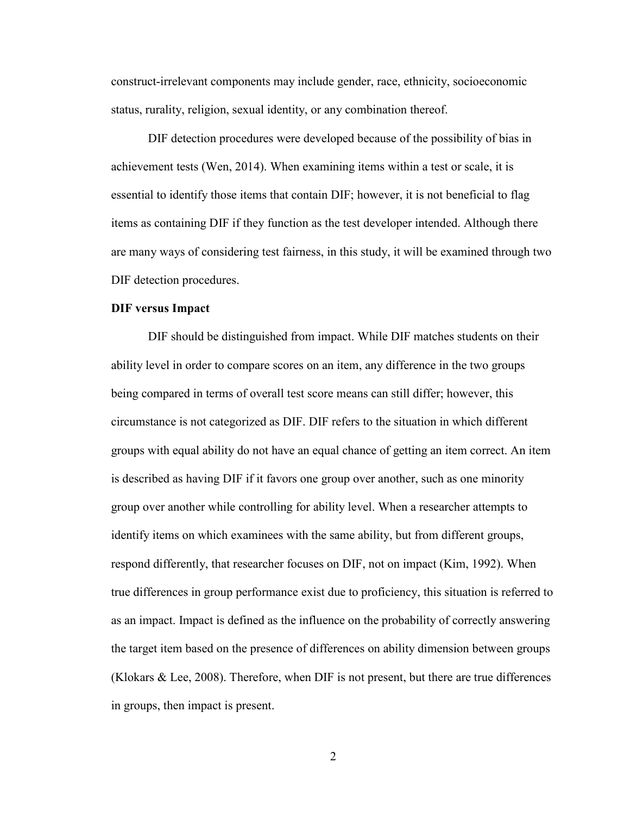construct-irrelevant components may include gender, race, ethnicity, socioeconomic status, rurality, religion, sexual identity, or any combination thereof.

DIF detection procedures were developed because of the possibility of bias in achievement tests (Wen, 2014). When examining items within a test or scale, it is essential to identify those items that contain DIF; however, it is not beneficial to flag items as containing DIF if they function as the test developer intended. Although there are many ways of considering test fairness, in this study, it will be examined through two DIF detection procedures.

#### **DIF versus Impact**

DIF should be distinguished from impact. While DIF matches students on their ability level in order to compare scores on an item, any difference in the two groups being compared in terms of overall test score means can still differ; however, this circumstance is not categorized as DIF. DIF refers to the situation in which different groups with equal ability do not have an equal chance of getting an item correct. An item is described as having DIF if it favors one group over another, such as one minority group over another while controlling for ability level. When a researcher attempts to identify items on which examinees with the same ability, but from different groups, respond differently, that researcher focuses on DIF, not on impact (Kim, 1992). When true differences in group performance exist due to proficiency, this situation is referred to as an impact. Impact is defined as the influence on the probability of correctly answering the target item based on the presence of differences on ability dimension between groups (Klokars & Lee, 2008). Therefore, when DIF is not present, but there are true differences in groups, then impact is present.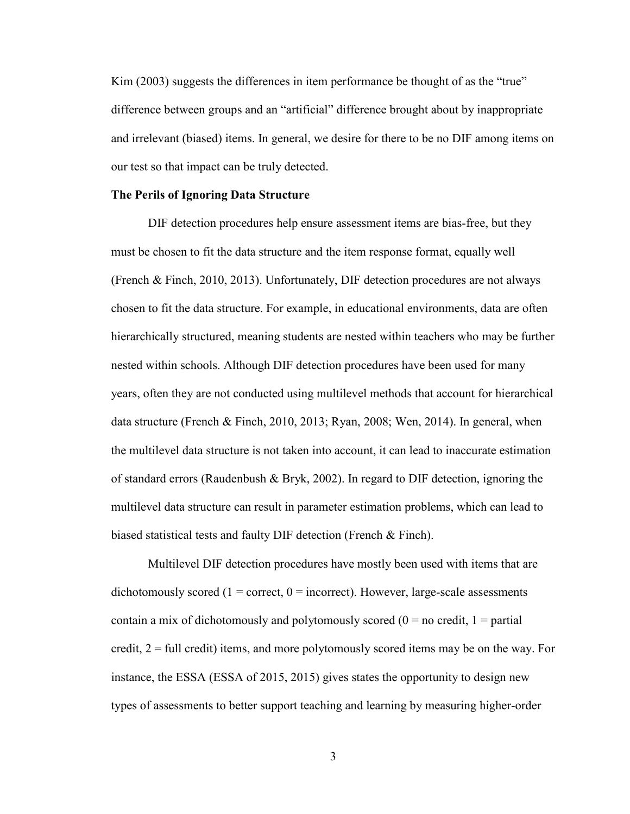Kim (2003) suggests the differences in item performance be thought of as the "true" difference between groups and an "artificial" difference brought about by inappropriate and irrelevant (biased) items. In general, we desire for there to be no DIF among items on our test so that impact can be truly detected.

#### **The Perils of Ignoring Data Structure**

DIF detection procedures help ensure assessment items are bias-free, but they must be chosen to fit the data structure and the item response format, equally well (French & Finch, 2010, 2013). Unfortunately, DIF detection procedures are not always chosen to fit the data structure. For example, in educational environments, data are often hierarchically structured, meaning students are nested within teachers who may be further nested within schools. Although DIF detection procedures have been used for many years, often they are not conducted using multilevel methods that account for hierarchical data structure (French & Finch, 2010, 2013; Ryan, 2008; Wen, 2014). In general, when the multilevel data structure is not taken into account, it can lead to inaccurate estimation of standard errors (Raudenbush & Bryk, 2002). In regard to DIF detection, ignoring the multilevel data structure can result in parameter estimation problems, which can lead to biased statistical tests and faulty DIF detection (French & Finch).

Multilevel DIF detection procedures have mostly been used with items that are dichotomously scored ( $1 =$  correct,  $0 =$  incorrect). However, large-scale assessments contain a mix of dichotomously and polytomously scored  $(0 = no \text{ credit}, 1 = partial)$ credit,  $2 = \text{full credit}$  items, and more polytomously scored items may be on the way. For instance, the ESSA (ESSA of 2015, 2015) gives states the opportunity to design new types of assessments to better support teaching and learning by measuring higher-order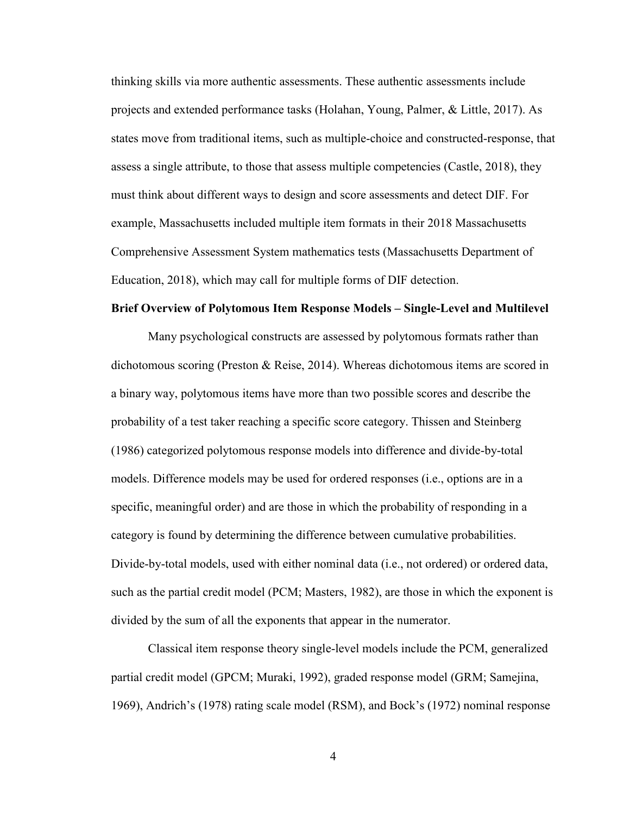thinking skills via more authentic assessments. These authentic assessments include projects and extended performance tasks (Holahan, Young, Palmer, & Little, 2017). As states move from traditional items, such as multiple-choice and constructed-response, that assess a single attribute, to those that assess multiple competencies (Castle, 2018), they must think about different ways to design and score assessments and detect DIF. For example, Massachusetts included multiple item formats in their 2018 Massachusetts Comprehensive Assessment System mathematics tests (Massachusetts Department of Education, 2018), which may call for multiple forms of DIF detection.

#### **Brief Overview of Polytomous Item Response Models – Single-Level and Multilevel**

Many psychological constructs are assessed by polytomous formats rather than dichotomous scoring (Preston & Reise, 2014). Whereas dichotomous items are scored in a binary way, polytomous items have more than two possible scores and describe the probability of a test taker reaching a specific score category. Thissen and Steinberg (1986) categorized polytomous response models into difference and divide-by-total models. Difference models may be used for ordered responses (i.e., options are in a specific, meaningful order) and are those in which the probability of responding in a category is found by determining the difference between cumulative probabilities. Divide-by-total models, used with either nominal data (i.e., not ordered) or ordered data, such as the partial credit model (PCM; Masters, 1982), are those in which the exponent is divided by the sum of all the exponents that appear in the numerator.

Classical item response theory single-level models include the PCM, generalized partial credit model (GPCM; Muraki, 1992), graded response model (GRM; Samejina, 1969), Andrich's (1978) rating scale model (RSM), and Bock's (1972) nominal response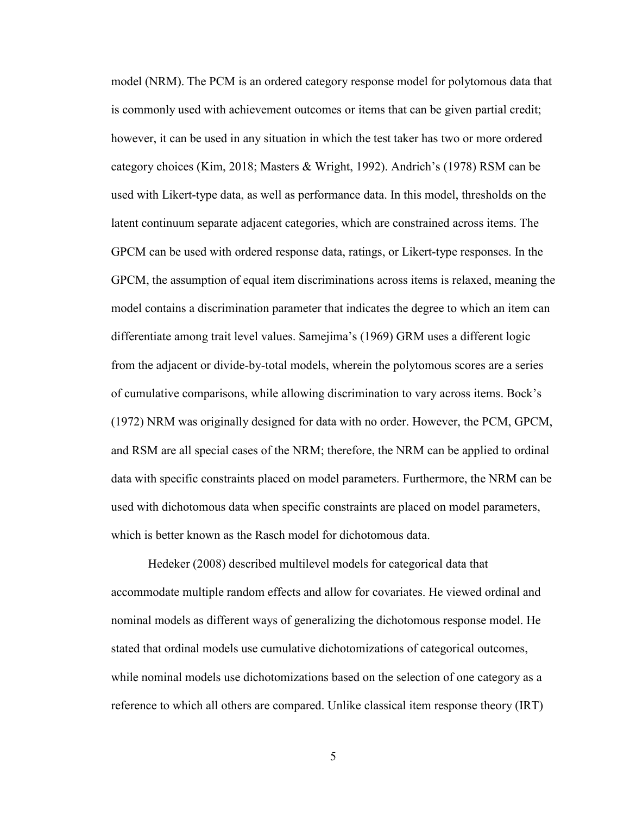model (NRM). The PCM is an ordered category response model for polytomous data that is commonly used with achievement outcomes or items that can be given partial credit; however, it can be used in any situation in which the test taker has two or more ordered category choices (Kim, 2018; Masters & Wright, 1992). Andrich's (1978) RSM can be used with Likert-type data, as well as performance data. In this model, thresholds on the latent continuum separate adjacent categories, which are constrained across items. The GPCM can be used with ordered response data, ratings, or Likert-type responses. In the GPCM, the assumption of equal item discriminations across items is relaxed, meaning the model contains a discrimination parameter that indicates the degree to which an item can differentiate among trait level values. Samejima's (1969) GRM uses a different logic from the adjacent or divide-by-total models, wherein the polytomous scores are a series of cumulative comparisons, while allowing discrimination to vary across items. Bock's (1972) NRM was originally designed for data with no order. However, the PCM, GPCM, and RSM are all special cases of the NRM; therefore, the NRM can be applied to ordinal data with specific constraints placed on model parameters. Furthermore, the NRM can be used with dichotomous data when specific constraints are placed on model parameters, which is better known as the Rasch model for dichotomous data.

Hedeker (2008) described multilevel models for categorical data that accommodate multiple random effects and allow for covariates. He viewed ordinal and nominal models as different ways of generalizing the dichotomous response model. He stated that ordinal models use cumulative dichotomizations of categorical outcomes, while nominal models use dichotomizations based on the selection of one category as a reference to which all others are compared. Unlike classical item response theory (IRT)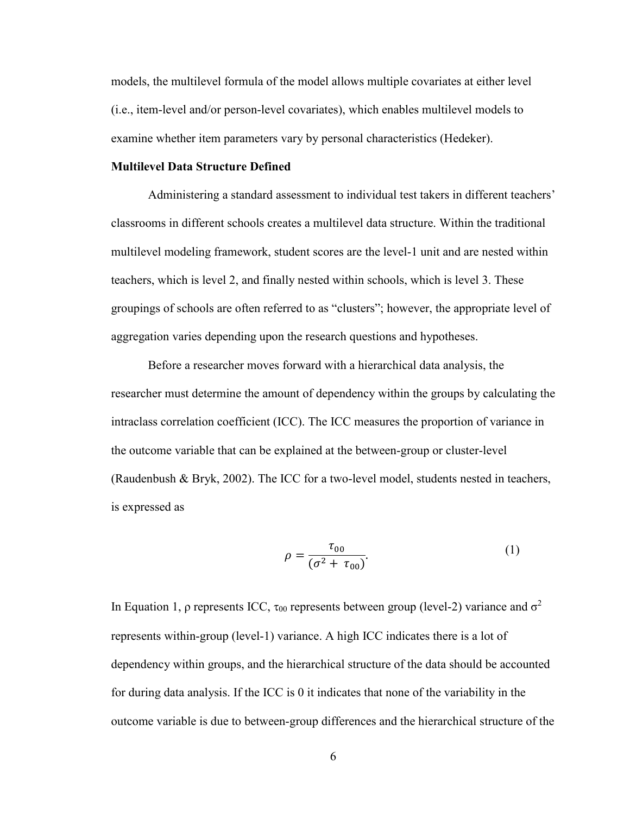models, the multilevel formula of the model allows multiple covariates at either level (i.e., item-level and/or person-level covariates), which enables multilevel models to examine whether item parameters vary by personal characteristics (Hedeker).

#### **Multilevel Data Structure Defined**

Administering a standard assessment to individual test takers in different teachers' classrooms in different schools creates a multilevel data structure. Within the traditional multilevel modeling framework, student scores are the level-1 unit and are nested within teachers, which is level 2, and finally nested within schools, which is level 3. These groupings of schools are often referred to as "clusters"; however, the appropriate level of aggregation varies depending upon the research questions and hypotheses.

Before a researcher moves forward with a hierarchical data analysis, the researcher must determine the amount of dependency within the groups by calculating the intraclass correlation coefficient (ICC). The ICC measures the proportion of variance in the outcome variable that can be explained at the between-group or cluster-level (Raudenbush & Bryk, 2002). The ICC for a two-level model, students nested in teachers, is expressed as

$$
\rho = \frac{\tau_{00}}{(\sigma^2 + \tau_{00})}.
$$
\n(1)

In Equation 1, ρ represents ICC, τ<sub>00</sub> represents between group (level-2) variance and  $σ<sup>2</sup>$ represents within-group (level-1) variance. A high ICC indicates there is a lot of dependency within groups, and the hierarchical structure of the data should be accounted for during data analysis. If the ICC is 0 it indicates that none of the variability in the outcome variable is due to between-group differences and the hierarchical structure of the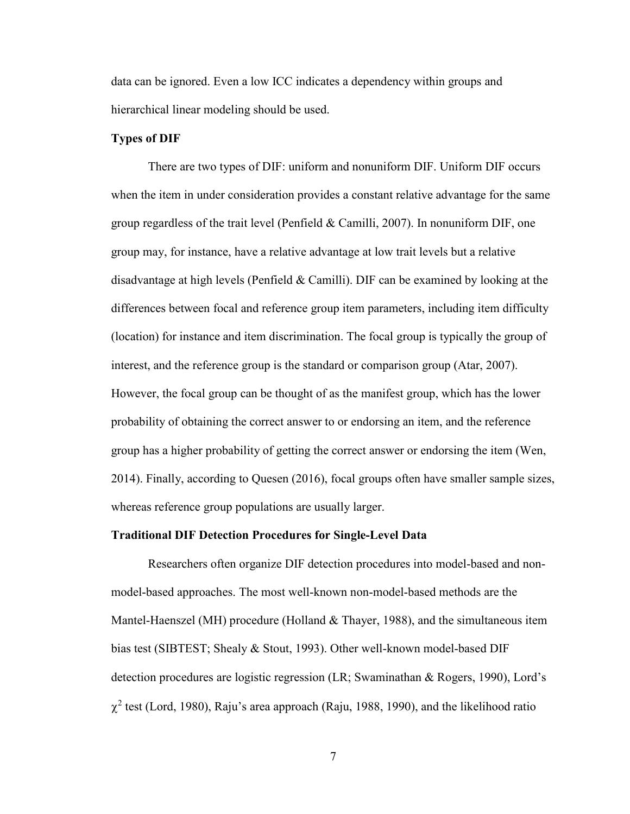data can be ignored. Even a low ICC indicates a dependency within groups and hierarchical linear modeling should be used.

#### **Types of DIF**

There are two types of DIF: uniform and nonuniform DIF. Uniform DIF occurs when the item in under consideration provides a constant relative advantage for the same group regardless of the trait level (Penfield & Camilli, 2007). In nonuniform DIF, one group may, for instance, have a relative advantage at low trait levels but a relative disadvantage at high levels (Penfield  $& Camilli$ ). DIF can be examined by looking at the differences between focal and reference group item parameters, including item difficulty (location) for instance and item discrimination. The focal group is typically the group of interest, and the reference group is the standard or comparison group (Atar, 2007). However, the focal group can be thought of as the manifest group, which has the lower probability of obtaining the correct answer to or endorsing an item, and the reference group has a higher probability of getting the correct answer or endorsing the item (Wen, 2014). Finally, according to Quesen (2016), focal groups often have smaller sample sizes, whereas reference group populations are usually larger.

#### **Traditional DIF Detection Procedures for Single-Level Data**

Researchers often organize DIF detection procedures into model-based and nonmodel-based approaches. The most well-known non-model-based methods are the Mantel-Haenszel (MH) procedure (Holland & Thayer, 1988), and the simultaneous item bias test (SIBTEST; Shealy & Stout, 1993). Other well-known model-based DIF detection procedures are logistic regression (LR; Swaminathan & Rogers, 1990), Lord's  $\chi^2$  test (Lord, 1980), Raju's area approach (Raju, 1988, 1990), and the likelihood ratio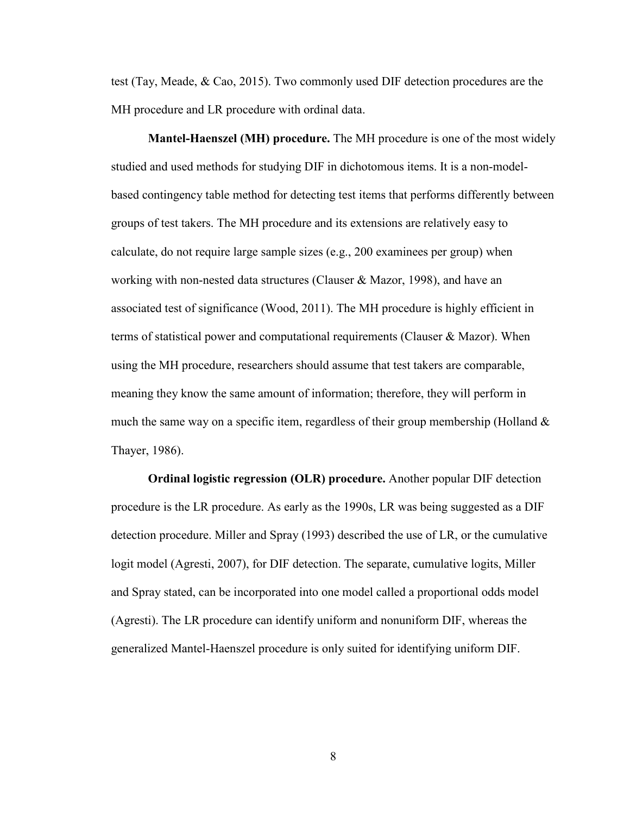test (Tay, Meade, & Cao, 2015). Two commonly used DIF detection procedures are the MH procedure and LR procedure with ordinal data.

**Mantel-Haenszel (MH) procedure.** The MH procedure is one of the most widely studied and used methods for studying DIF in dichotomous items. It is a non-modelbased contingency table method for detecting test items that performs differently between groups of test takers. The MH procedure and its extensions are relatively easy to calculate, do not require large sample sizes (e.g., 200 examinees per group) when working with non-nested data structures (Clauser & Mazor, 1998), and have an associated test of significance (Wood, 2011). The MH procedure is highly efficient in terms of statistical power and computational requirements (Clauser & Mazor). When using the MH procedure, researchers should assume that test takers are comparable, meaning they know the same amount of information; therefore, they will perform in much the same way on a specific item, regardless of their group membership (Holland  $\&$ Thayer, 1986).

**Ordinal logistic regression (OLR) procedure.** Another popular DIF detection procedure is the LR procedure. As early as the 1990s, LR was being suggested as a DIF detection procedure. Miller and Spray (1993) described the use of LR, or the cumulative logit model (Agresti, 2007), for DIF detection. The separate, cumulative logits, Miller and Spray stated, can be incorporated into one model called a proportional odds model (Agresti). The LR procedure can identify uniform and nonuniform DIF, whereas the generalized Mantel-Haenszel procedure is only suited for identifying uniform DIF.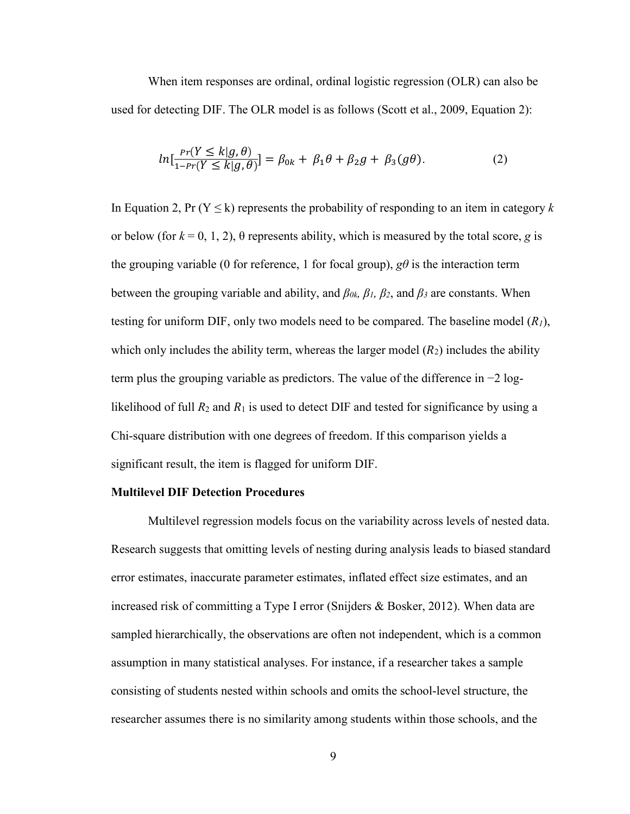When item responses are ordinal, ordinal logistic regression (OLR) can also be used for detecting DIF. The OLR model is as follows (Scott et al., 2009, Equation 2):

$$
ln\left[\frac{Pr(Y \le k|g,\theta)}{1 - Pr(Y \le k|g,\theta)}\right] = \beta_{0k} + \beta_1 \theta + \beta_2 g + \beta_3(g\theta). \tag{2}
$$

In Equation 2, Pr ( $Y \le k$ ) represents the probability of responding to an item in category k or below (for  $k = 0, 1, 2$ ),  $\theta$  represents ability, which is measured by the total score, *g* is the grouping variable (0 for reference, 1 for focal group),  $g\theta$  is the interaction term between the grouping variable and ability, and *β0k, β1, β2*, and *β<sup>3</sup>* are constants. When testing for uniform DIF, only two models need to be compared. The baseline model (*R1*), which only includes the ability term, whereas the larger model  $(R_2)$  includes the ability term plus the grouping variable as predictors. The value of the difference in −2 loglikelihood of full  $R_2$  and  $R_1$  is used to detect DIF and tested for significance by using a Chi-square distribution with one degrees of freedom. If this comparison yields a significant result, the item is flagged for uniform DIF.

#### **Multilevel DIF Detection Procedures**

Multilevel regression models focus on the variability across levels of nested data. Research suggests that omitting levels of nesting during analysis leads to biased standard error estimates, inaccurate parameter estimates, inflated effect size estimates, and an increased risk of committing a Type I error (Snijders & Bosker, 2012). When data are sampled hierarchically, the observations are often not independent, which is a common assumption in many statistical analyses. For instance, if a researcher takes a sample consisting of students nested within schools and omits the school-level structure, the researcher assumes there is no similarity among students within those schools, and the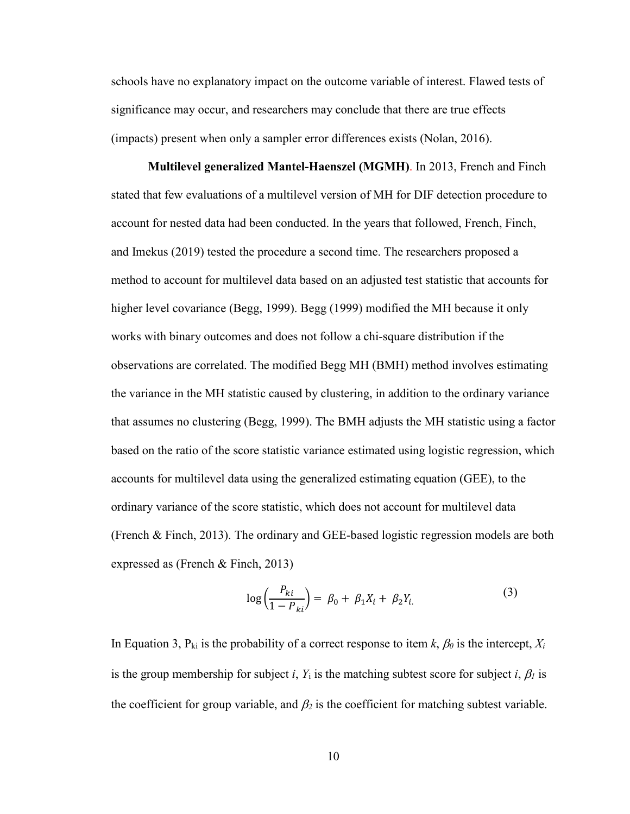schools have no explanatory impact on the outcome variable of interest. Flawed tests of significance may occur, and researchers may conclude that there are true effects (impacts) present when only a sampler error differences exists (Nolan, 2016).

**Multilevel generalized Mantel-Haenszel (MGMH)**. In 2013, French and Finch stated that few evaluations of a multilevel version of MH for DIF detection procedure to account for nested data had been conducted. In the years that followed, French, Finch, and Imekus (2019) tested the procedure a second time. The researchers proposed a method to account for multilevel data based on an adjusted test statistic that accounts for higher level covariance (Begg, 1999). Begg (1999) modified the MH because it only works with binary outcomes and does not follow a chi-square distribution if the observations are correlated. The modified Begg MH (BMH) method involves estimating the variance in the MH statistic caused by clustering, in addition to the ordinary variance that assumes no clustering (Begg, 1999). The BMH adjusts the MH statistic using a factor based on the ratio of the score statistic variance estimated using logistic regression, which accounts for multilevel data using the generalized estimating equation (GEE), to the ordinary variance of the score statistic, which does not account for multilevel data (French & Finch, 2013). The ordinary and GEE-based logistic regression models are both expressed as (French & Finch, 2013)

$$
\log\left(\frac{P_{ki}}{1 - P_{ki}}\right) = \beta_0 + \beta_1 X_i + \beta_2 Y_i. \tag{3}
$$

In Equation 3,  $P_{ki}$  is the probability of a correct response to item  $k$ ,  $\beta_0$  is the intercept,  $X_i$ is the group membership for subject *i*,  $Y_i$  is the matching subtest score for subject *i*,  $\beta_l$  is the coefficient for group variable, and  $\beta_2$  is the coefficient for matching subtest variable.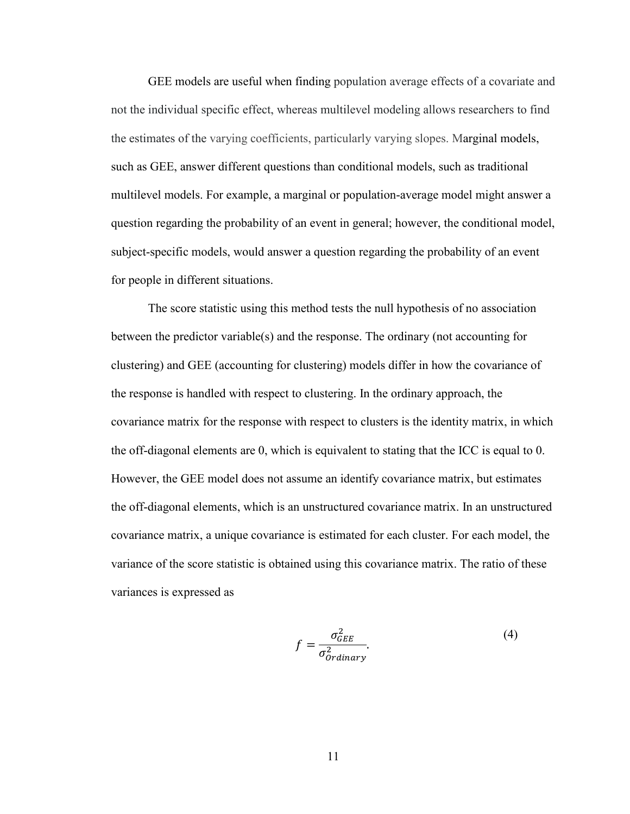GEE models are useful when finding population average effects of a covariate and not the individual specific effect, whereas multilevel modeling allows researchers to find the estimates of the varying coefficients, particularly varying slopes. Marginal models, such as GEE, answer different questions than conditional models, such as traditional multilevel models. For example, a marginal or population-average model might answer a question regarding the probability of an event in general; however, the conditional model, subject-specific models, would answer a question regarding the probability of an event for people in different situations.

The score statistic using this method tests the null hypothesis of no association between the predictor variable(s) and the response. The ordinary (not accounting for clustering) and GEE (accounting for clustering) models differ in how the covariance of the response is handled with respect to clustering. In the ordinary approach, the covariance matrix for the response with respect to clusters is the identity matrix, in which the off-diagonal elements are 0, which is equivalent to stating that the ICC is equal to 0. However, the GEE model does not assume an identify covariance matrix, but estimates the off-diagonal elements, which is an unstructured covariance matrix. In an unstructured covariance matrix, a unique covariance is estimated for each cluster. For each model, the variance of the score statistic is obtained using this covariance matrix. The ratio of these variances is expressed as

$$
f = \frac{\sigma_{GEE}^2}{\sigma_{ordinary}^2}.
$$
 (4)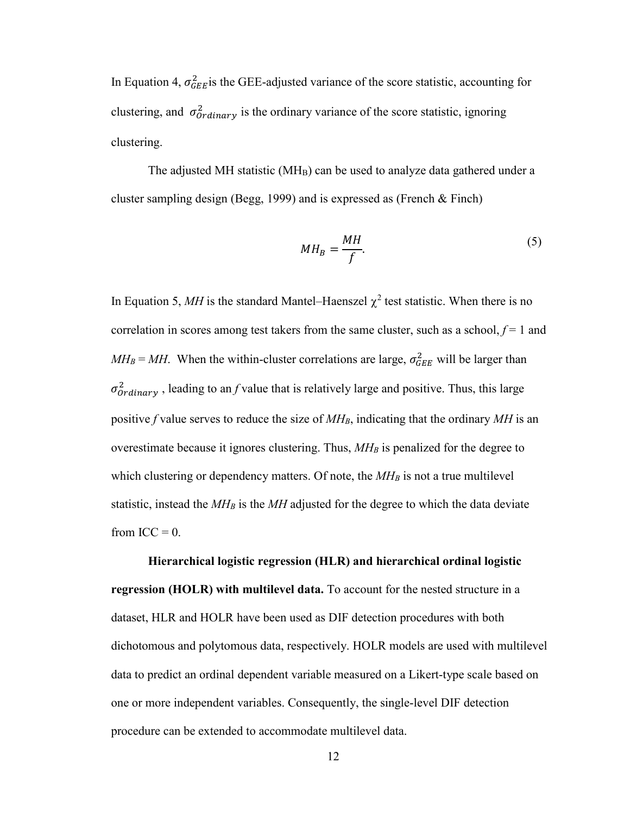In Equation 4,  $\sigma_{GEE}^2$  is the GEE-adjusted variance of the score statistic, accounting for clustering, and  $\sigma_{Ordinary}^2$  is the ordinary variance of the score statistic, ignoring clustering.

The adjusted MH statistic ( $MH_B$ ) can be used to analyze data gathered under a cluster sampling design (Begg, 1999) and is expressed as (French & Finch)

$$
MH_B = \frac{MH}{f}.\tag{5}
$$

In Equation 5, MH is the standard Mantel–Haenszel  $\chi^2$  test statistic. When there is no correlation in scores among test takers from the same cluster, such as a school,  $f = 1$  and  $MH_B = MH$ . When the within-cluster correlations are large,  $\sigma_{GEE}^2$  will be larger than  $\sigma_{Ordinary}^2$ , leading to an *f* value that is relatively large and positive. Thus, this large positive *f* value serves to reduce the size of  $M_H$ , indicating that the ordinary MH is an overestimate because it ignores clustering. Thus,  $M H_B$  is penalized for the degree to which clustering or dependency matters. Of note, the  $M_H$  is not a true multilevel statistic, instead the  $M$ *H<sub>B</sub>* is the  $M$ *H* adjusted for the degree to which the data deviate from  $ICC = 0$ .

**Hierarchical logistic regression (HLR) and hierarchical ordinal logistic regression (HOLR) with multilevel data.** To account for the nested structure in a dataset, HLR and HOLR have been used as DIF detection procedures with both dichotomous and polytomous data, respectively. HOLR models are used with multilevel data to predict an ordinal dependent variable measured on a Likert-type scale based on one or more independent variables. Consequently, the single-level DIF detection procedure can be extended to accommodate multilevel data.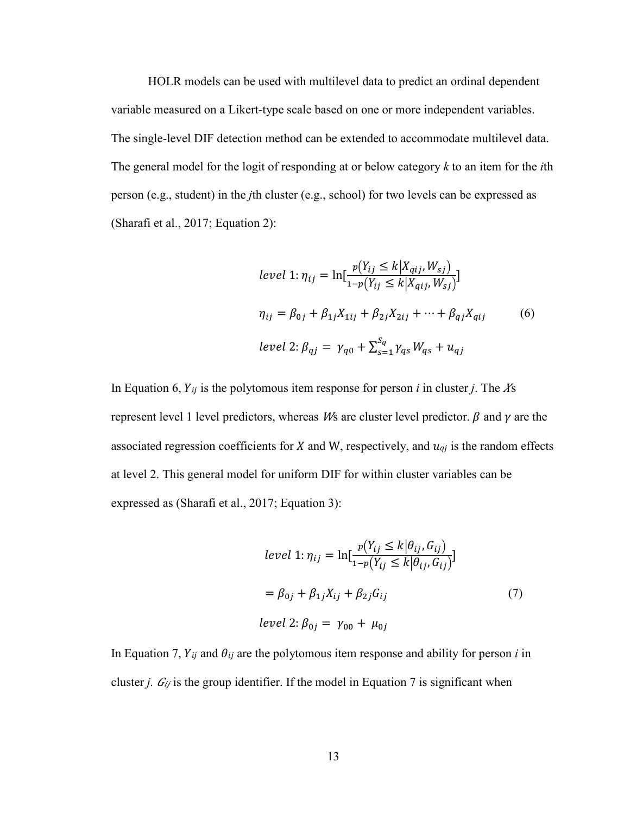HOLR models can be used with multilevel data to predict an ordinal dependent variable measured on a Likert-type scale based on one or more independent variables. The single-level DIF detection method can be extended to accommodate multilevel data. The general model for the logit of responding at or below category *k* to an item for the *i*th person (e.g., student) in the *j*th cluster (e.g., school) for two levels can be expressed as (Sharafi et al., 2017; Equation 2):

$$
level 1: \eta_{ij} = \ln[\frac{p(Y_{ij} \le k | X_{qij}, W_{sj})}{1 - p(Y_{ij} \le k | X_{qij}, W_{sj})}]
$$
  

$$
\eta_{ij} = \beta_{0j} + \beta_{1j} X_{1ij} + \beta_{2j} X_{2ij} + \dots + \beta_{qj} X_{qij}
$$
(6)  
*level* 2:  $\beta_{qj} = \gamma_{q0} + \sum_{s=1}^{S_q} \gamma_{qs} W_{qs} + u_{qj}$ 

In Equation 6,  $Y_{ij}$  is the polytomous item response for person *i* in cluster *j*. The  $X_{\mathcal{S}}$ represent level 1 level predictors, whereas *W*s are cluster level predictor.  $\beta$  and  $\gamma$  are the associated regression coefficients for  $X$  and  $W$ , respectively, and  $u_{qi}$  is the random effects at level 2. This general model for uniform DIF for within cluster variables can be expressed as (Sharafi et al., 2017; Equation 3):

$$
level 1: \eta_{ij} = \ln[\frac{p(Y_{ij} \le k | \theta_{ij}, G_{ij})}{1 - p(Y_{ij} \le k | \theta_{ij}, G_{ij})}]
$$

$$
= \beta_{0j} + \beta_{1j} X_{ij} + \beta_{2j} G_{ij}
$$
(7)
$$
level 2: \beta_{0j} = \gamma_{00} + \mu_{0j}
$$

In Equation 7,  $Y_{ij}$  and  $\theta_{ij}$  are the polytomous item response and ability for person *i* in cluster *j.*  $G_{ij}$  is the group identifier. If the model in Equation 7 is significant when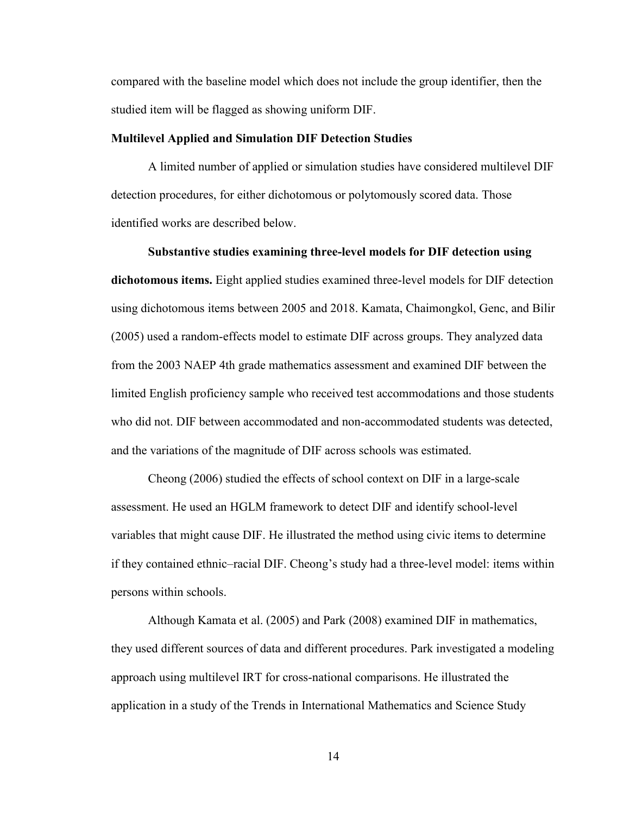compared with the baseline model which does not include the group identifier, then the studied item will be flagged as showing uniform DIF.

#### **Multilevel Applied and Simulation DIF Detection Studies**

A limited number of applied or simulation studies have considered multilevel DIF detection procedures, for either dichotomous or polytomously scored data. Those identified works are described below.

**Substantive studies examining three-level models for DIF detection using dichotomous items.** Eight applied studies examined three-level models for DIF detection using dichotomous items between 2005 and 2018. Kamata, Chaimongkol, Genc, and Bilir (2005) used a random-effects model to estimate DIF across groups. They analyzed data from the 2003 NAEP 4th grade mathematics assessment and examined DIF between the limited English proficiency sample who received test accommodations and those students who did not. DIF between accommodated and non-accommodated students was detected, and the variations of the magnitude of DIF across schools was estimated.

Cheong (2006) studied the effects of school context on DIF in a large-scale assessment. He used an HGLM framework to detect DIF and identify school-level variables that might cause DIF. He illustrated the method using civic items to determine if they contained ethnic–racial DIF. Cheong's study had a three-level model: items within persons within schools.

Although Kamata et al. (2005) and Park (2008) examined DIF in mathematics, they used different sources of data and different procedures. Park investigated a modeling approach using multilevel IRT for cross-national comparisons. He illustrated the application in a study of the Trends in International Mathematics and Science Study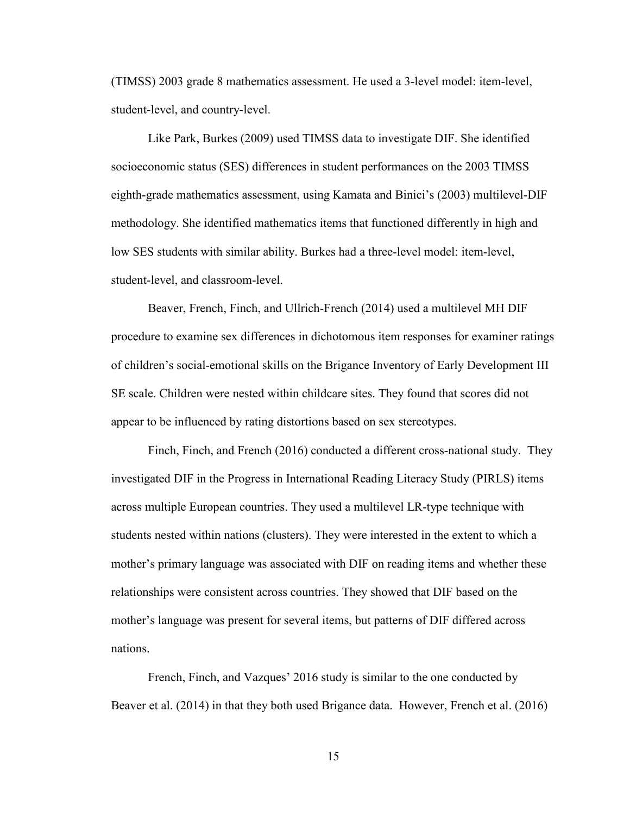(TIMSS) 2003 grade 8 mathematics assessment. He used a 3-level model: item-level, student-level, and country-level.

Like Park, Burkes (2009) used TIMSS data to investigate DIF. She identified socioeconomic status (SES) differences in student performances on the 2003 TIMSS eighth-grade mathematics assessment, using Kamata and Binici's (2003) multilevel-DIF methodology. She identified mathematics items that functioned differently in high and low SES students with similar ability. Burkes had a three-level model: item-level, student-level, and classroom-level.

Beaver, French, Finch, and Ullrich-French (2014) used a multilevel MH DIF procedure to examine sex differences in dichotomous item responses for examiner ratings of children's social-emotional skills on the Brigance Inventory of Early Development III SE scale. Children were nested within childcare sites. They found that scores did not appear to be influenced by rating distortions based on sex stereotypes.

Finch, Finch, and French (2016) conducted a different cross-national study. They investigated DIF in the Progress in International Reading Literacy Study (PIRLS) items across multiple European countries. They used a multilevel LR-type technique with students nested within nations (clusters). They were interested in the extent to which a mother's primary language was associated with DIF on reading items and whether these relationships were consistent across countries. They showed that DIF based on the mother's language was present for several items, but patterns of DIF differed across nations.

French, Finch, and Vazques' 2016 study is similar to the one conducted by Beaver et al. (2014) in that they both used Brigance data. However, French et al. (2016)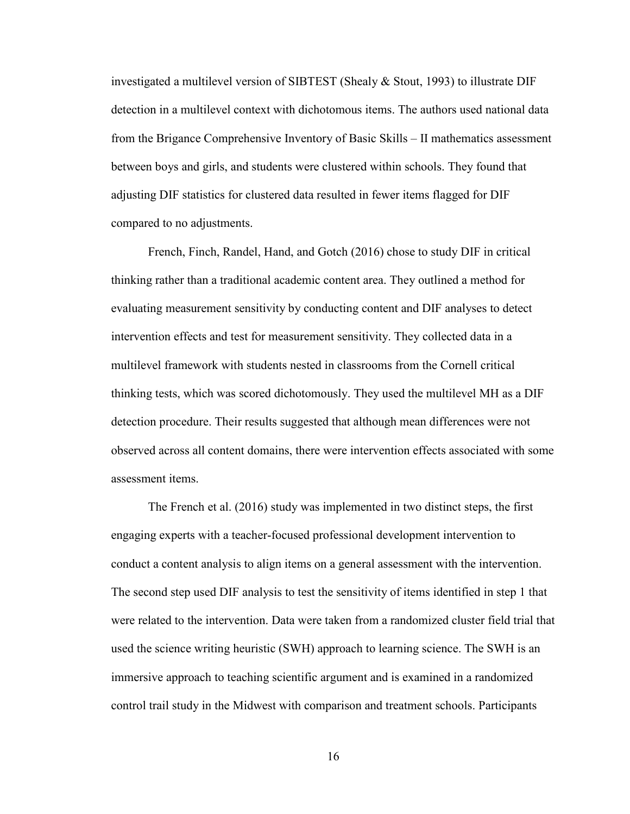investigated a multilevel version of SIBTEST (Shealy & Stout, 1993) to illustrate DIF detection in a multilevel context with dichotomous items. The authors used national data from the Brigance Comprehensive Inventory of Basic Skills – II mathematics assessment between boys and girls, and students were clustered within schools. They found that adjusting DIF statistics for clustered data resulted in fewer items flagged for DIF compared to no adjustments.

French, Finch, Randel, Hand, and Gotch (2016) chose to study DIF in critical thinking rather than a traditional academic content area. They outlined a method for evaluating measurement sensitivity by conducting content and DIF analyses to detect intervention effects and test for measurement sensitivity. They collected data in a multilevel framework with students nested in classrooms from the Cornell critical thinking tests, which was scored dichotomously. They used the multilevel MH as a DIF detection procedure. Their results suggested that although mean differences were not observed across all content domains, there were intervention effects associated with some assessment items.

The French et al. (2016) study was implemented in two distinct steps, the first engaging experts with a teacher-focused professional development intervention to conduct a content analysis to align items on a general assessment with the intervention. The second step used DIF analysis to test the sensitivity of items identified in step 1 that were related to the intervention. Data were taken from a randomized cluster field trial that used the science writing heuristic (SWH) approach to learning science. The SWH is an immersive approach to teaching scientific argument and is examined in a randomized control trail study in the Midwest with comparison and treatment schools. Participants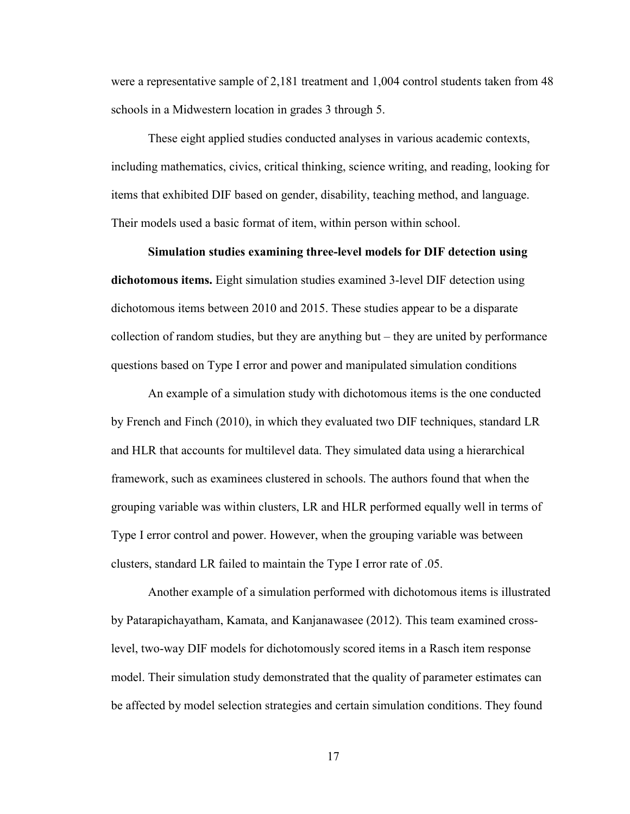were a representative sample of 2,181 treatment and 1,004 control students taken from 48 schools in a Midwestern location in grades 3 through 5.

These eight applied studies conducted analyses in various academic contexts, including mathematics, civics, critical thinking, science writing, and reading, looking for items that exhibited DIF based on gender, disability, teaching method, and language. Their models used a basic format of item, within person within school.

**Simulation studies examining three-level models for DIF detection using** 

**dichotomous items.** Eight simulation studies examined 3-level DIF detection using dichotomous items between 2010 and 2015. These studies appear to be a disparate collection of random studies, but they are anything but – they are united by performance questions based on Type I error and power and manipulated simulation conditions

An example of a simulation study with dichotomous items is the one conducted by French and Finch (2010), in which they evaluated two DIF techniques, standard LR and HLR that accounts for multilevel data. They simulated data using a hierarchical framework, such as examinees clustered in schools. The authors found that when the grouping variable was within clusters, LR and HLR performed equally well in terms of Type I error control and power. However, when the grouping variable was between clusters, standard LR failed to maintain the Type I error rate of .05.

Another example of a simulation performed with dichotomous items is illustrated by Patarapichayatham, Kamata, and Kanjanawasee (2012). This team examined crosslevel, two-way DIF models for dichotomously scored items in a Rasch item response model. Their simulation study demonstrated that the quality of parameter estimates can be affected by model selection strategies and certain simulation conditions. They found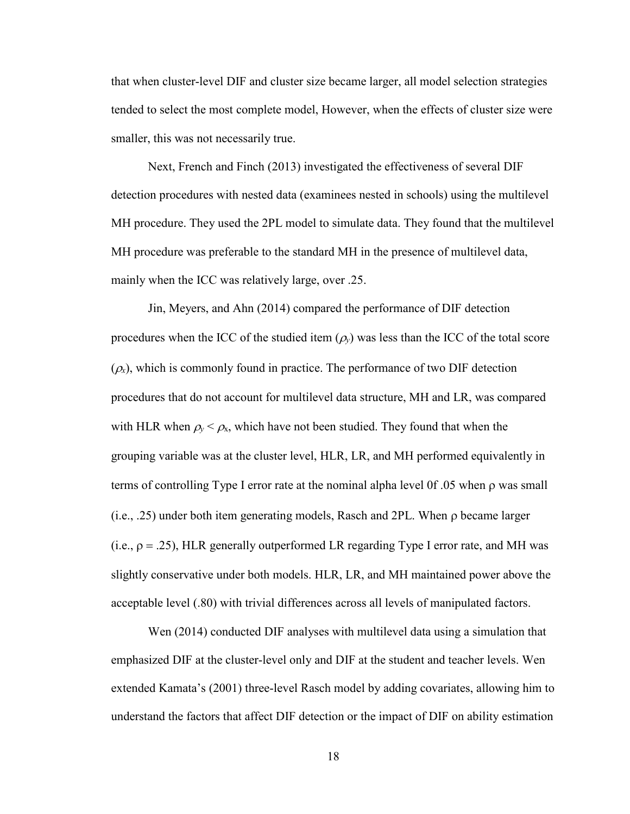that when cluster-level DIF and cluster size became larger, all model selection strategies tended to select the most complete model, However, when the effects of cluster size were smaller, this was not necessarily true.

Next, French and Finch (2013) investigated the effectiveness of several DIF detection procedures with nested data (examinees nested in schools) using the multilevel MH procedure. They used the 2PL model to simulate data. They found that the multilevel MH procedure was preferable to the standard MH in the presence of multilevel data, mainly when the ICC was relatively large, over .25.

Jin, Meyers, and Ahn (2014) compared the performance of DIF detection procedures when the ICC of the studied item  $(\rho_y)$  was less than the ICC of the total score  $(\rho_x)$ , which is commonly found in practice. The performance of two DIF detection procedures that do not account for multilevel data structure, MH and LR, was compared with HLR when  $\rho_y < \rho_x$ , which have not been studied. They found that when the grouping variable was at the cluster level, HLR, LR, and MH performed equivalently in terms of controlling Type I error rate at the nominal alpha level 0f .05 when ρ was small (i.e., .25) under both item generating models, Rasch and 2PL. When ρ became larger (i.e.,  $\rho = .25$ ), HLR generally outperformed LR regarding Type I error rate, and MH was slightly conservative under both models. HLR, LR, and MH maintained power above the acceptable level (.80) with trivial differences across all levels of manipulated factors.

Wen (2014) conducted DIF analyses with multilevel data using a simulation that emphasized DIF at the cluster-level only and DIF at the student and teacher levels. Wen extended Kamata's (2001) three-level Rasch model by adding covariates, allowing him to understand the factors that affect DIF detection or the impact of DIF on ability estimation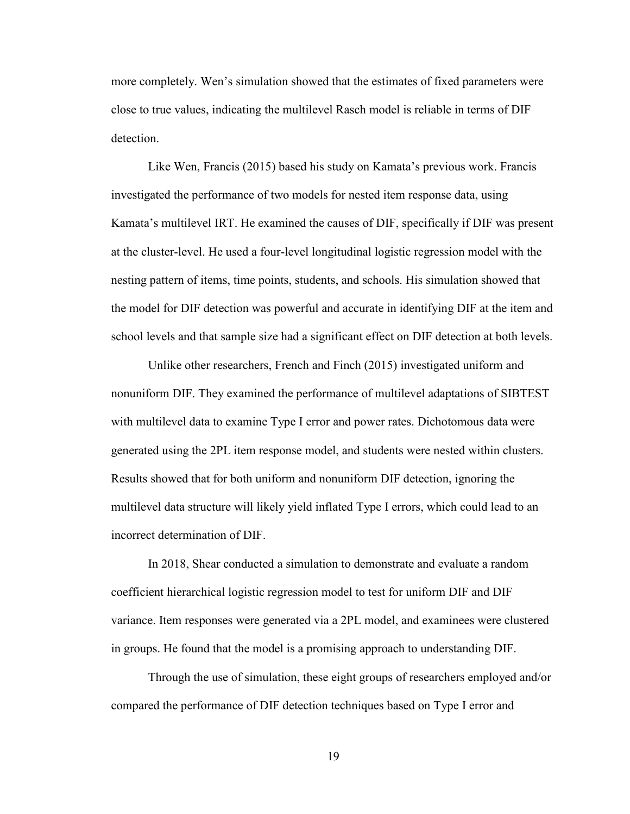more completely. Wen's simulation showed that the estimates of fixed parameters were close to true values, indicating the multilevel Rasch model is reliable in terms of DIF detection.

Like Wen, Francis (2015) based his study on Kamata's previous work. Francis investigated the performance of two models for nested item response data, using Kamata's multilevel IRT. He examined the causes of DIF, specifically if DIF was present at the cluster-level. He used a four-level longitudinal logistic regression model with the nesting pattern of items, time points, students, and schools. His simulation showed that the model for DIF detection was powerful and accurate in identifying DIF at the item and school levels and that sample size had a significant effect on DIF detection at both levels.

Unlike other researchers, French and Finch (2015) investigated uniform and nonuniform DIF. They examined the performance of multilevel adaptations of SIBTEST with multilevel data to examine Type I error and power rates. Dichotomous data were generated using the 2PL item response model, and students were nested within clusters. Results showed that for both uniform and nonuniform DIF detection, ignoring the multilevel data structure will likely yield inflated Type I errors, which could lead to an incorrect determination of DIF.

In 2018, Shear conducted a simulation to demonstrate and evaluate a random coefficient hierarchical logistic regression model to test for uniform DIF and DIF variance. Item responses were generated via a 2PL model, and examinees were clustered in groups. He found that the model is a promising approach to understanding DIF.

Through the use of simulation, these eight groups of researchers employed and/or compared the performance of DIF detection techniques based on Type I error and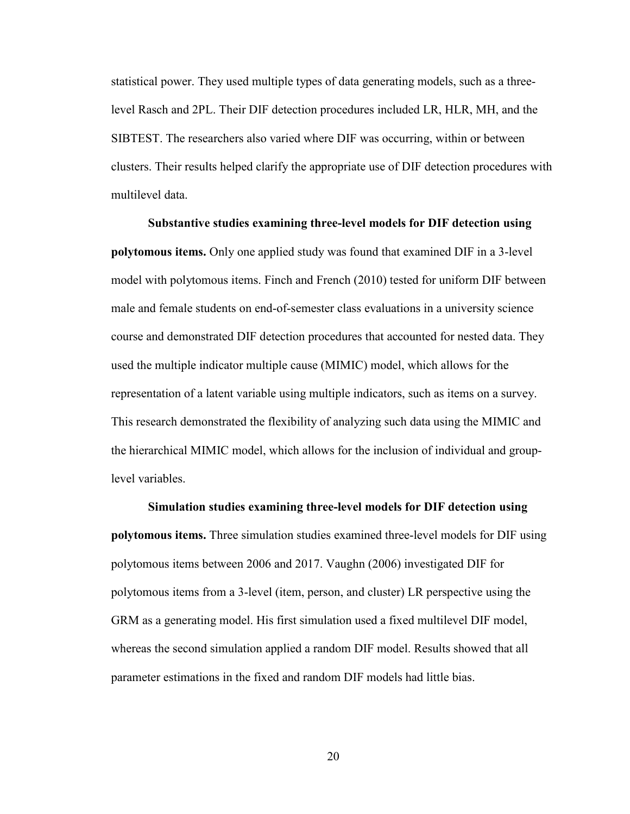statistical power. They used multiple types of data generating models, such as a threelevel Rasch and 2PL. Their DIF detection procedures included LR, HLR, MH, and the SIBTEST. The researchers also varied where DIF was occurring, within or between clusters. Their results helped clarify the appropriate use of DIF detection procedures with multilevel data.

**Substantive studies examining three-level models for DIF detection using polytomous items.** Only one applied study was found that examined DIF in a 3-level model with polytomous items. Finch and French (2010) tested for uniform DIF between male and female students on end-of-semester class evaluations in a university science course and demonstrated DIF detection procedures that accounted for nested data. They used the multiple indicator multiple cause (MIMIC) model, which allows for the representation of a latent variable using multiple indicators, such as items on a survey. This research demonstrated the flexibility of analyzing such data using the MIMIC and the hierarchical MIMIC model, which allows for the inclusion of individual and grouplevel variables.

**Simulation studies examining three-level models for DIF detection using polytomous items.** Three simulation studies examined three-level models for DIF using polytomous items between 2006 and 2017. Vaughn (2006) investigated DIF for polytomous items from a 3-level (item, person, and cluster) LR perspective using the GRM as a generating model. His first simulation used a fixed multilevel DIF model, whereas the second simulation applied a random DIF model. Results showed that all parameter estimations in the fixed and random DIF models had little bias.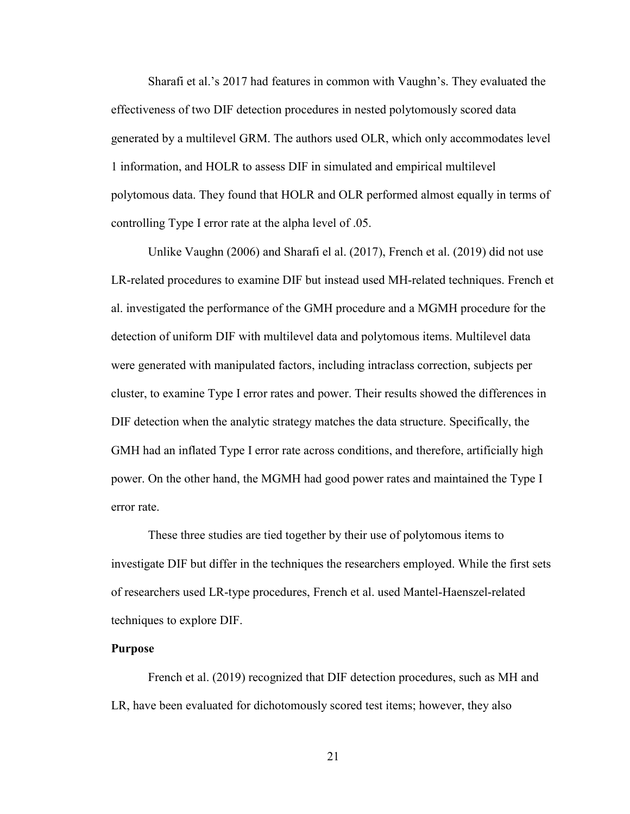Sharafi et al.'s 2017 had features in common with Vaughn's. They evaluated the effectiveness of two DIF detection procedures in nested polytomously scored data generated by a multilevel GRM. The authors used OLR, which only accommodates level 1 information, and HOLR to assess DIF in simulated and empirical multilevel polytomous data. They found that HOLR and OLR performed almost equally in terms of controlling Type I error rate at the alpha level of .05.

Unlike Vaughn (2006) and Sharafi el al. (2017), French et al. (2019) did not use LR-related procedures to examine DIF but instead used MH-related techniques. French et al. investigated the performance of the GMH procedure and a MGMH procedure for the detection of uniform DIF with multilevel data and polytomous items. Multilevel data were generated with manipulated factors, including intraclass correction, subjects per cluster, to examine Type I error rates and power. Their results showed the differences in DIF detection when the analytic strategy matches the data structure. Specifically, the GMH had an inflated Type I error rate across conditions, and therefore, artificially high power. On the other hand, the MGMH had good power rates and maintained the Type I error rate.

These three studies are tied together by their use of polytomous items to investigate DIF but differ in the techniques the researchers employed. While the first sets of researchers used LR-type procedures, French et al. used Mantel-Haenszel-related techniques to explore DIF.

#### **Purpose**

French et al. (2019) recognized that DIF detection procedures, such as MH and LR, have been evaluated for dichotomously scored test items; however, they also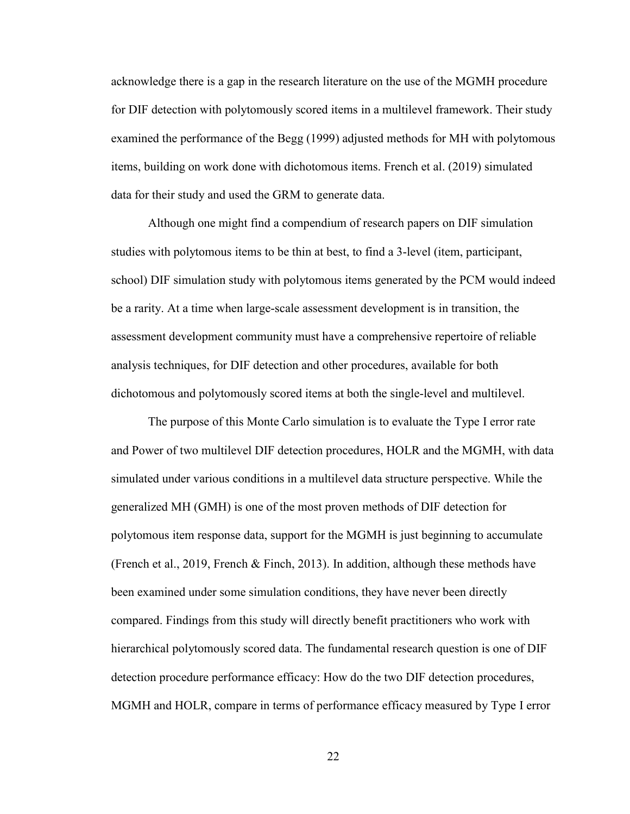acknowledge there is a gap in the research literature on the use of the MGMH procedure for DIF detection with polytomously scored items in a multilevel framework. Their study examined the performance of the Begg (1999) adjusted methods for MH with polytomous items, building on work done with dichotomous items. French et al. (2019) simulated data for their study and used the GRM to generate data.

Although one might find a compendium of research papers on DIF simulation studies with polytomous items to be thin at best, to find a 3-level (item, participant, school) DIF simulation study with polytomous items generated by the PCM would indeed be a rarity. At a time when large-scale assessment development is in transition, the assessment development community must have a comprehensive repertoire of reliable analysis techniques, for DIF detection and other procedures, available for both dichotomous and polytomously scored items at both the single-level and multilevel.

The purpose of this Monte Carlo simulation is to evaluate the Type I error rate and Power of two multilevel DIF detection procedures, HOLR and the MGMH, with data simulated under various conditions in a multilevel data structure perspective. While the generalized MH (GMH) is one of the most proven methods of DIF detection for polytomous item response data, support for the MGMH is just beginning to accumulate (French et al., 2019, French & Finch, 2013). In addition, although these methods have been examined under some simulation conditions, they have never been directly compared. Findings from this study will directly benefit practitioners who work with hierarchical polytomously scored data. The fundamental research question is one of DIF detection procedure performance efficacy: How do the two DIF detection procedures, MGMH and HOLR, compare in terms of performance efficacy measured by Type I error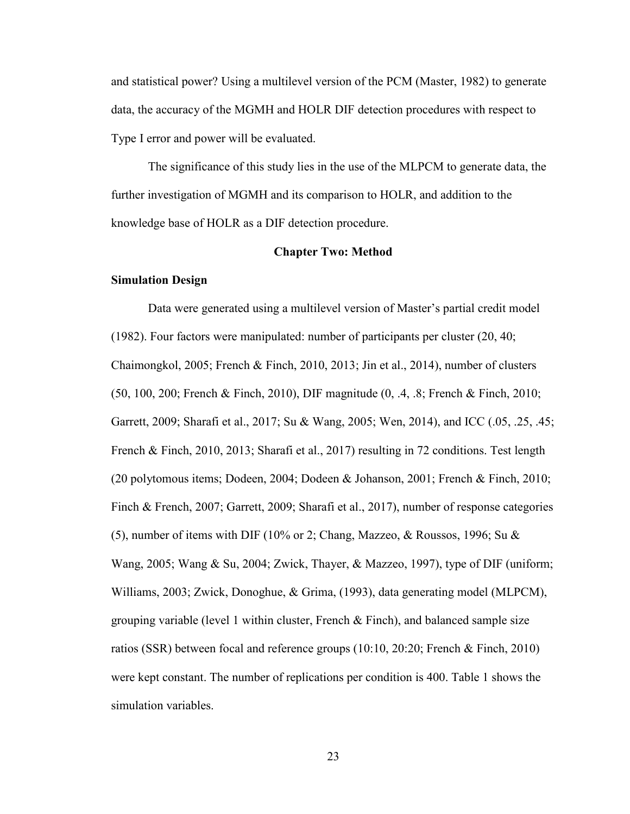and statistical power? Using a multilevel version of the PCM (Master, 1982) to generate data, the accuracy of the MGMH and HOLR DIF detection procedures with respect to Type I error and power will be evaluated.

The significance of this study lies in the use of the MLPCM to generate data, the further investigation of MGMH and its comparison to HOLR, and addition to the knowledge base of HOLR as a DIF detection procedure.

#### **Chapter Two: Method**

#### **Simulation Design**

Data were generated using a multilevel version of Master's partial credit model (1982). Four factors were manipulated: number of participants per cluster (20, 40; Chaimongkol, 2005; French & Finch, 2010, 2013; Jin et al., 2014), number of clusters (50, 100, 200; French & Finch, 2010), DIF magnitude (0, .4, .8; French & Finch, 2010; Garrett, 2009; Sharafi et al., 2017; Su & Wang, 2005; Wen, 2014), and ICC (.05, .25, .45; French & Finch, 2010, 2013; Sharafi et al., 2017) resulting in 72 conditions. Test length (20 polytomous items; Dodeen, 2004; Dodeen & Johanson, 2001; French & Finch, 2010; Finch & French, 2007; Garrett, 2009; Sharafi et al., 2017), number of response categories (5), number of items with DIF (10% or 2; Chang, Mazzeo, & Roussos, 1996; Su & Wang, 2005; Wang & Su, 2004; Zwick, Thayer, & Mazzeo, 1997), type of DIF (uniform; Williams, 2003; Zwick, Donoghue, & Grima, (1993), data generating model (MLPCM), grouping variable (level 1 within cluster, French  $\&$  Finch), and balanced sample size ratios (SSR) between focal and reference groups (10:10, 20:20; French & Finch, 2010) were kept constant. The number of replications per condition is 400. Table 1 shows the simulation variables.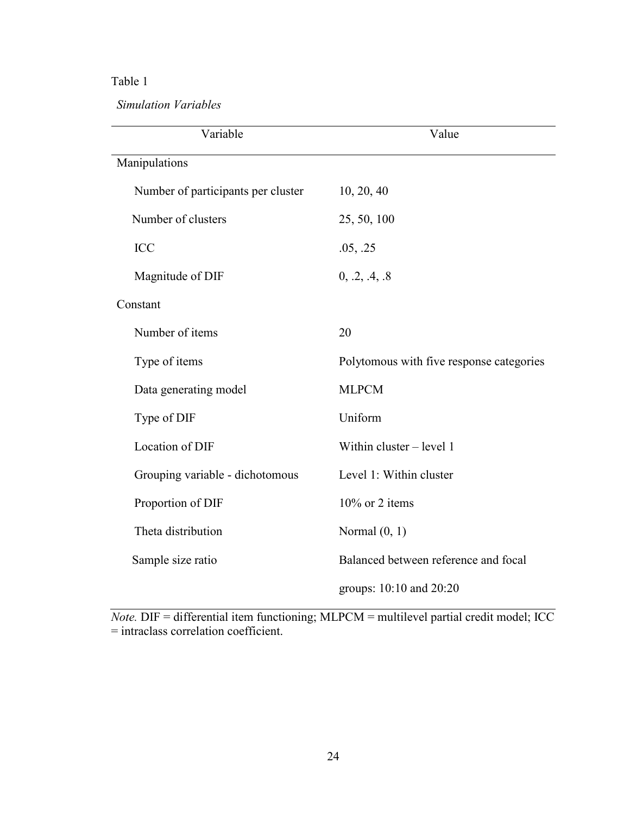# Table 1

*Simulation Variables* 

| Variable                           | Value                                    |  |  |  |
|------------------------------------|------------------------------------------|--|--|--|
| Manipulations                      |                                          |  |  |  |
| Number of participants per cluster | 10, 20, 40                               |  |  |  |
| Number of clusters                 | 25, 50, 100                              |  |  |  |
| <b>ICC</b>                         | .05, .25                                 |  |  |  |
| Magnitude of DIF                   | 0, .2, .4, .8                            |  |  |  |
| Constant                           |                                          |  |  |  |
| Number of items                    | 20                                       |  |  |  |
| Type of items                      | Polytomous with five response categories |  |  |  |
| Data generating model              | <b>MLPCM</b>                             |  |  |  |
| Type of DIF                        | Uniform                                  |  |  |  |
| Location of DIF                    | Within cluster - level 1                 |  |  |  |
| Grouping variable - dichotomous    | Level 1: Within cluster                  |  |  |  |
| Proportion of DIF                  | 10% or 2 items                           |  |  |  |
| Theta distribution                 | Normal $(0, 1)$                          |  |  |  |
| Sample size ratio                  | Balanced between reference and focal     |  |  |  |
|                                    | groups: 10:10 and 20:20                  |  |  |  |

*Note.* DIF = differential item functioning; MLPCM = multilevel partial credit model; ICC = intraclass correlation coefficient.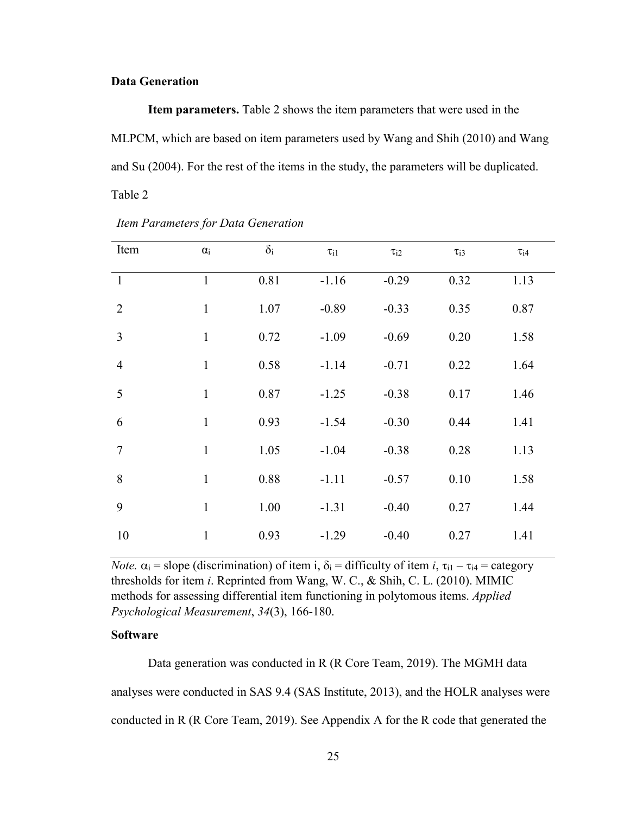### **Data Generation**

**Item parameters.** Table 2 shows the item parameters that were used in the MLPCM, which are based on item parameters used by Wang and Shih (2010) and Wang and Su (2004). For the rest of the items in the study, the parameters will be duplicated. Table 2

| Item           | $\alpha_i$   | $\delta_{\rm i}$ | $\tau_{i1}$ | $\tau_{i2}$ | $\tau_{i3}$ | $\tau_{i4}$ |
|----------------|--------------|------------------|-------------|-------------|-------------|-------------|
| $\mathbf{1}$   | $\mathbf{1}$ | 0.81             | $-1.16$     | $-0.29$     | 0.32        | 1.13        |
| $\overline{2}$ | $\mathbf{1}$ | 1.07             | $-0.89$     | $-0.33$     | 0.35        | 0.87        |
| 3              | $\mathbf{1}$ | 0.72             | $-1.09$     | $-0.69$     | 0.20        | 1.58        |
| $\overline{4}$ | $\mathbf{1}$ | 0.58             | $-1.14$     | $-0.71$     | 0.22        | 1.64        |
| 5              | $\mathbf{1}$ | 0.87             | $-1.25$     | $-0.38$     | 0.17        | 1.46        |
| 6              | $\mathbf{1}$ | 0.93             | $-1.54$     | $-0.30$     | 0.44        | 1.41        |
| $\tau$         | $\mathbf{1}$ | 1.05             | $-1.04$     | $-0.38$     | 0.28        | 1.13        |
| 8              | $\mathbf{1}$ | 0.88             | $-1.11$     | $-0.57$     | 0.10        | 1.58        |
| 9              | $\mathbf{1}$ | 1.00             | $-1.31$     | $-0.40$     | 0.27        | 1.44        |
| 10             | $\mathbf{1}$ | 0.93             | $-1.29$     | $-0.40$     | 0.27        | 1.41        |

*Item Parameters for Data Generation*

*Note.*  $\alpha_i$  = slope (discrimination) of item i,  $\delta_i$  = difficulty of item *i*,  $\tau_{i1}$  –  $\tau_{i4}$  = category thresholds for item *i*. Reprinted from Wang, W. C., & Shih, C. L. (2010). MIMIC methods for assessing differential item functioning in polytomous items. *Applied Psychological Measurement*, *34*(3), 166-180.

### **Software**

Data generation was conducted in R (R Core Team, 2019). The MGMH data analyses were conducted in SAS 9.4 (SAS Institute, 2013), and the HOLR analyses were conducted in R (R Core Team, 2019). See Appendix A for the R code that generated the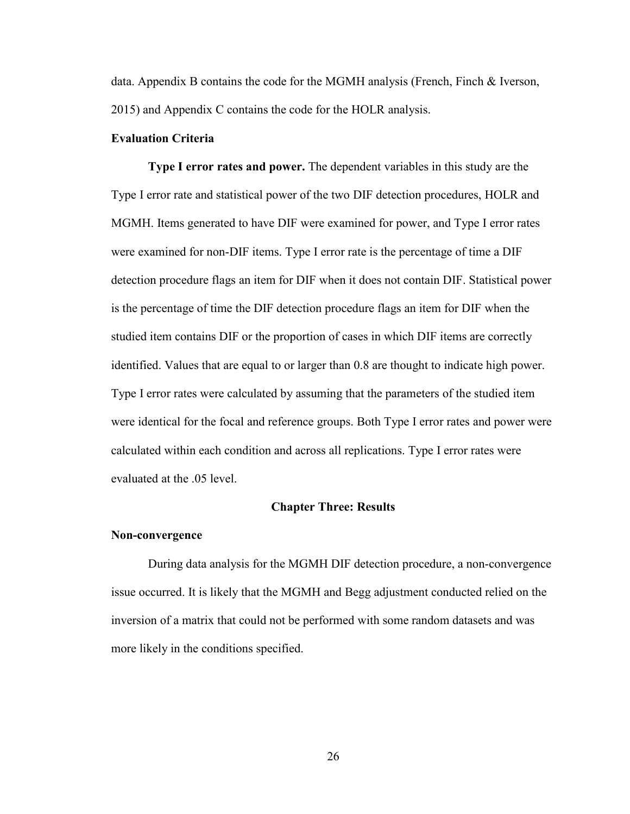data. Appendix B contains the code for the MGMH analysis (French, Finch & Iverson, 2015) and Appendix C contains the code for the HOLR analysis.

## **Evaluation Criteria**

**Type I error rates and power.** The dependent variables in this study are the Type I error rate and statistical power of the two DIF detection procedures, HOLR and MGMH. Items generated to have DIF were examined for power, and Type I error rates were examined for non-DIF items. Type I error rate is the percentage of time a DIF detection procedure flags an item for DIF when it does not contain DIF. Statistical power is the percentage of time the DIF detection procedure flags an item for DIF when the studied item contains DIF or the proportion of cases in which DIF items are correctly identified. Values that are equal to or larger than 0.8 are thought to indicate high power. Type I error rates were calculated by assuming that the parameters of the studied item were identical for the focal and reference groups. Both Type I error rates and power were calculated within each condition and across all replications. Type I error rates were evaluated at the .05 level.

#### **Chapter Three: Results**

### **Non-convergence**

During data analysis for the MGMH DIF detection procedure, a non-convergence issue occurred. It is likely that the MGMH and Begg adjustment conducted relied on the inversion of a matrix that could not be performed with some random datasets and was more likely in the conditions specified.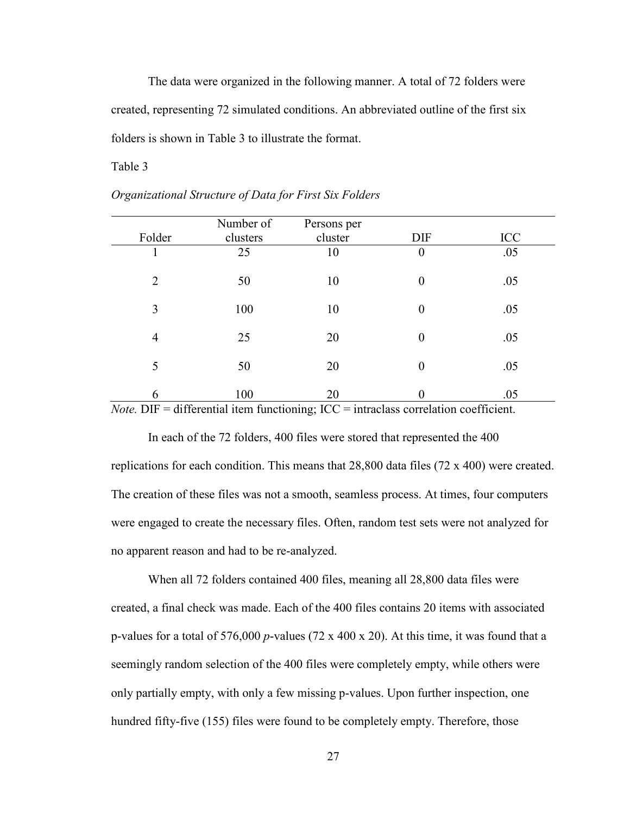The data were organized in the following manner. A total of 72 folders were created, representing 72 simulated conditions. An abbreviated outline of the first six folders is shown in Table 3 to illustrate the format.

## Table 3

|                | Number of | Persons per                                                                                                            |                  |            |
|----------------|-----------|------------------------------------------------------------------------------------------------------------------------|------------------|------------|
| Folder         | clusters  | cluster                                                                                                                | DIF              | <b>ICC</b> |
|                | 25        | 10                                                                                                                     | $\boldsymbol{0}$ | .05        |
| $\overline{2}$ | 50        | 10                                                                                                                     | $\boldsymbol{0}$ | .05        |
| 3              | 100       | 10                                                                                                                     | $\boldsymbol{0}$ | .05        |
| $\overline{4}$ | 25        | 20                                                                                                                     | $\boldsymbol{0}$ | .05        |
| 5              | 50        | 20                                                                                                                     | 0                | .05        |
| 6              | 100       | 20<br>$N_{\alpha}$ $\Delta E = \text{difforsantial item functioning } ICC = \text{introgless computation coefficient}$ | 0                | .05        |

### *Organizational Structure of Data for First Six Folders*

*Note.* DIF = differential item functioning; ICC = intraclass correlation coefficient.

In each of the 72 folders, 400 files were stored that represented the 400 replications for each condition. This means that 28,800 data files (72 x 400) were created. The creation of these files was not a smooth, seamless process. At times, four computers were engaged to create the necessary files. Often, random test sets were not analyzed for no apparent reason and had to be re-analyzed.

When all 72 folders contained 400 files, meaning all 28,800 data files were created, a final check was made. Each of the 400 files contains 20 items with associated p-values for a total of 576,000 *p*-values (72 x 400 x 20). At this time, it was found that a seemingly random selection of the 400 files were completely empty, while others were only partially empty, with only a few missing p-values. Upon further inspection, one hundred fifty-five (155) files were found to be completely empty. Therefore, those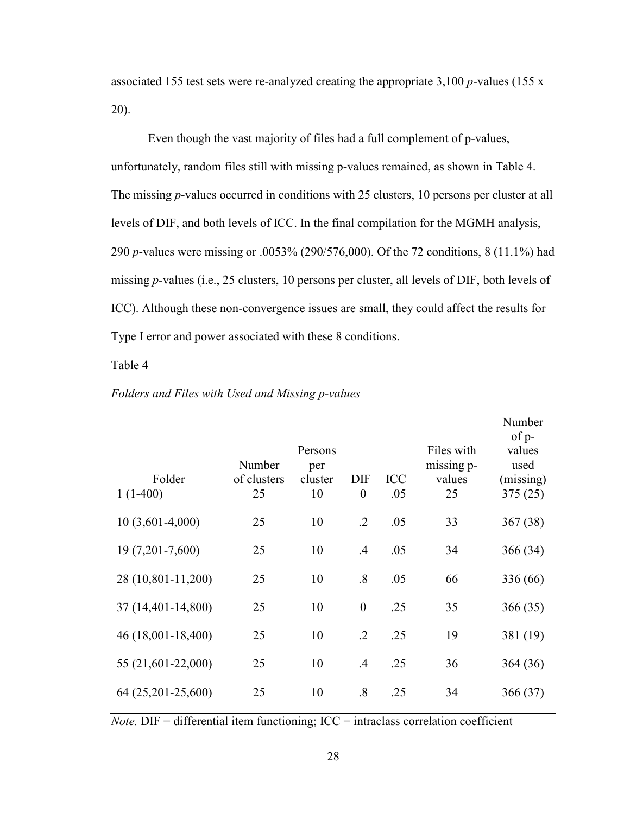associated 155 test sets were re-analyzed creating the appropriate 3,100 *p*-values (155 x 20).

Even though the vast majority of files had a full complement of p-values, unfortunately, random files still with missing p-values remained, as shown in Table 4. The missing *p*-values occurred in conditions with 25 clusters, 10 persons per cluster at all levels of DIF, and both levels of ICC. In the final compilation for the MGMH analysis, 290 *p*-values were missing or .0053% (290/576,000). Of the 72 conditions, 8 (11.1%) had missing *p-*values (i.e., 25 clusters, 10 persons per cluster, all levels of DIF, both levels of ICC). Although these non-convergence issues are small, they could affect the results for Type I error and power associated with these 8 conditions.

Table 4

|                    |             |                |                  |            |            | Number          |
|--------------------|-------------|----------------|------------------|------------|------------|-----------------|
|                    |             | Persons        |                  |            | Files with | of p-<br>values |
|                    | Number      |                |                  |            | missing p- | used            |
| Folder             | of clusters | per<br>cluster | <b>DIF</b>       | <b>ICC</b> | values     | (missing)       |
| $1(1-400)$         | 25          | 10             | $\boldsymbol{0}$ | .05        | 25         | 375(25)         |
| $10(3,601-4,000)$  | 25          | 10             | $\cdot$ .2       | .05        | 33         | 367(38)         |
| 19 (7,201-7,600)   | 25          | 10             | .4               | .05        | 34         | 366(34)         |
| 28 (10,801-11,200) | 25          | 10             | .8               | .05        | 66         | 336 (66)        |
| 37 (14,401-14,800) | 25          | 10             | $\boldsymbol{0}$ | .25        | 35         | 366(35)         |
| 46 (18,001-18,400) | 25          | 10             | $\cdot$ .2       | .25        | 19         | 381 (19)        |
| 55 (21,601-22,000) | 25          | 10             | .4               | .25        | 36         | 364(36)         |
| 64 (25,201-25,600) | 25          | 10             | .8               | .25        | 34         | 366(37)         |

## *Folders and Files with Used and Missing p-values*

 $Note.$   $DIF = differential$  item functioning;  $ICC = intraclass correlation coefficient$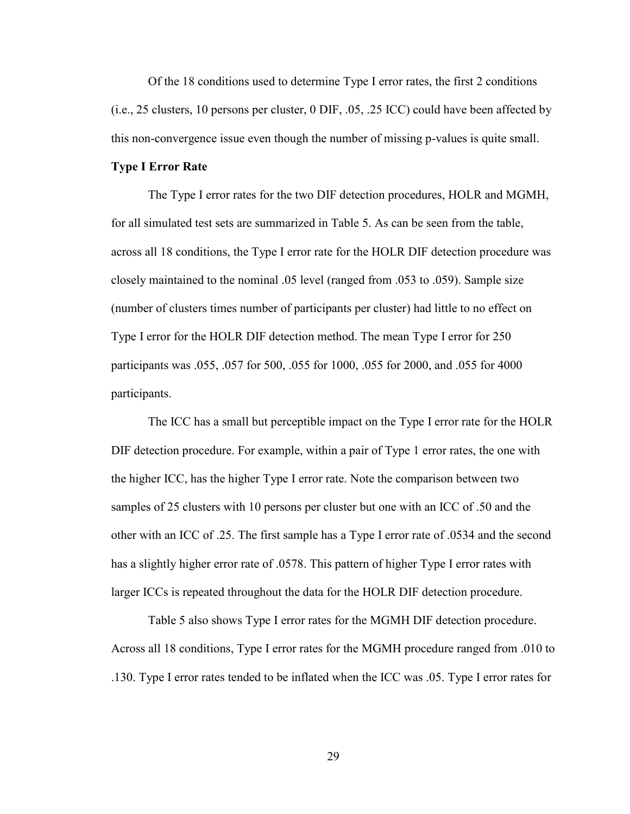Of the 18 conditions used to determine Type I error rates, the first 2 conditions (i.e., 25 clusters, 10 persons per cluster, 0 DIF, .05, .25 ICC) could have been affected by this non-convergence issue even though the number of missing p-values is quite small.

## **Type I Error Rate**

The Type I error rates for the two DIF detection procedures, HOLR and MGMH, for all simulated test sets are summarized in Table 5. As can be seen from the table, across all 18 conditions, the Type I error rate for the HOLR DIF detection procedure was closely maintained to the nominal .05 level (ranged from .053 to .059). Sample size (number of clusters times number of participants per cluster) had little to no effect on Type I error for the HOLR DIF detection method. The mean Type I error for 250 participants was .055, .057 for 500, .055 for 1000, .055 for 2000, and .055 for 4000 participants.

The ICC has a small but perceptible impact on the Type I error rate for the HOLR DIF detection procedure. For example, within a pair of Type 1 error rates, the one with the higher ICC, has the higher Type I error rate. Note the comparison between two samples of 25 clusters with 10 persons per cluster but one with an ICC of .50 and the other with an ICC of .25. The first sample has a Type I error rate of .0534 and the second has a slightly higher error rate of .0578. This pattern of higher Type I error rates with larger ICCs is repeated throughout the data for the HOLR DIF detection procedure.

Table 5 also shows Type I error rates for the MGMH DIF detection procedure. Across all 18 conditions, Type I error rates for the MGMH procedure ranged from .010 to .130. Type I error rates tended to be inflated when the ICC was .05. Type I error rates for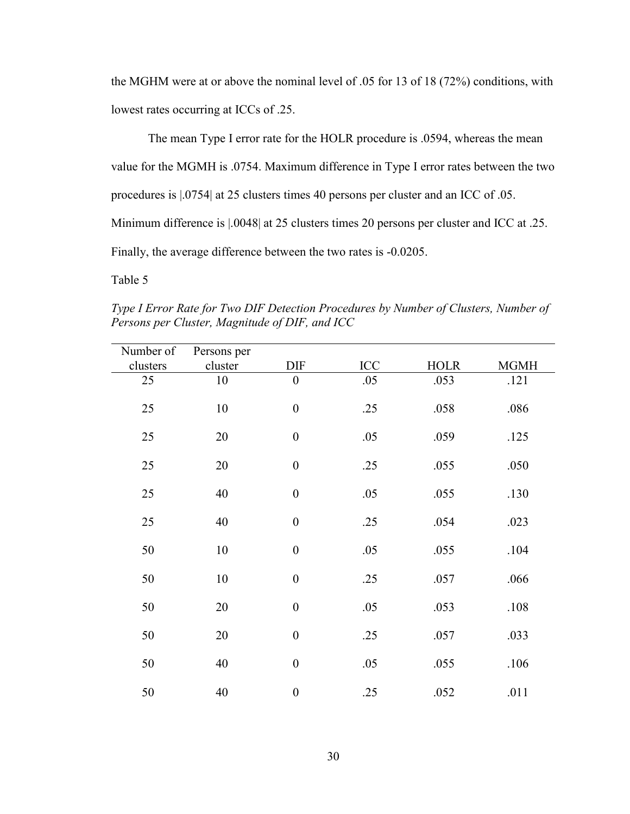the MGHM were at or above the nominal level of .05 for 13 of 18 (72%) conditions, with lowest rates occurring at ICCs of .25.

The mean Type I error rate for the HOLR procedure is .0594, whereas the mean value for the MGMH is .0754. Maximum difference in Type I error rates between the two procedures is |.0754| at 25 clusters times 40 persons per cluster and an ICC of .05. Minimum difference is  $|.0048|$  at 25 clusters times 20 persons per cluster and ICC at .25. Finally, the average difference between the two rates is -0.0205.

Table 5

*Type I Error Rate for Two DIF Detection Procedures by Number of Clusters, Number of Persons per Cluster, Magnitude of DIF, and ICC*

| Number of | Persons per |                  |     |             |             |
|-----------|-------------|------------------|-----|-------------|-------------|
| clusters  | cluster     | DIF              | ICC | <b>HOLR</b> | <b>MGMH</b> |
| 25        | 10          | $\boldsymbol{0}$ | .05 | .053        | .121        |
| 25        | 10          | $\boldsymbol{0}$ | .25 | .058        | .086        |
| 25        | 20          | $\boldsymbol{0}$ | .05 | .059        | .125        |
| 25        | 20          | $\boldsymbol{0}$ | .25 | .055        | .050        |
| 25        | 40          | $\boldsymbol{0}$ | .05 | .055        | .130        |
| 25        | 40          | $\boldsymbol{0}$ | .25 | .054        | .023        |
| 50        | 10          | $\boldsymbol{0}$ | .05 | .055        | .104        |
| 50        | 10          | $\boldsymbol{0}$ | .25 | .057        | .066        |
| 50        | 20          | $\boldsymbol{0}$ | .05 | .053        | .108        |
| 50        | 20          | $\boldsymbol{0}$ | .25 | .057        | .033        |
| 50        | 40          | $\boldsymbol{0}$ | .05 | .055        | .106        |
| 50        | 40          | $\boldsymbol{0}$ | .25 | .052        | .011        |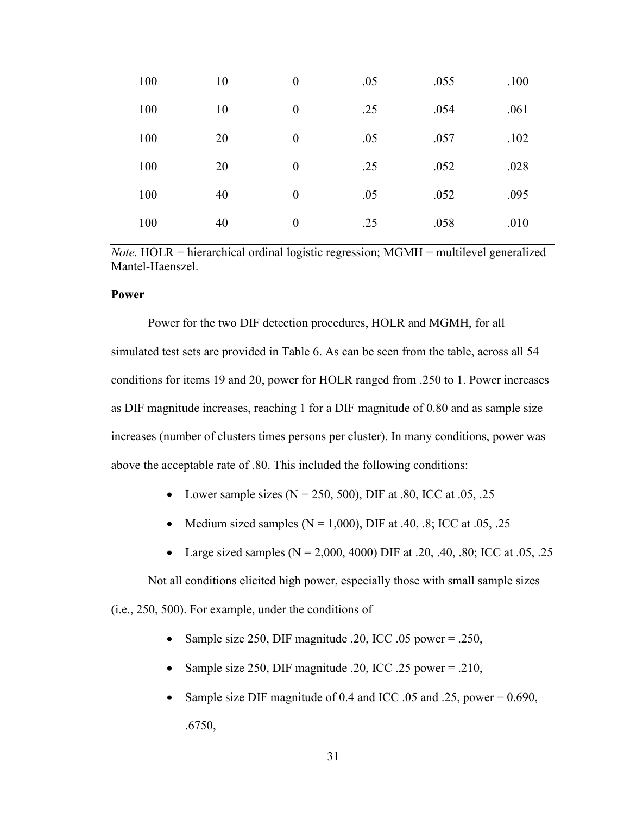| 100 | 10 | $\boldsymbol{0}$ | .05 | .055 | .100 |
|-----|----|------------------|-----|------|------|
| 100 | 10 | $\boldsymbol{0}$ | .25 | .054 | .061 |
| 100 | 20 | $\boldsymbol{0}$ | .05 | .057 | .102 |
| 100 | 20 | $\boldsymbol{0}$ | .25 | .052 | .028 |
| 100 | 40 | $\boldsymbol{0}$ | .05 | .052 | .095 |
| 100 | 40 | $\boldsymbol{0}$ | .25 | .058 | .010 |

*Note.* HOLR = hierarchical ordinal logistic regression; MGMH = multilevel generalized Mantel-Haenszel.

# **Power**

Power for the two DIF detection procedures, HOLR and MGMH, for all simulated test sets are provided in Table 6. As can be seen from the table, across all 54 conditions for items 19 and 20, power for HOLR ranged from .250 to 1. Power increases as DIF magnitude increases, reaching 1 for a DIF magnitude of 0.80 and as sample size increases (number of clusters times persons per cluster). In many conditions, power was above the acceptable rate of .80. This included the following conditions:

- Lower sample sizes  $(N = 250, 500)$ , DIF at .80, ICC at .05, .25
- Medium sized samples ( $N = 1,000$ ), DIF at .40, .8; ICC at .05, .25
- Large sized samples ( $N = 2,000, 4000$ ) DIF at .20, .40, .80; ICC at .05, .25

Not all conditions elicited high power, especially those with small sample sizes

(i.e., 250, 500). For example, under the conditions of

- Sample size 250, DIF magnitude .20, ICC .05 power = .250,
- Sample size 250, DIF magnitude .20, ICC .25 power = .210,
- Sample size DIF magnitude of  $0.4$  and ICC  $.05$  and  $.25$ , power = 0.690, .6750,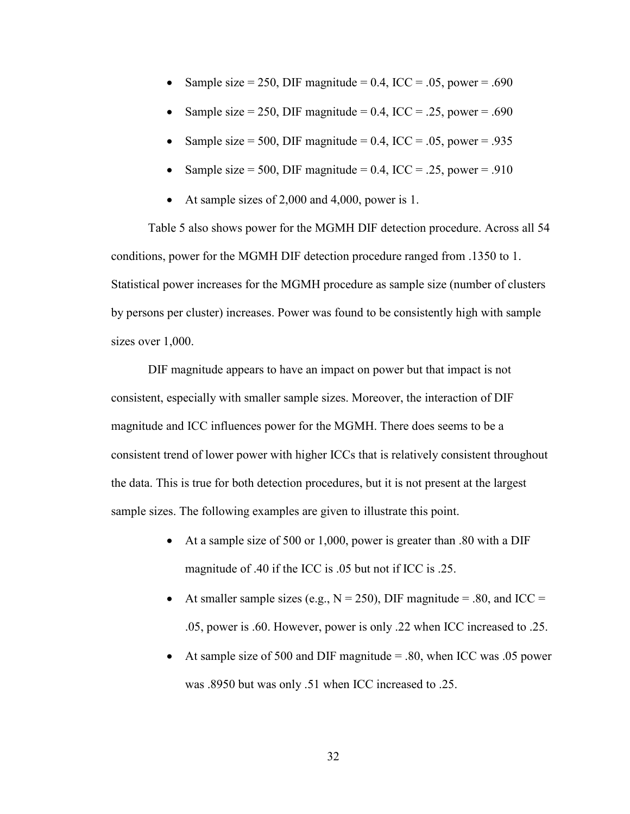- Sample size = 250, DIF magnitude =  $0.4$ , ICC =  $.05$ , power =  $.690$
- Sample size = 250, DIF magnitude =  $0.4$ , ICC = .25, power = .690
- Sample size = 500, DIF magnitude =  $0.4$ , ICC =  $.05$ , power =  $.935$
- Sample size = 500, DIF magnitude =  $0.4$ , ICC =  $.25$ , power =  $.910$
- At sample sizes of 2,000 and 4,000, power is 1.

Table 5 also shows power for the MGMH DIF detection procedure. Across all 54 conditions, power for the MGMH DIF detection procedure ranged from .1350 to 1. Statistical power increases for the MGMH procedure as sample size (number of clusters by persons per cluster) increases. Power was found to be consistently high with sample sizes over 1,000.

DIF magnitude appears to have an impact on power but that impact is not consistent, especially with smaller sample sizes. Moreover, the interaction of DIF magnitude and ICC influences power for the MGMH. There does seems to be a consistent trend of lower power with higher ICCs that is relatively consistent throughout the data. This is true for both detection procedures, but it is not present at the largest sample sizes. The following examples are given to illustrate this point.

- At a sample size of 500 or 1,000, power is greater than .80 with a DIF magnitude of .40 if the ICC is .05 but not if ICC is .25.
- At smaller sample sizes (e.g.,  $N = 250$ ), DIF magnitude = .80, and ICC = .05, power is .60. However, power is only .22 when ICC increased to .25.
- At sample size of 500 and DIF magnitude  $= .80$ , when ICC was 0.05 power was .8950 but was only .51 when ICC increased to .25.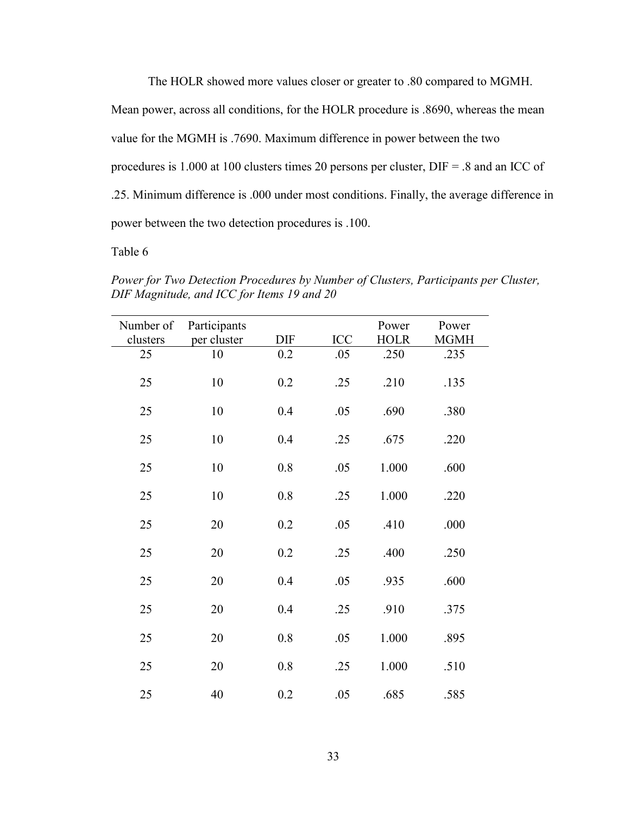The HOLR showed more values closer or greater to .80 compared to MGMH.

Mean power, across all conditions, for the HOLR procedure is .8690, whereas the mean

value for the MGMH is .7690. Maximum difference in power between the two

procedures is 1.000 at 100 clusters times 20 persons per cluster, DIF = .8 and an ICC of

.25. Minimum difference is .000 under most conditions. Finally, the average difference in

power between the two detection procedures is .100.

Table 6

*Power for Two Detection Procedures by Number of Clusters, Participants per Cluster, DIF Magnitude, and ICC for Items 19 and 20* 

| Number of | Participants |            |            | Power       | Power       |
|-----------|--------------|------------|------------|-------------|-------------|
| clusters  | per cluster  | <b>DIF</b> | <b>ICC</b> | <b>HOLR</b> | <b>MGMH</b> |
| 25        | 10           | 0.2        | .05        | .250        | .235        |
| 25        | 10           | 0.2        | .25        | .210        | .135        |
| 25        | 10           | 0.4        | .05        | .690        | .380        |
| 25        | 10           | 0.4        | .25        | .675        | .220        |
| 25        | 10           | 0.8        | .05        | 1.000       | .600        |
| 25        | 10           | 0.8        | .25        | 1.000       | .220        |
| 25        | 20           | 0.2        | .05        | .410        | .000        |
| 25        | 20           | 0.2        | .25        | .400        | .250        |
| 25        | 20           | 0.4        | .05        | .935        | .600        |
| 25        | 20           | 0.4        | .25        | .910        | .375        |
| 25        | 20           | 0.8        | .05        | 1.000       | .895        |
| 25        | 20           | 0.8        | .25        | 1.000       | .510        |
| 25        | 40           | 0.2        | .05        | .685        | .585        |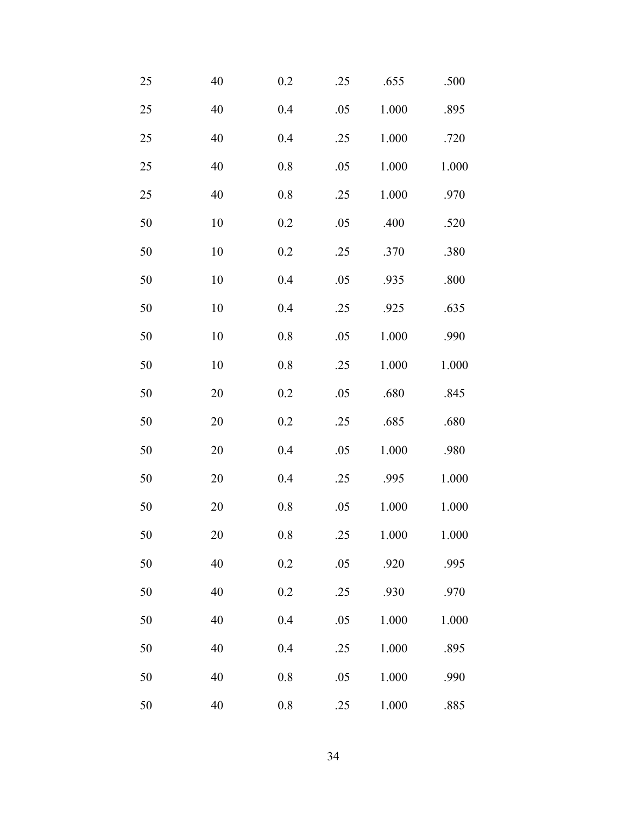| $25\,$ | 40     | 0.2     | .25 | .655  | .500  |
|--------|--------|---------|-----|-------|-------|
| 25     | 40     | 0.4     | .05 | 1.000 | .895  |
| 25     | 40     | 0.4     | .25 | 1.000 | .720  |
| 25     | 40     | $0.8\,$ | .05 | 1.000 | 1.000 |
| 25     | $40\,$ | 0.8     | .25 | 1.000 | .970  |
| 50     | $10\,$ | 0.2     | .05 | .400  | .520  |
| 50     | $10\,$ | 0.2     | .25 | .370  | .380  |
| 50     | $10\,$ | 0.4     | .05 | .935  | .800  |
| 50     | $10\,$ | 0.4     | .25 | .925  | .635  |
| 50     | $10\,$ | $0.8\,$ | .05 | 1.000 | .990  |
| 50     | $10\,$ | $0.8\,$ | .25 | 1.000 | 1.000 |
| 50     | 20     | 0.2     | .05 | .680  | .845  |
| 50     | $20\,$ | 0.2     | .25 | .685  | .680  |
| 50     | $20\,$ | 0.4     | .05 | 1.000 | .980  |
| 50     | 20     | 0.4     | .25 | .995  | 1.000 |
| 50     | $20\,$ | 0.8     | .05 | 1.000 | 1.000 |
| 50     | 20     | 0.8     | .25 | 1.000 | 1.000 |
| 50     | 40     | $0.2\,$ | .05 | .920  | .995  |
| 50     | 40     | 0.2     | .25 | .930  | .970  |
| 50     | 40     | 0.4     | .05 | 1.000 | 1.000 |
| 50     | 40     | 0.4     | .25 | 1.000 | .895  |
| 50     | 40     | 0.8     | .05 | 1.000 | .990  |
| 50     | $40\,$ | $0.8\,$ | .25 | 1.000 | .885  |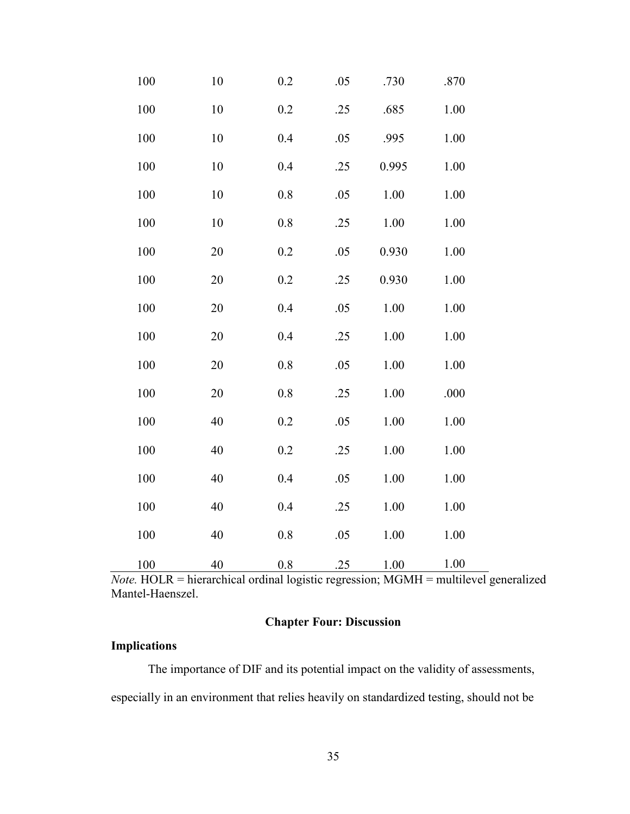| 100     | 10 | 0.2 | .05 | .730  | .870 |
|---------|----|-----|-----|-------|------|
| 100     | 10 | 0.2 | .25 | .685  | 1.00 |
| $100\,$ | 10 | 0.4 | .05 | .995  | 1.00 |
| 100     | 10 | 0.4 | .25 | 0.995 | 1.00 |
| 100     | 10 | 0.8 | .05 | 1.00  | 1.00 |
| 100     | 10 | 0.8 | .25 | 1.00  | 1.00 |
| 100     | 20 | 0.2 | .05 | 0.930 | 1.00 |
| 100     | 20 | 0.2 | .25 | 0.930 | 1.00 |
| 100     | 20 | 0.4 | .05 | 1.00  | 1.00 |
| 100     | 20 | 0.4 | .25 | 1.00  | 1.00 |
| 100     | 20 | 0.8 | .05 | 1.00  | 1.00 |
| 100     | 20 | 0.8 | .25 | 1.00  | .000 |
| 100     | 40 | 0.2 | .05 | 1.00  | 1.00 |
| 100     | 40 | 0.2 | .25 | 1.00  | 1.00 |
| 100     | 40 | 0.4 | .05 | 1.00  | 1.00 |
| 100     | 40 | 0.4 | .25 | 1.00  | 1.00 |
| 100     | 40 | 0.8 | .05 | 1.00  | 1.00 |
| 100     | 40 | 0.8 | .25 | 1.00  | 1.00 |

*Note.* HOLR = hierarchical ordinal logistic regression; MGMH = multilevel generalized Mantel-Haenszel.

# **Chapter Four: Discussion**

# **Implications**

The importance of DIF and its potential impact on the validity of assessments, especially in an environment that relies heavily on standardized testing, should not be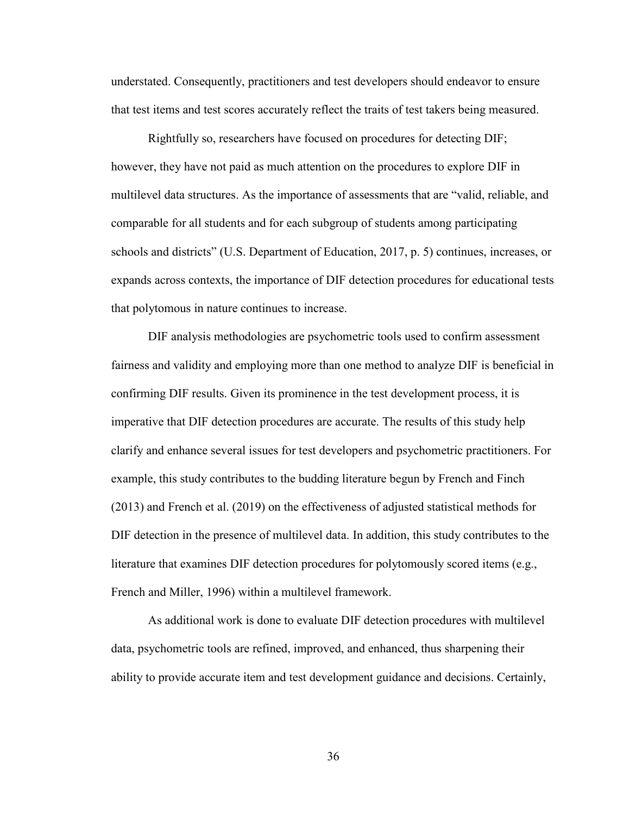understated. Consequently, practitioners and test developers should endeavor to ensure that test items and test scores accurately reflect the traits of test takers being measured.

Rightfully so, researchers have focused on procedures for detecting DIF; however, they have not paid as much attention on the procedures to explore DIF in multilevel data structures. As the importance of assessments that are "valid, reliable, and comparable for all students and for each subgroup of students among participating schools and districts" (U.S. Department of Education, 2017, p. 5) continues, increases, or expands across contexts, the importance of DIF detection procedures for educational tests that polytomous in nature continues to increase.

DIF analysis methodologies are psychometric tools used to confirm assessment fairness and validity and employing more than one method to analyze DIF is beneficial in confirming DIF results. Given its prominence in the test development process, it is imperative that DIF detection procedures are accurate. The results of this study help clarify and enhance several issues for test developers and psychometric practitioners. For example, this study contributes to the budding literature begun by French and Finch (2013) and French et al. (2019) on the effectiveness of adjusted statistical methods for DIF detection in the presence of multilevel data. In addition, this study contributes to the literature that examines DIF detection procedures for polytomously scored items (e.g., French and Miller, 1996) within a multilevel framework.

As additional work is done to evaluate DIF detection procedures with multilevel data, psychometric tools are refined, improved, and enhanced, thus sharpening their ability to provide accurate item and test development guidance and decisions. Certainly,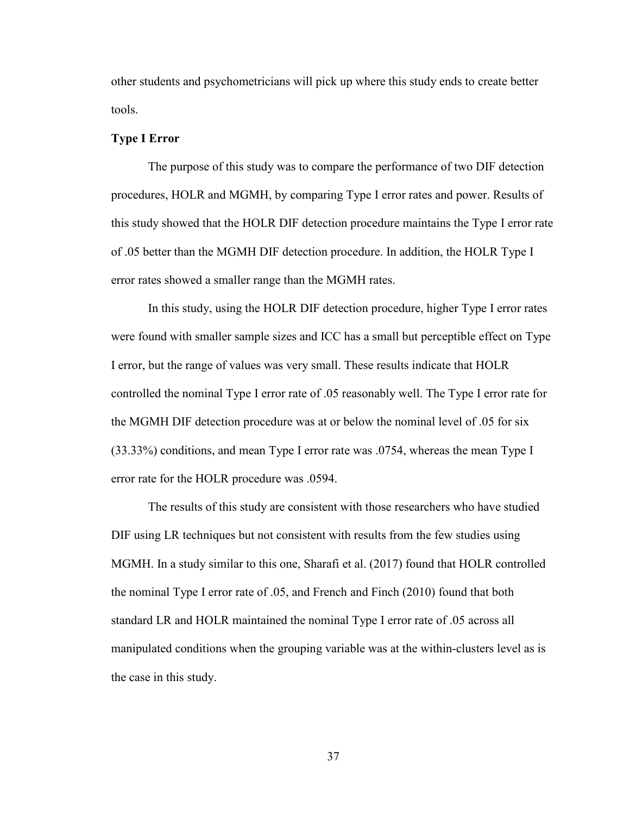other students and psychometricians will pick up where this study ends to create better tools.

# **Type I Error**

The purpose of this study was to compare the performance of two DIF detection procedures, HOLR and MGMH, by comparing Type I error rates and power. Results of this study showed that the HOLR DIF detection procedure maintains the Type I error rate of .05 better than the MGMH DIF detection procedure. In addition, the HOLR Type I error rates showed a smaller range than the MGMH rates.

In this study, using the HOLR DIF detection procedure, higher Type I error rates were found with smaller sample sizes and ICC has a small but perceptible effect on Type I error, but the range of values was very small. These results indicate that HOLR controlled the nominal Type I error rate of .05 reasonably well. The Type I error rate for the MGMH DIF detection procedure was at or below the nominal level of .05 for six (33.33%) conditions, and mean Type I error rate was .0754, whereas the mean Type I error rate for the HOLR procedure was .0594.

The results of this study are consistent with those researchers who have studied DIF using LR techniques but not consistent with results from the few studies using MGMH. In a study similar to this one, Sharafi et al. (2017) found that HOLR controlled the nominal Type I error rate of .05, and French and Finch (2010) found that both standard LR and HOLR maintained the nominal Type I error rate of .05 across all manipulated conditions when the grouping variable was at the within-clusters level as is the case in this study.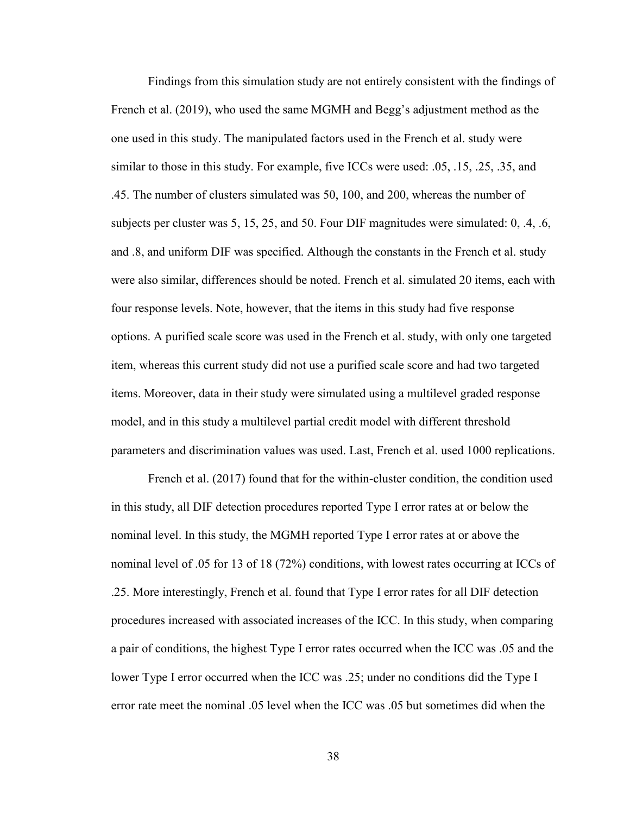Findings from this simulation study are not entirely consistent with the findings of French et al. (2019), who used the same MGMH and Begg's adjustment method as the one used in this study. The manipulated factors used in the French et al. study were similar to those in this study. For example, five ICCs were used: .05, .15, .25, .35, and .45. The number of clusters simulated was 50, 100, and 200, whereas the number of subjects per cluster was 5, 15, 25, and 50. Four DIF magnitudes were simulated: 0, .4, .6, and .8, and uniform DIF was specified. Although the constants in the French et al. study were also similar, differences should be noted. French et al. simulated 20 items, each with four response levels. Note, however, that the items in this study had five response options. A purified scale score was used in the French et al. study, with only one targeted item, whereas this current study did not use a purified scale score and had two targeted items. Moreover, data in their study were simulated using a multilevel graded response model, and in this study a multilevel partial credit model with different threshold parameters and discrimination values was used. Last, French et al. used 1000 replications.

French et al. (2017) found that for the within-cluster condition, the condition used in this study, all DIF detection procedures reported Type I error rates at or below the nominal level. In this study, the MGMH reported Type I error rates at or above the nominal level of .05 for 13 of 18 (72%) conditions, with lowest rates occurring at ICCs of .25. More interestingly, French et al. found that Type I error rates for all DIF detection procedures increased with associated increases of the ICC. In this study, when comparing a pair of conditions, the highest Type I error rates occurred when the ICC was .05 and the lower Type I error occurred when the ICC was .25; under no conditions did the Type I error rate meet the nominal .05 level when the ICC was .05 but sometimes did when the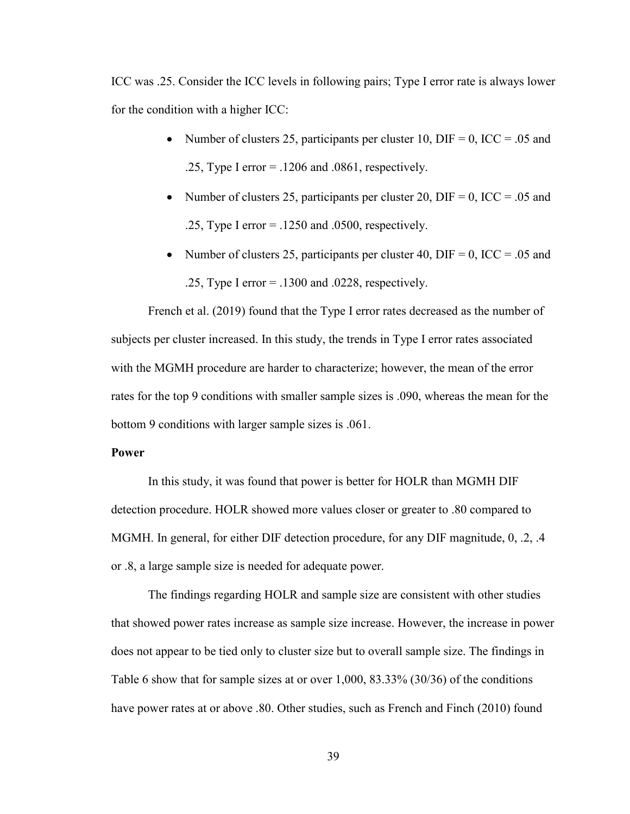ICC was .25. Consider the ICC levels in following pairs; Type I error rate is always lower for the condition with a higher ICC:

- Number of clusters 25, participants per cluster 10, DIF = 0, ICC = .05 and .25, Type I error  $=$  .1206 and .0861, respectively.
- Number of clusters 25, participants per cluster 20, DIF = 0, ICC = .05 and .25, Type I error = .1250 and .0500, respectively.
- Number of clusters 25, participants per cluster 40, DIF = 0, ICC = .05 and .25, Type I error = .1300 and .0228, respectively.

French et al. (2019) found that the Type I error rates decreased as the number of subjects per cluster increased. In this study, the trends in Type I error rates associated with the MGMH procedure are harder to characterize; however, the mean of the error rates for the top 9 conditions with smaller sample sizes is .090, whereas the mean for the bottom 9 conditions with larger sample sizes is .061.

### **Power**

In this study, it was found that power is better for HOLR than MGMH DIF detection procedure. HOLR showed more values closer or greater to .80 compared to MGMH. In general, for either DIF detection procedure, for any DIF magnitude, 0, .2, .4 or .8, a large sample size is needed for adequate power.

The findings regarding HOLR and sample size are consistent with other studies that showed power rates increase as sample size increase. However, the increase in power does not appear to be tied only to cluster size but to overall sample size. The findings in Table 6 show that for sample sizes at or over 1,000, 83.33% (30/36) of the conditions have power rates at or above .80. Other studies, such as French and Finch (2010) found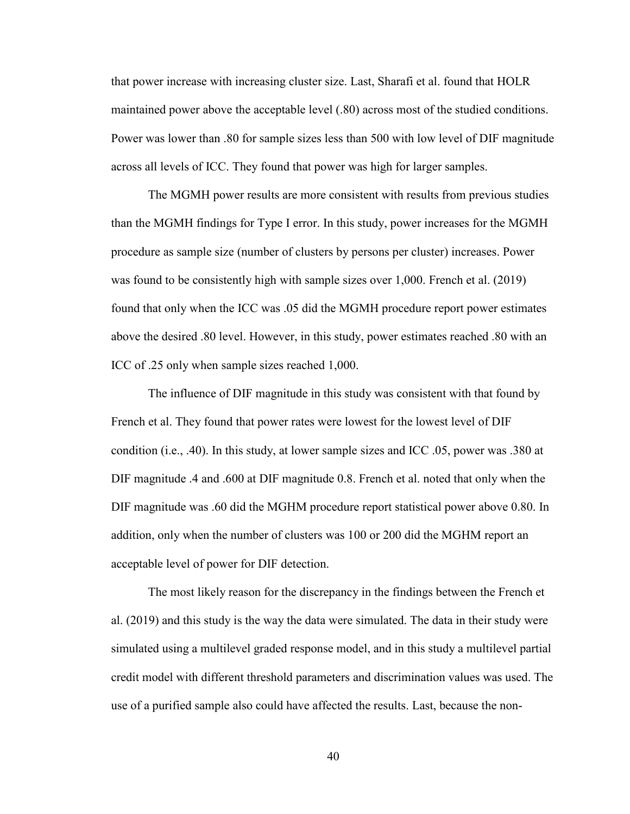that power increase with increasing cluster size. Last, Sharafi et al. found that HOLR maintained power above the acceptable level (.80) across most of the studied conditions. Power was lower than .80 for sample sizes less than 500 with low level of DIF magnitude across all levels of ICC. They found that power was high for larger samples.

The MGMH power results are more consistent with results from previous studies than the MGMH findings for Type I error. In this study, power increases for the MGMH procedure as sample size (number of clusters by persons per cluster) increases. Power was found to be consistently high with sample sizes over 1,000. French et al. (2019) found that only when the ICC was .05 did the MGMH procedure report power estimates above the desired .80 level. However, in this study, power estimates reached .80 with an ICC of .25 only when sample sizes reached 1,000.

The influence of DIF magnitude in this study was consistent with that found by French et al. They found that power rates were lowest for the lowest level of DIF condition (i.e., .40). In this study, at lower sample sizes and ICC .05, power was .380 at DIF magnitude .4 and .600 at DIF magnitude 0.8. French et al. noted that only when the DIF magnitude was .60 did the MGHM procedure report statistical power above 0.80. In addition, only when the number of clusters was 100 or 200 did the MGHM report an acceptable level of power for DIF detection.

The most likely reason for the discrepancy in the findings between the French et al. (2019) and this study is the way the data were simulated. The data in their study were simulated using a multilevel graded response model, and in this study a multilevel partial credit model with different threshold parameters and discrimination values was used. The use of a purified sample also could have affected the results. Last, because the non-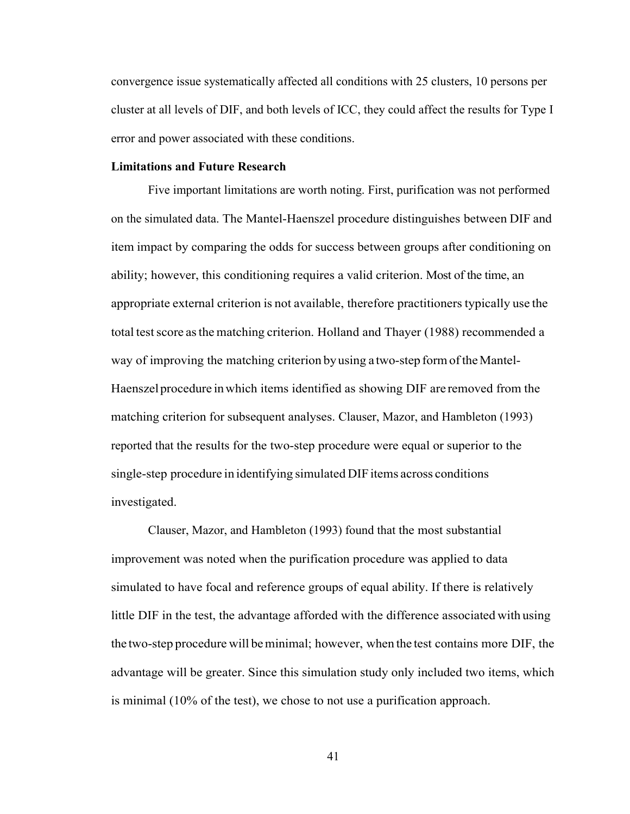convergence issue systematically affected all conditions with 25 clusters, 10 persons per cluster at all levels of DIF, and both levels of ICC, they could affect the results for Type I error and power associated with these conditions.

## **Limitations and Future Research**

Five important limitations are worth noting. First, purification was not performed on the simulated data. The Mantel-Haenszel procedure distinguishes between DIF and item impact by comparing the odds for success between groups after conditioning on ability; however, this conditioning requires a valid criterion. Most of the time, an appropriate external criterion is not available, therefore practitioners typically use the total test score as the matching criterion. Holland and Thayer (1988) recommended a way of improving the matching criterion by using a two-step form of the Mantel-Haenszelprocedure inwhich items identified as showing DIF are removed from the matching criterion for subsequent analyses. Clauser, Mazor, and Hambleton (1993) reported that the results for the two-step procedure were equal or superior to the single-step procedure in identifying simulated DIF items across conditions investigated.

Clauser, Mazor, and Hambleton (1993) found that the most substantial improvement was noted when the purification procedure was applied to data simulated to have focal and reference groups of equal ability. If there is relatively little DIF in the test, the advantage afforded with the difference associated with using the two-step procedure will beminimal; however, when the test contains more DIF, the advantage will be greater. Since this simulation study only included two items, which is minimal (10% of the test), we chose to not use a purification approach.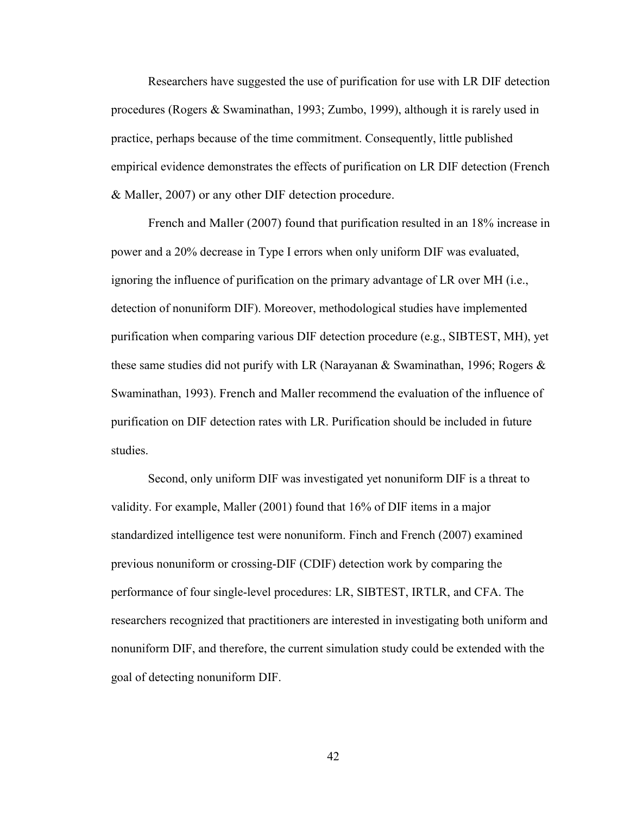Researchers have suggested the use of purification for use with LR DIF detection procedures (Rogers & Swaminathan, 1993; Zumbo, 1999), although it is rarely used in practice, perhaps because of the time commitment. Consequently, little published empirical evidence demonstrates the effects of purification on LR DIF detection (French & Maller, 2007) or any other DIF detection procedure.

French and Maller (2007) found that purification resulted in an 18% increase in power and a 20% decrease in Type I errors when only uniform DIF was evaluated, ignoring the influence of purification on the primary advantage of LR over MH (i.e., detection of nonuniform DIF). Moreover, methodological studies have implemented purification when comparing various DIF detection procedure (e.g., SIBTEST, MH), yet these same studies did not purify with LR (Narayanan & Swaminathan, 1996; Rogers  $\&$ Swaminathan, 1993). French and Maller recommend the evaluation of the influence of purification on DIF detection rates with LR. Purification should be included in future studies.

Second, only uniform DIF was investigated yet nonuniform DIF is a threat to validity. For example, Maller (2001) found that 16% of DIF items in a major standardized intelligence test were nonuniform. Finch and French (2007) examined previous nonuniform or crossing-DIF (CDIF) detection work by comparing the performance of four single-level procedures: LR, SIBTEST, IRTLR, and CFA. The researchers recognized that practitioners are interested in investigating both uniform and nonuniform DIF, and therefore, the current simulation study could be extended with the goal of detecting nonuniform DIF.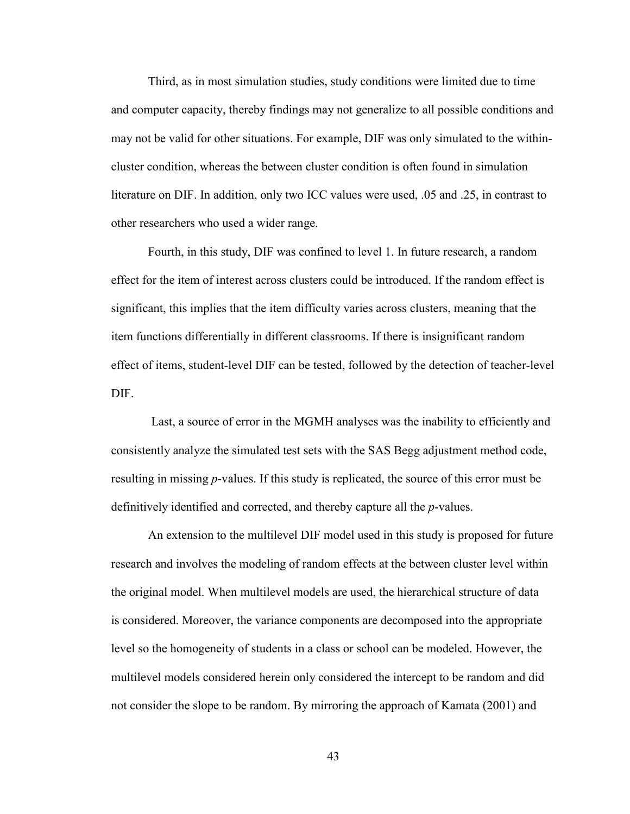Third, as in most simulation studies, study conditions were limited due to time and computer capacity, thereby findings may not generalize to all possible conditions and may not be valid for other situations. For example, DIF was only simulated to the withincluster condition, whereas the between cluster condition is often found in simulation literature on DIF. In addition, only two ICC values were used, .05 and .25, in contrast to other researchers who used a wider range.

Fourth, in this study, DIF was confined to level 1. In future research, a random effect for the item of interest across clusters could be introduced. If the random effect is significant, this implies that the item difficulty varies across clusters, meaning that the item functions differentially in different classrooms. If there is insignificant random effect of items, student-level DIF can be tested, followed by the detection of teacher-level DIF.

Last, a source of error in the MGMH analyses was the inability to efficiently and consistently analyze the simulated test sets with the SAS Begg adjustment method code, resulting in missing *p*-values. If this study is replicated, the source of this error must be definitively identified and corrected, and thereby capture all the *p*-values.

An extension to the multilevel DIF model used in this study is proposed for future research and involves the modeling of random effects at the between cluster level within the original model. When multilevel models are used, the hierarchical structure of data is considered. Moreover, the variance components are decomposed into the appropriate level so the homogeneity of students in a class or school can be modeled. However, the multilevel models considered herein only considered the intercept to be random and did not consider the slope to be random. By mirroring the approach of Kamata (2001) and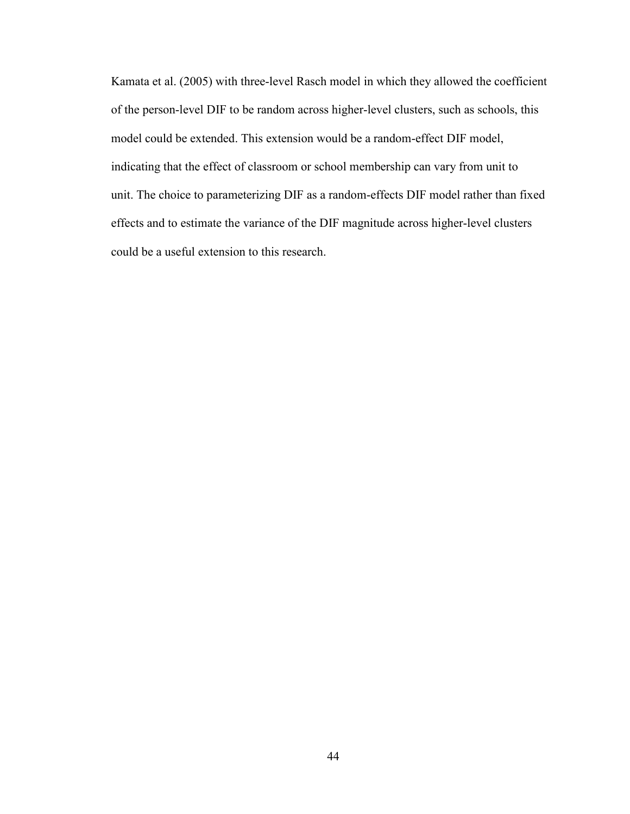Kamata et al. (2005) with three-level Rasch model in which they allowed the coefficient of the person-level DIF to be random across higher-level clusters, such as schools, this model could be extended. This extension would be a random-effect DIF model, indicating that the effect of classroom or school membership can vary from unit to unit. The choice to parameterizing DIF as a random-effects DIF model rather than fixed effects and to estimate the variance of the DIF magnitude across higher-level clusters could be a useful extension to this research.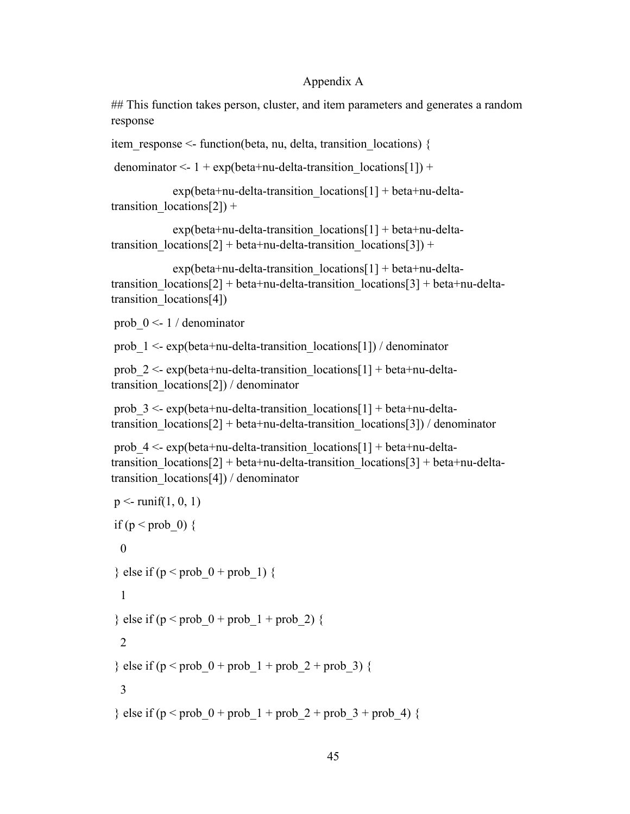## Appendix A

## This function takes person, cluster, and item parameters and generates a random response

item response  $\leq$  function(beta, nu, delta, transition locations) {

denominator <-  $1 + \exp(\beta t a + n u - \beta t a - \text{transition} \cdot \text{location}[1]) +$ 

```
exp(beta+nu-delta-transition~locations[1] + beta+nu-delta-transition localions[2]) +
```

```
exp(beta+nu-delta-transition~locations[1] + beta+nu-delta-transition localions[2] + beta+nu-delta-transition locations[3]) +
```

```
exp(beta+nu-delta-transition~locations[1] + beta+nu-delta-transition localions[2] + beta+nu-delta+transition locations[3] + beta+nu-delta-
transition locations[4])
```
prob  $0 \le -1 /$  denominator

prob  $1 \leq \exp(\beta t + n\omega - \delta t)$  denominator

prob  $2 <$ - exp(beta+nu-delta-transition locations[1] + beta+nu-deltatransition\_locations[2]) / denominator

prob  $3 < \exp{\theta}$  exp(beta+nu-delta-transition locations[1] + beta+nu-deltatransition  $localios[2] + beta+nu-delta-transition locations[3]) / denominator$ 

prob  $4 < \exp(\beta t)$  - exp(beta+nu-delta-transition locations[1] + beta+nu-deltatransition  $localios[2] + beta+nu-delta-transition$  locations[3] + beta+nu-deltatransition locations[4]) / denominator

```
p \le- runif(1, 0, 1)
if (p < prob_0) {
 \theta} else if (p < prob_0 + prob_1) {
  1
} else if (p < prob_0 + prob_1 + prob_2) {
  2
} else if (p < prob_0 + prob_1 + prob_2 + prob_3) {
  3
} else if (p < prob_0 + prob_1 + prob_2 + prob_3 + prob_4) {
```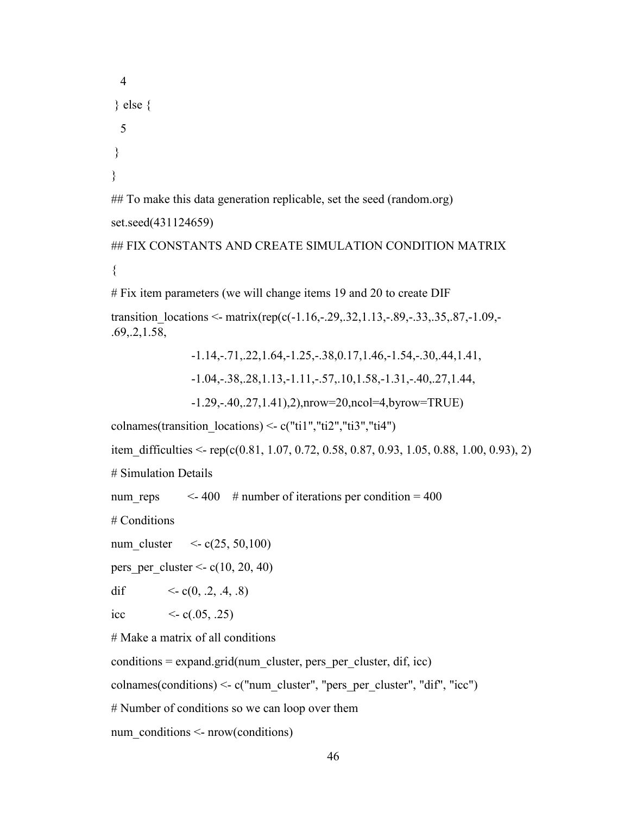```
 4
} else {
  5
}
}
## To make this data generation replicable, set the seed (random.org)
set.seed(431124659)
## FIX CONSTANTS AND CREATE SIMULATION CONDITION MATRIX
{
```
# Fix item parameters (we will change items 19 and 20 to create DIF

transition locations <- matrix(rep(c(-1.16,-.29,.32,1.13,-.89,-.33,.35,.87,-1.09,-.69,.2,1.58,

> -1.14,-.71,.22,1.64,-1.25,-.38,0.17,1.46,-1.54,-.30,.44,1.41, -1.04,-.38,.28,1.13,-1.11,-.57,.10,1.58,-1.31,-.40,.27,1.44,

-1.29,-.40,.27,1.41),2),nrow=20,ncol=4,byrow=TRUE)

colnames(transition locations) <- c("ti1","ti2","ti3","ti4")

item difficulties  $\leq$ - rep(c(0.81, 1.07, 0.72, 0.58, 0.87, 0.93, 1.05, 0.88, 1.00, 0.93), 2)

# Simulation Details

num reps  $\leq 400$  # number of iterations per condition = 400

# Conditions

num cluster  $\langle \csc(25, 50, 100) \rangle$ 

pers per cluster  $\le$  c(10, 20, 40)

dif  $\langle \text{c}(0, .2, .4, .8) \rangle$ 

icc  $\langle -c(.05, .25) \rangle$ 

# Make a matrix of all conditions

 $conditions = expand.grid(num cluster, pers per cluster, dif, icc)$ 

colnames(conditions) <- c("num\_cluster", "pers\_per\_cluster", "dif", "icc")

# Number of conditions so we can loop over them

num conditions  $\leq$ - nrow(conditions)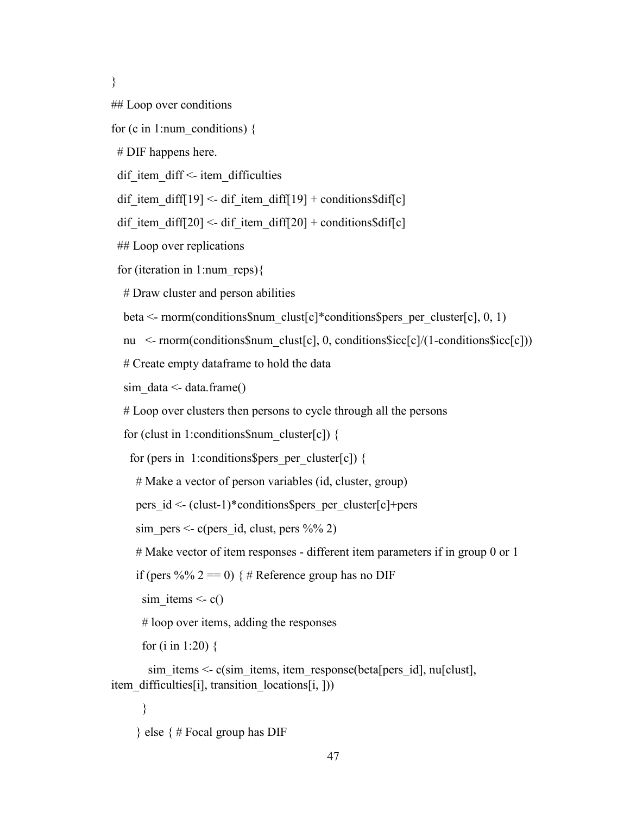}

## Loop over conditions

```
for (c in 1:num_conditions) \{
```
# DIF happens here.

dif item diff $\leq$  item difficulties

dif item diff[19] <- dif item diff[19] + conditions\$dif[c]

dif item diff[20] <- dif item diff[20] + conditions\$dif[c]

## Loop over replications

for (iteration in 1:num\_reps){

# Draw cluster and person abilities

beta  $\leq$ - rnorm(conditions\$num\_clust[c]\*conditions\$pers\_per\_cluster[c], 0, 1)

nu <- rnorm(conditions\$num\_clust[c], 0, conditions\$icc[c]/(1-conditions\$icc[c]))

# Create empty dataframe to hold the data

sim  $data < - data$ .frame()

# Loop over clusters then persons to cycle through all the persons

for (clust in 1:conditions\$num\_cluster[c]) {

for (pers in 1: conditions \$pers per cluster[c]) {

# Make a vector of person variables (id, cluster, group)

pers  $id \le (clust-1)*conditions$pers per cluster[c]+pers$ 

sim pers  $\le$  c(pers id, clust, pers %% 2)

# Make vector of item responses - different item parameters if in group 0 or 1

if (pers %% 2 = 0) { # Reference group has no DIF

sim items  $\leq c()$ 

# loop over items, adding the responses

for (i in 1:20) {

sim\_items <- c(sim\_items, item\_response(beta[pers\_id], nu[clust], item difficulties[i], transition locations[i, ]))

}

 $\}$  else  $\{ \#$  Focal group has DIF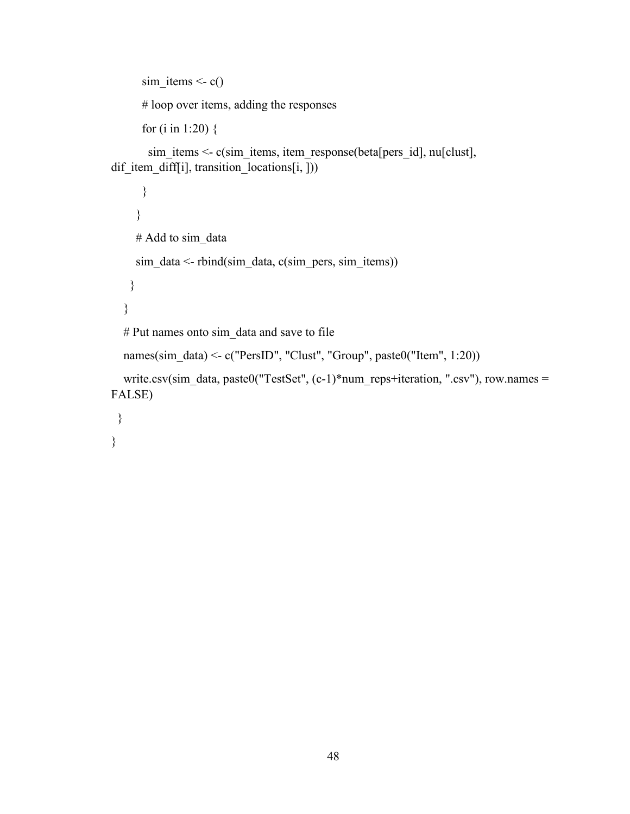```
sim items \leq c()
       # loop over items, adding the responses
       for (i in 1:20) {
       sim_items <- c(sim_items, item_response(beta[pers_id], nu[clust],
dif item_diff[i], transition_locations[i, ]))
       }
      }
```

```
# Add to sim_data
sim data \le- rbind(sim data, c(sim pers, sim items))
 }
```

```
 }
# Put names onto sim_data and save to file
```

```
names(sim_data) <- c("PersID", "Clust", "Group", paste0("Item", 1:20))
```

```
write.csv(sim_data, paste0("TestSet", (c-1)*num_reps+iteration, ".csv"), row.names =
FALSE)
```

```
 }
}
```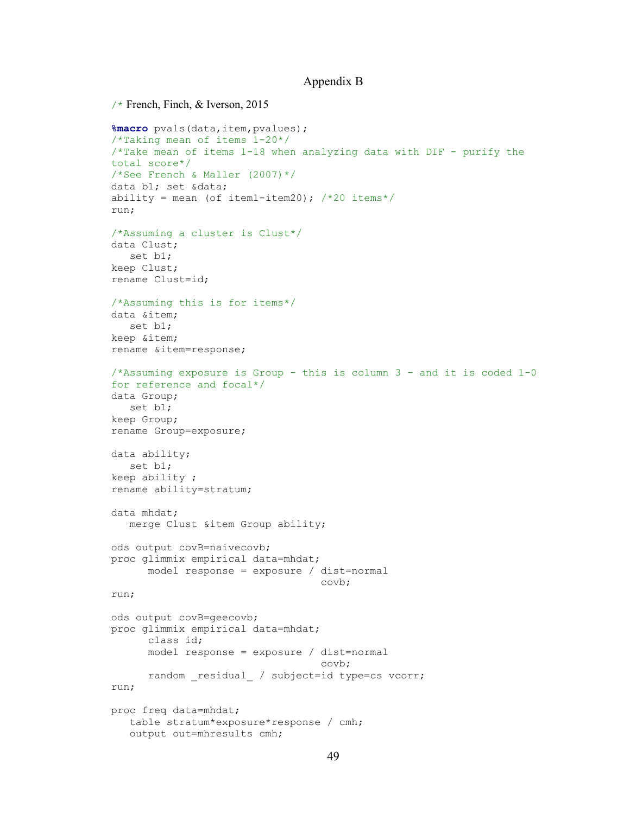## Appendix B

```
/* French, Finch, & Iverson, 2015
%macro pvals(data,item,pvalues);
/*Taking mean of items 1-20*/
/*Take mean of items 1-18 when analyzing data with DIF - purify the 
total score*/
/*See French & Maller (2007)*/
data b1; set &data;
ability = mean (of item1-item20); /*20 items*/
run;
/*Assuming a cluster is Clust*/
data Clust;
   set b1;
keep Clust;
rename Clust=id;
/*Assuming this is for items*/
data &item;
   set b1;
keep &item;
rename &item=response;
/*Assuming exposure is Group - this is column 3 - and it is coded 1-0 
for reference and focal*/
data Group;
   set b1;
keep Group;
rename Group=exposure;
data ability;
   set b1;
keep ability ;
rename ability=stratum;
data mhdat;
   merge Clust &item Group ability;
ods output covB=naivecovb;
proc glimmix empirical data=mhdat;
     model response = exposure / dist=normal<br>covb;
 covb;
run;
ods output covB=geecovb;
proc glimmix empirical data=mhdat;
      class id;
     model response = exposure / dist=normal<br>covb;
 covb;
     random residual / subject=id type=cs vcorr;
run;
proc freq data=mhdat;
   table stratum*exposure*response / cmh;
   output out=mhresults cmh;
```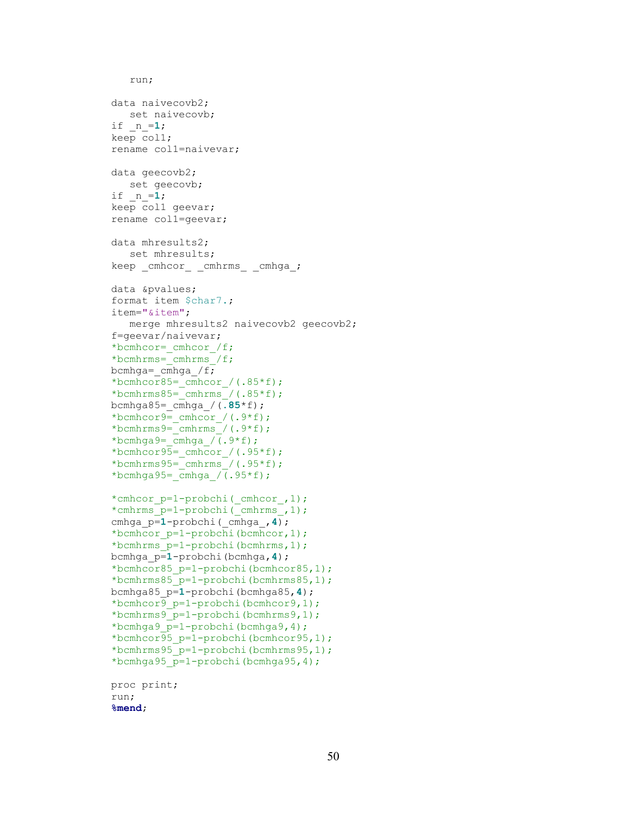```
 run;
data naivecovb2;
   set naivecovb;
if _n_=1;
keep col1;
rename col1=naivevar;
data geecovb2;
  set geecovb;
if _n_=1;
keep col1 geevar;
rename col1=geevar;
data mhresults2;
    set mhresults;
keep _cmhcor_ _cmhrms_ _cmhga_;
data &pvalues;
format item $char7.;
item="&item";
  merge mhresults2 naivecovb2 geecovb2;
f=geevar/naivevar;
*bcmhcor= cmhcor /f;
*bcmhrms=_cmhrms_/f;
bcmhga= cmhga /f;
*bcmhcor85= cmhcor /(.85*f);
*bcmhrms85= cmhrms /(.85*f);
bcmhga85=_cmhga_/(.85*f);
*bcmhcor9=_cmhcor_/(.9*f);
*bcmhrms9=cmhrms/(.9*f);
*bcmhga9=cmhga / (.9*f);
*bcmhcor95= cmhcor /(.95*f);
*bcmhrms95= cmhrms /(.95*f);
*bcmhga95=\overline{cm}hga_/(.95*f);
*cmhcor p=1-probchi( cmhcor, 1);
*cmhrms_p=1-probchi(_cmhrms_,1);
cmhga_p=1-probchi(_cmhga_,4);
*bcmhcor_p=1-probchi(bcmhcor,1);
*bcmhrms_p=1-probchi(bcmhrms,1);
bcmhga_p=1-probchi(bcmhga,4);
*bcmhcor85_p=1-probchi(bcmhcor85,1);
*bcmhrms85_p=1-probchi(bcmhrms85,1);
bcmhga85_p=1-probchi(bcmhga85,4);
*bcmhcor9_p=1-probchi(bcmhcor9,1);
*bcmhrms9_p=1-probchi(bcmhrms9,1);
*bcmhga9_p=1-probchi(bcmhga9,4);
*bcmhcor95_p=1-probchi(bcmhcor95,1);
*bcmhrms95_p=1-probchi(bcmhrms95,1);
*bcmhga95_p=1-probchi(bcmhga95,4);
proc print;
run;
%mend;
```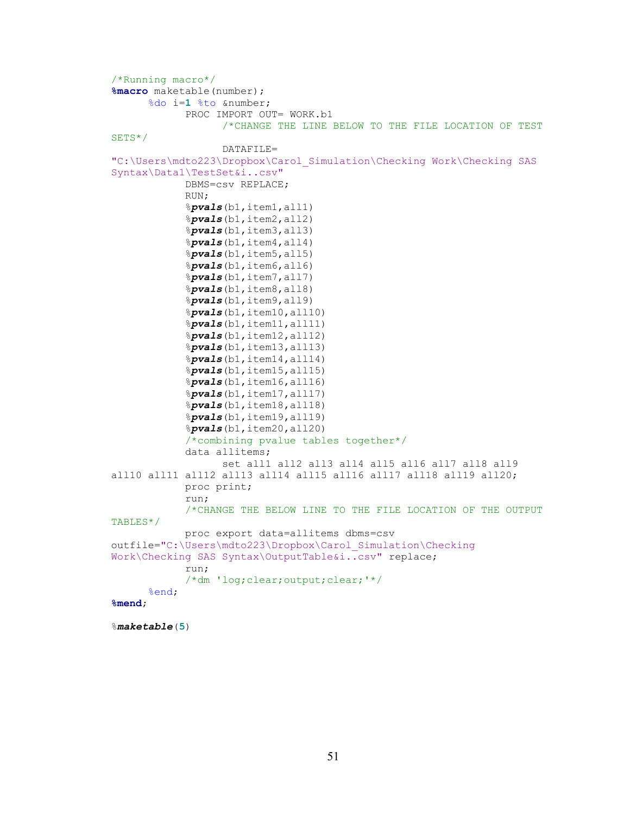```
/*Running macro*/
%macro maketable(number);
      %do i=1 %to &number;
            PROC IMPORT OUT= WORK.b1
                  /*CHANGE THE LINE BELOW TO THE FILE LOCATION OF TEST 
SETS*/
                   DATAFILE= 
"C:\Users\mdto223\Dropbox\Carol_Simulation\Checking Work\Checking SAS 
Syntax\Data1\TestSet&i..csv"
             DBMS=csv REPLACE;
            RUN;
            %pvals(b1,item1,all1)
            %pvals(b1,item2,all2)
            %pvals(b1,item3,all3)
            %pvals(b1,item4,all4)
            %pvals(b1,item5,all5)
            %pvals(b1,item6,all6)
            %pvals(b1,item7,all7)
            %pvals(b1,item8,all8)
            %pvals(b1,item9,all9)
            %pvals(b1,item10,all10)
            %pvals(b1,item11,all11)
            %pvals(b1,item12,all12)
            %pvals(b1,item13,all13)
            %pvals(b1,item14,all14)
            %pvals(b1,item15,all15)
            %pvals(b1,item16,all16)
            %pvals(b1,item17,all17)
            %pvals(b1,item18,all18)
            %pvals(b1,item19,all19)
            %pvals(b1,item20,all20)
            /*combining pvalue tables together*/
            data allitems;
                  set all1 all2 all3 all4 all5 all6 all7 all8 all9
all10 all11 all12 all13 all14 all15 all16 all17 all18 all19 all20;
            proc print;
            run; 
            /*CHANGE THE BELOW LINE TO THE FILE LOCATION OF THE OUTPUT 
TABLES*/
            proc export data=allitems dbms=csv 
outfile="C:\Users\mdto223\Dropbox\Carol_Simulation\Checking 
Work\Checking SAS Syntax\OutputTable&i..csv" replace;
            run;
            /*dm 'log;clear;output;clear;'*/
      %end;
%mend;
```
%*maketable*(**5**)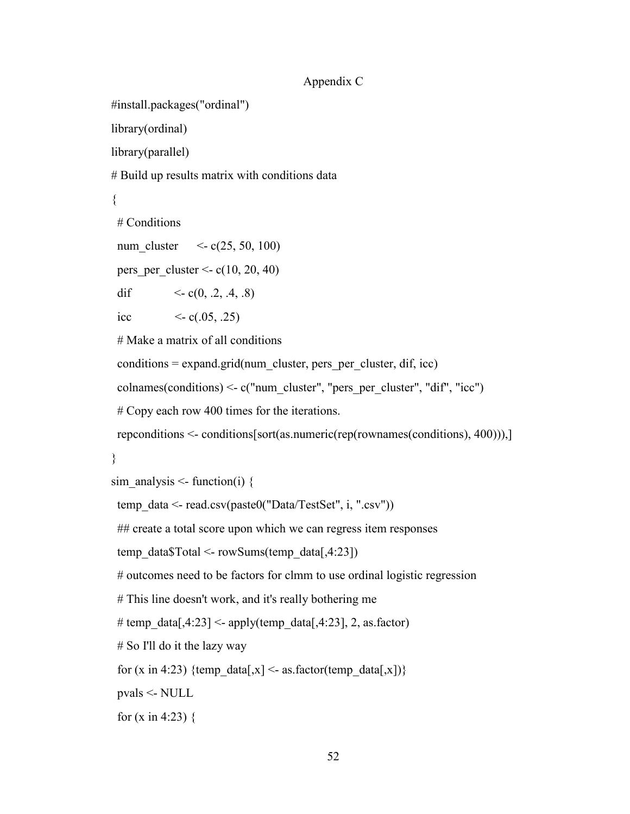# Appendix C

```
#install.packages("ordinal")
```
library(ordinal)

library(parallel)

# Build up results matrix with conditions data

```
{
```
# Conditions

num cluster  $\langle -c(25, 50, 100) \rangle$ 

pers per cluster  $\le$  c(10, 20, 40)

dif  $\langle \text{c}(0, .2, .4, .8) \rangle$ 

icc  $\langle -c(.05, .25) \rangle$ 

# Make a matrix of all conditions

 $conditions = expand.grid(num cluster, pers per cluster, dif, icc)$ 

colnames(conditions) <- c("num\_cluster", "pers\_per\_cluster", "dif", "icc")

# Copy each row 400 times for the iterations.

repconditions <- conditions[sort(as.numeric(rep(rownames(conditions), 400))),]

# }

```
sim_analysis <- function(i) {
```
temp\_data <- read.csv(paste0("Data/TestSet", i, ".csv"))

## create a total score upon which we can regress item responses

temp\_data\$Total <- rowSums(temp\_data[,4:23])

# outcomes need to be factors for clmm to use ordinal logistic regression

# This line doesn't work, and it's really bothering me

# temp\_data[,4:23] <- apply(temp\_data[,4:23], 2, as.factor)

# So I'll do it the lazy way

for (x in 4:23) {temp\_data[,x] <- as.factor(temp\_data[,x])}

pvals <- NULL

for  $(x \in (4:23)$  {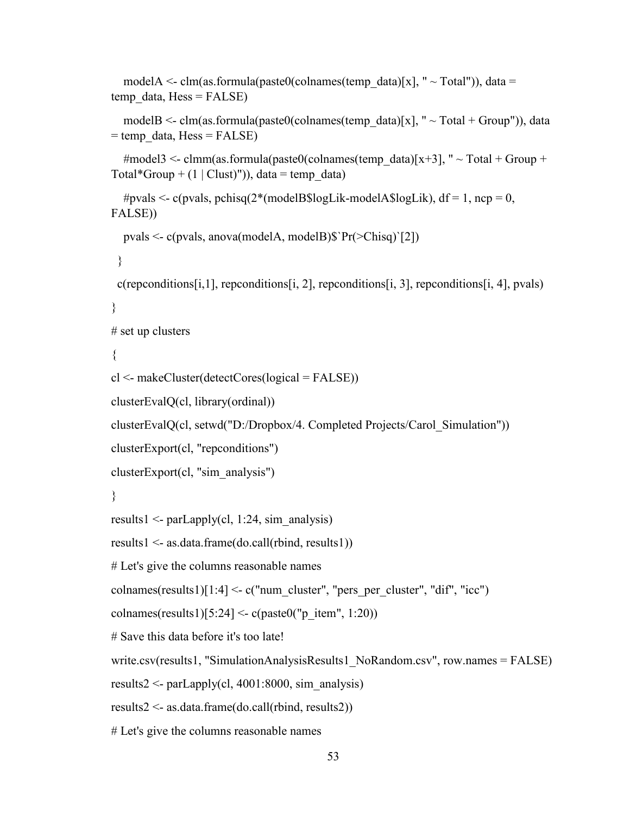```
modelA <- clm(as.formula(paste0(colnames(temp_data)[x], " ~ Total")), data =
temp data, Hess = FALSE)
  modelB <- clm(as.formula(paste0(colnames(temp_data)[x], " ~ Total + Group")), data
= temp_data, Hess = FALSE)
  #model3 <- clmm(as.formula(paste0(colnames(temp_data)[x+3], " ~ Total + Group +
Total*Group + (1 | Clust)")), data = temp_data)
  #pvals <- c(pvals, pchisq(2*(modelB$logLik-modelA$logLik), df = 1, ncp = 0,
FALSE))
   pvals <- c(pvals, anova(modelA, modelB)$`Pr(>Chisq)`[2]) 
  } 
  c(repconditions[i,1], repconditions[i, 2], repconditions[i, 3], repconditions[i, 4], pvals) 
} 
# set up clusters 
{ 
cl <- makeCluster(detectCores(logical = FALSE))
clusterEvalQ(cl, library(ordinal))
clusterEvalQ(cl, setwd("D:/Dropbox/4. Completed Projects/Carol_Simulation")) 
clusterExport(cl, "repconditions") 
clusterExport(cl, "sim_analysis")
} 
results1 <- parLapply(cl, 1:24, sim_analysis) 
results1 <- as.data.frame(do.call(rbind, results1)) 
# Let's give the columns reasonable names
colnames(results1)[1:4] \leq c("num_cluster", "pers_per_cluster", "dif", "icc")
colnames(results1)[5:24] <- c(paste0("p_item", 1:20))
# Save this data before it's too late! 
write.csv(results1, "SimulationAnalysisResults1_NoRandom.csv", row.names = FALSE) 
results2 <- parLapply(cl, 4001:8000, sim analysis)
results2 <- as.data.frame(do.call(rbind, results2)) 
# Let's give the columns reasonable names
```

```
53
```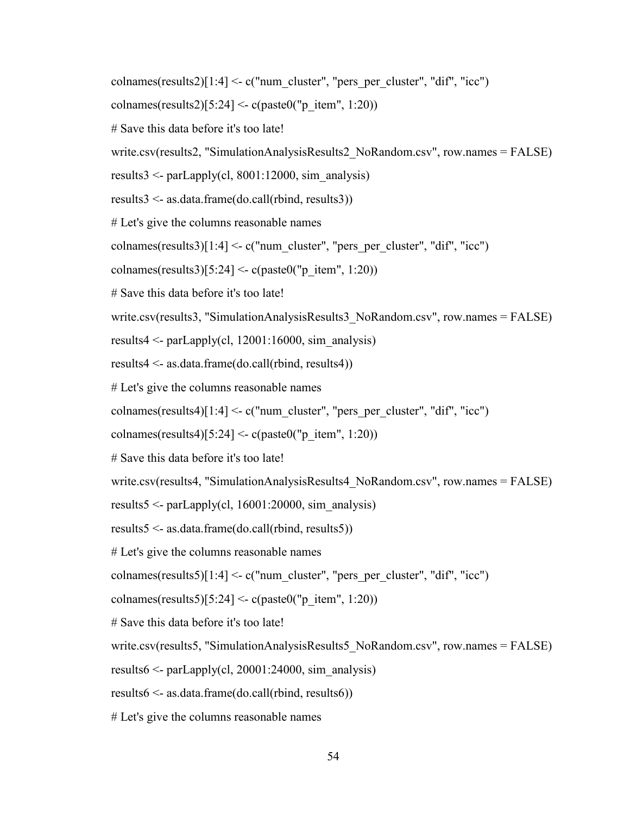- colnames(results2)[1:4]  $\leq$  c("num\_cluster", "pers\_per\_cluster", "dif", "icc")
- colnames(results2)[5:24] <- c(paste0("p\_item", 1:20))
- # Save this data before it's too late!
- write.csv(results2, "SimulationAnalysisResults2\_NoRandom.csv", row.names = FALSE)
- results $3 \le$  parLapply(cl, 8001:12000, sim analysis)
- results3 <- as.data.frame(do.call(rbind, results3))
- # Let's give the columns reasonable names
- colnames(results3)[1:4]  $\leq$  c("num\_cluster", "pers\_per\_cluster", "dif", "icc")
- colnames(results3)[5:24] <- c(paste0("p\_item", 1:20))
- # Save this data before it's too late!
- write.csv(results3, "SimulationAnalysisResults3\_NoRandom.csv", row.names = FALSE)
- results4  $\leq$  parLapply(cl, 12001:16000, sim analysis)
- results4 <- as.data.frame(do.call(rbind, results4))
- # Let's give the columns reasonable names
- colnames(results4)[1:4]  $\leq$  c("num\_cluster", "pers\_per\_cluster", "dif", "icc")
- colnames(results4)[5:24] <- c(paste0("p\_item", 1:20))
- # Save this data before it's too late!
- write.csv(results4, "SimulationAnalysisResults4\_NoRandom.csv", row.names = FALSE)
- results5 <- parLapply(cl,  $16001:20000$ , sim analysis)
- results5 <- as.data.frame(do.call(rbind, results5))
- # Let's give the columns reasonable names
- colnames(results5)[1:4]  $\leq$  c("num\_cluster", "pers\_per\_cluster", "dif", "icc")
- colnames(results5)[5:24] <- c(paste0("p\_item", 1:20))
- # Save this data before it's too late!
- write.csv(results5, "SimulationAnalysisResults5\_NoRandom.csv", row.names = FALSE)
- results $6 \le$  parLapply(cl, 20001:24000, sim analysis)
- results6 <- as.data.frame(do.call(rbind, results6))
- # Let's give the columns reasonable names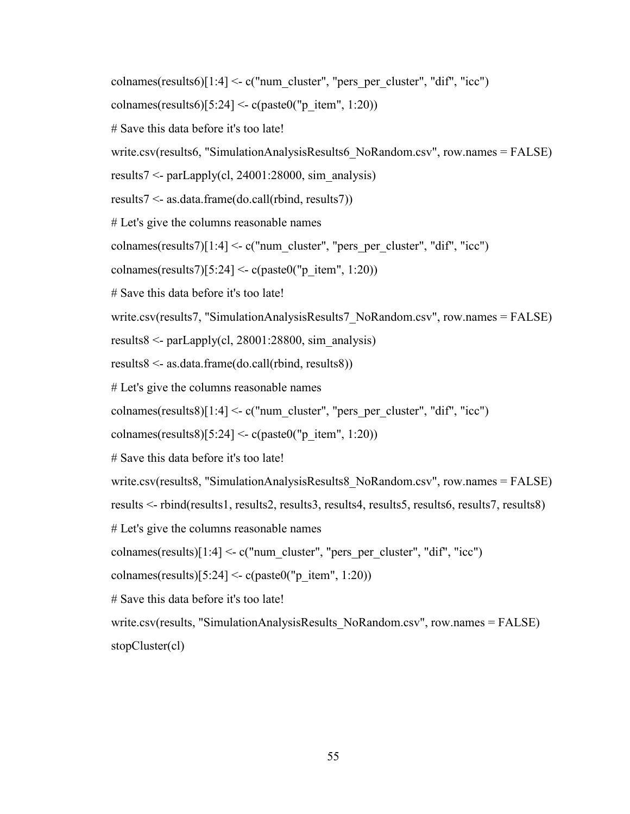colnames(results6)[1:4]  $\leq$  c("num\_cluster", "pers\_per\_cluster", "dif", "icc")

```
colnames(results6)[5:24] <- c(paste0("p_item", 1:20))
```
- # Save this data before it's too late!
- write.csv(results6, "SimulationAnalysisResults6\_NoRandom.csv", row.names = FALSE)
- results7 <- parLapply(cl, 24001:28000, sim\_analysis)
- results7 <- as.data.frame(do.call(rbind, results7))
- # Let's give the columns reasonable names
- colnames(results7)[1:4]  $\leq$  c("num\_cluster", "pers\_per\_cluster", "dif", "icc")
- colnames(results7)[5:24] <- c(paste0("p\_item", 1:20))
- # Save this data before it's too late!
- write.csv(results7, "SimulationAnalysisResults7\_NoRandom.csv", row.names = FALSE)
- results8  $\leq$  parLapply(cl, 28001:28800, sim analysis)
- results8 <- as.data.frame(do.call(rbind, results8))
- # Let's give the columns reasonable names
- colnames(results8)[1:4]  $\leq$  c("num\_cluster", "pers\_per\_cluster", "dif", "icc")
- colnames(results8)[5:24] <- c(paste0("p\_item", 1:20))
- # Save this data before it's too late!
- write.csv(results8, "SimulationAnalysisResults8\_NoRandom.csv", row.names = FALSE)
- results <- rbind(results1, results2, results3, results4, results5, results6, results7, results8)
- # Let's give the columns reasonable names
- colnames(results) $[1:4] < c$  ("num\_cluster", "pers\_per\_cluster", "dif", "icc")
- colnames(results)[5:24] <- c(paste0("p\_item", 1:20))
- # Save this data before it's too late!
- write.csv(results, "SimulationAnalysisResults\_NoRandom.csv", row.names = FALSE) stopCluster(cl)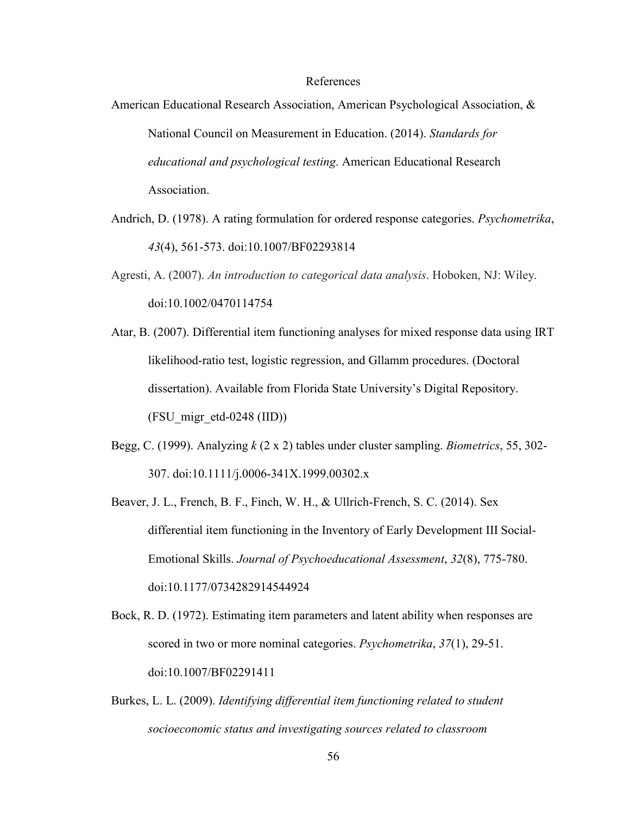## References

- American Educational Research Association, American Psychological Association, & National Council on Measurement in Education. (2014). *Standards for educational and psychological testing*. American Educational Research Association.
- Andrich, D. (1978). A rating formulation for ordered response categories. *Psychometrika*, *43*(4), 561-573. [doi:10.1007/BF02293814](https://doi.org/10.1007/BF02293814)
- Agresti, A. (2007). *An introduction to categorical data analysis*. Hoboken, NJ: Wiley. [doi:10.1002/0470114754](https://doi.org/10.1002/0470114754)
- Atar, B. (2007). Differential item functioning analyses for mixed response data using IRT likelihood-ratio test, logistic regression, and Gllamm procedures. (Doctoral dissertation). Available from Florida State University's Digital Repository.  $(FSU\text{ migr-}etd-0248 (IID))$
- Begg, C. (1999). Analyzing *k* (2 x 2) tables under cluster sampling. *Biometrics*, 55, 302- 307. [doi:10.1111/j.0006-341X.1999.00302.x](https://doi.org/10.1111/j.0006-341X.1999.00302.x)
- Beaver, J. L., French, B. F., Finch, W. H., & Ullrich-French, S. C. (2014). Sex differential item functioning in the Inventory of Early Development III Social-Emotional Skills. *Journal of Psychoeducational Assessment*, *32*(8), 775-780. [doi:10.1177/0734282914544924](https://doi.org/10.1177/0734282914544924)
- Bock, R. D. (1972). Estimating item parameters and latent ability when responses are scored in two or more nominal categories. *Psychometrika*, *37*(1), 29-51. [doi:10.1007/BF02291411](https://doi.org/10.1007/BF02291411)
- Burkes, L. L. (2009). *Identifying differential item functioning related to student socioeconomic status and investigating sources related to classroom*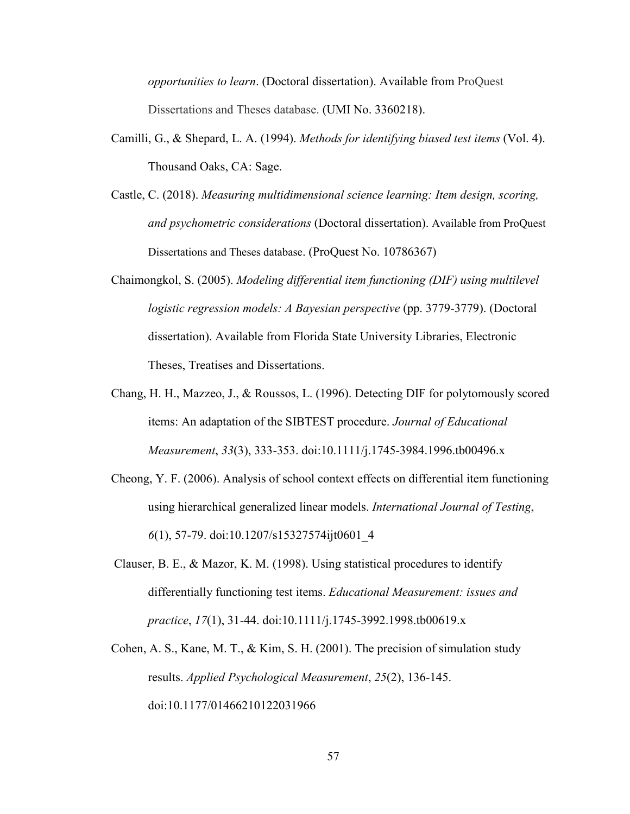*opportunities to learn*. (Doctoral dissertation). Available from ProQuest Dissertations and Theses database. (UMI No. 3360218).

- Camilli, G., & Shepard, L. A. (1994). *Methods for identifying biased test items* (Vol. 4). Thousand Oaks, CA: Sage.
- Castle, C. (2018). *Measuring multidimensional science learning: Item design, scoring, and psychometric considerations* (Doctoral dissertation). Available from ProQuest Dissertations and Theses database. (ProQuest No. 10786367)
- Chaimongkol, S. (2005). *Modeling differential item functioning (DIF) using multilevel logistic regression models: A Bayesian perspective* (pp. 3779-3779). (Doctoral dissertation). Available from Florida State University Libraries, Electronic Theses, Treatises and Dissertations.
- Chang, H. H., Mazzeo, J., & Roussos, L. (1996). Detecting DIF for polytomously scored items: An adaptation of the SIBTEST procedure. *Journal of Educational Measurement*, *33*(3), 333-353. [doi:10.1111/j.1745-3984.1996.tb00496.x](https://doi.org/10.1111/j.1745-3984.1996.tb00496.x)
- Cheong, Y. F. (2006). Analysis of school context effects on differential item functioning using hierarchical generalized linear models. *International Journal of Testing*, *6*(1), 57-79. [doi:10.1207/s15327574ijt0601\\_4](https://doi.org/10.1207/s15327574ijt0601_4)
- Clauser, B. E., & Mazor, K. M. (1998). Using statistical procedures to identify differentially functioning test items. *Educational Measurement: issues and practice*, *17*(1), 31-44. [doi:10.1111/j.1745-3992.1998.tb00619.x](https://doi.org/10.1111/j.1745-3992.1998.tb00619.x)
- Cohen, A. S., Kane, M. T., & Kim, S. H. (2001). The precision of simulation study results. *Applied Psychological Measurement*, *25*(2), 136-145. [doi:10.1177/01466210122031966](https://doi-org.ezproxy.uky.edu/10.1177%2F01466210122031966)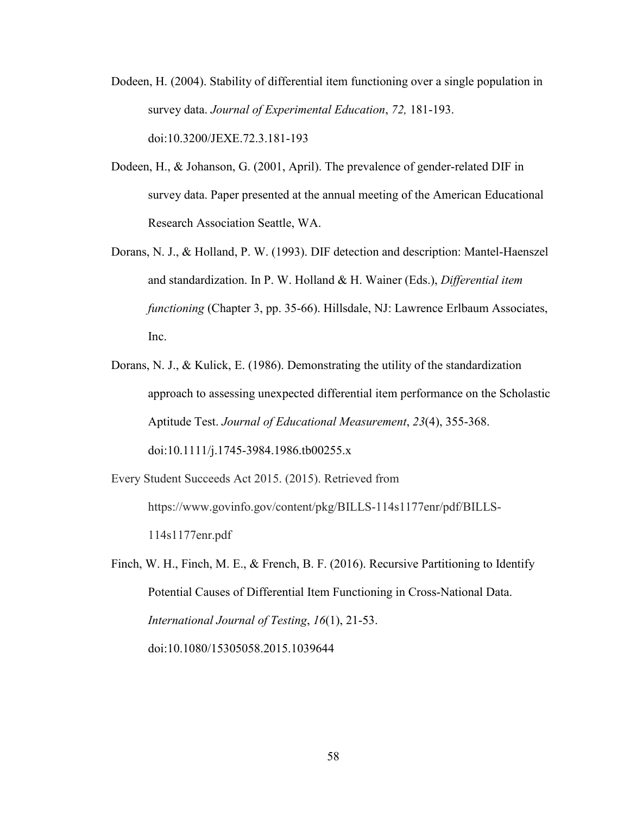- Dodeen, H. (2004). Stability of differential item functioning over a single population in survey data. *Journal of Experimental Education*, *72,* 181-193. [doi:10.3200/JEXE.72.3.181-193](https://doi.org/10.3200/JEXE.72.3.181-193)
- Dodeen, H., & Johanson, G. (2001, April). The prevalence of gender-related DIF in survey data. Paper presented at the annual meeting of the American Educational Research Association Seattle, WA.
- Dorans, N. J., & Holland, P. W. (1993). DIF detection and description: Mantel-Haenszel and standardization. In P. W. Holland & H. Wainer (Eds.), *Differential item functioning* (Chapter 3, pp. 35-66). Hillsdale, NJ: Lawrence Erlbaum Associates, Inc.
- Dorans, N. J., & Kulick, E. (1986). Demonstrating the utility of the standardization approach to assessing unexpected differential item performance on the Scholastic Aptitude Test. *Journal of Educational Measurement*, *23*(4), 355-368. [doi:10.1111/j.1745-3984.1986.tb00255.x](https://doi.org/10.1111/j.1745-3984.1986.tb00255.x)
- Every Student Succeeds Act 2015. (2015). Retrieved from https://www.govinfo.gov/content/pkg/BILLS-114s1177enr/pdf/BILLS-114s1177enr.pdf
- Finch, W. H., Finch, M. E., & French, B. F. (2016). Recursive Partitioning to Identify Potential Causes of Differential Item Functioning in Cross-National Data. *International Journal of Testing*, *16*(1), 21-53. [doi:10.1080/15305058.2015.1039644](https://doi.org/10.1080/15305058.2015.1039644)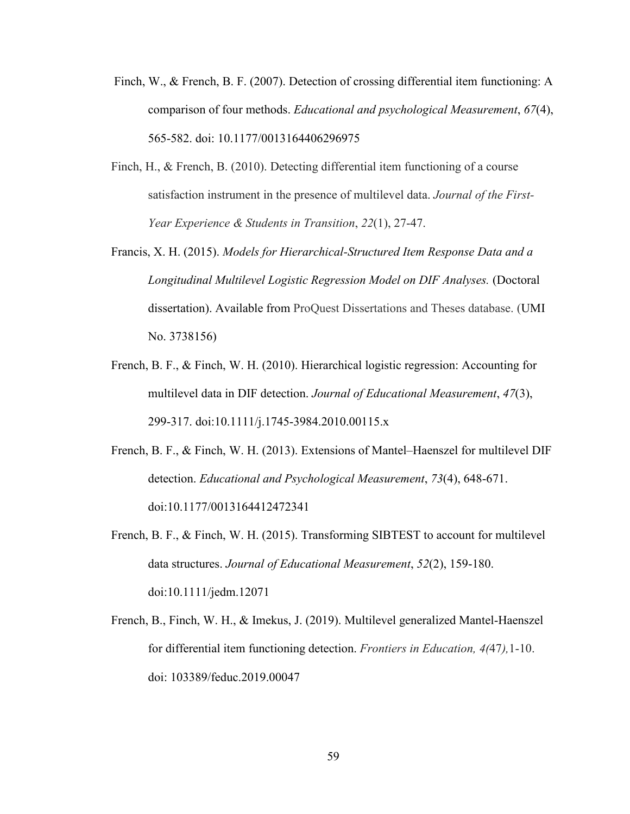- Finch, W., & French, B. F. (2007). Detection of crossing differential item functioning: A comparison of four methods. *Educational and psychological Measurement*, *67*(4), 565-582. doi: 10.1177/0013164406296975
- Finch, H., & French, B. (2010). Detecting differential item functioning of a course satisfaction instrument in the presence of multilevel data. *Journal of the First-Year Experience & Students in Transition*, *22*(1), 27-47.
- Francis, X. H. (2015). *Models for Hierarchical-Structured Item Response Data and a Longitudinal Multilevel Logistic Regression Model on DIF Analyses.* (Doctoral dissertation). Available from ProQuest Dissertations and Theses database. (UMI No. 3738156)
- French, B. F., & Finch, W. H. (2010). Hierarchical logistic regression: Accounting for multilevel data in DIF detection. *Journal of Educational Measurement*, *47*(3), 299-317. [doi:10.1111/j.1745-3984.2010.00115.x](https://doi.org/10.1111/j.1745-3984.2010.00115.x)
- French, B. F., & Finch, W. H. (2013). Extensions of Mantel–Haenszel for multilevel DIF detection. *Educational and Psychological Measurement*, *73*(4), 648-671. [doi:10.1177/0013164412472341](https://doi.org/10.1177/0013164412472341)
- French, B. F., & Finch, W. H. (2015). Transforming SIBTEST to account for multilevel data structures. *Journal of Educational Measurement*, *52*(2), 159-180. [doi:10.1111/jedm.12071](https://doi.org/10.1111/jedm.12071)
- French, B., Finch, W. H., & Imekus, J. (2019). Multilevel generalized Mantel-Haenszel for differential item functioning detection. *Frontiers in Education, 4(*47*),*1-10. [doi: 103389/feduc.2019.00047](https://doi.org/10.3389/feduc.2019.00047)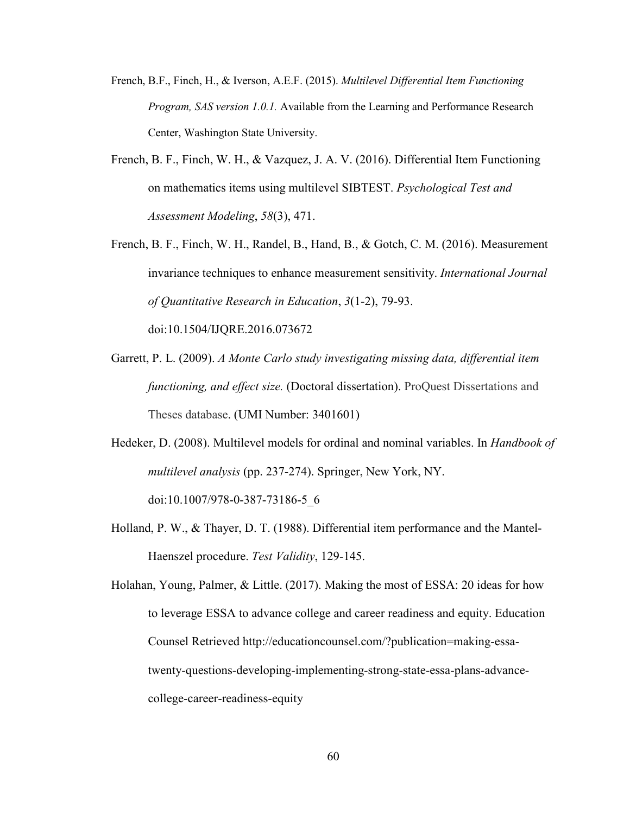- French, B.F., Finch, H., & Iverson, A.E.F. (2015). *Multilevel Differential Item Functioning Program, SAS version 1.0.1.* Available from the Learning and Performance Research Center, Washington State University.
- French, B. F., Finch, W. H., & Vazquez, J. A. V. (2016). Differential Item Functioning on mathematics items using multilevel SIBTEST. *Psychological Test and Assessment Modeling*, *58*(3), 471.
- French, B. F., Finch, W. H., Randel, B., Hand, B., & Gotch, C. M. (2016). Measurement invariance techniques to enhance measurement sensitivity. *International Journal of Quantitative Research in Education*, *3*(1-2), 79-93. [doi:10.1504/IJQRE.2016.073672](https://doi.org/10.1504/IJQRE.2016.073672)
- Garrett, P. L. (2009). *A Monte Carlo study investigating missing data, differential item functioning, and effect size.* (Doctoral dissertation). ProQuest Dissertations and Theses database. (UMI Number: 3401601)
- Hedeker, D. (2008). Multilevel models for ordinal and nominal variables. In *Handbook of multilevel analysis* (pp. 237-274). Springer, New York, NY. [doi:10.1007/978-0-387-73186-5\\_6](https://doi.org/10.1007/978-0-387-73186-5_6)
- Holland, P. W., & Thayer, D. T. (1988). Differential item performance and the Mantel-Haenszel procedure. *Test Validity*, 129-145.
- Holahan, Young, Palmer, & Little. (2017). Making the most of ESSA: 20 ideas for how to leverage ESSA to advance college and career readiness and equity. Education Counsel Retrieved [http://educationcounsel.com/?publication=making-essa](http://educationcounsel.com/?publication=making-essa-twenty-questions-developing-implementing-strong-state-essa-plans-advance-college-career-readiness-equity)[twenty-questions-developing-implementing-strong-state-essa-plans-advance](http://educationcounsel.com/?publication=making-essa-twenty-questions-developing-implementing-strong-state-essa-plans-advance-college-career-readiness-equity)[college-career-readiness-equity](http://educationcounsel.com/?publication=making-essa-twenty-questions-developing-implementing-strong-state-essa-plans-advance-college-career-readiness-equity)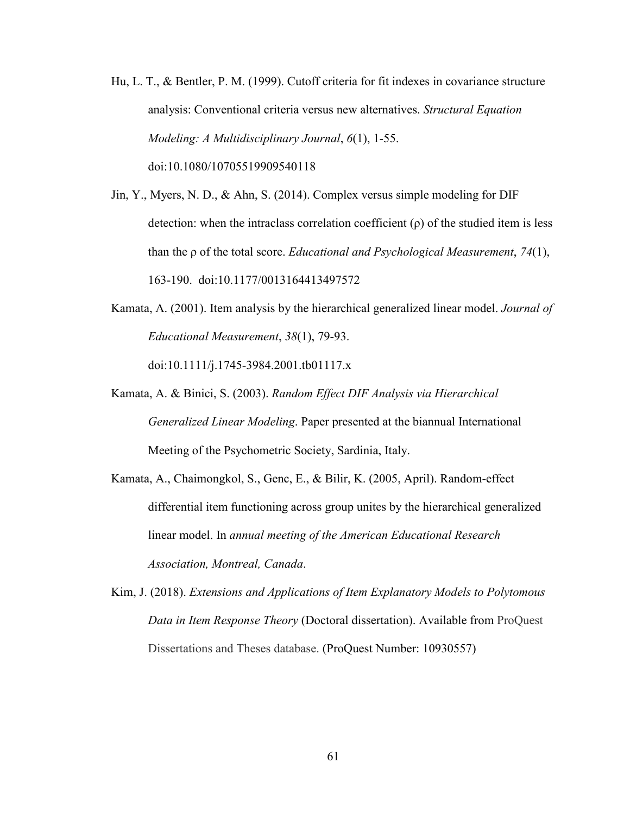- Hu, L. T., & Bentler, P. M. (1999). Cutoff criteria for fit indexes in covariance structure analysis: Conventional criteria versus new alternatives. *Structural Equation Modeling: A Multidisciplinary Journal*, *6*(1), 1-55. [doi:10.1080/10705519909540118](https://doi.org/10.1080/10705519909540118)
- Jin, Y., Myers, N. D., & Ahn, S. (2014). Complex versus simple modeling for DIF detection: when the intraclass correlation coefficient  $(\rho)$  of the studied item is less than the ρ of the total score. *Educational and Psychological Measurement*, *74*(1), 163-190. [doi:10.1177/0013164413497572](https://doi.org/10.1177/0013164413497572)
- Kamata, A. (2001). Item analysis by the hierarchical generalized linear model. *Journal of Educational Measurement*, *38*(1), 79-93. [doi:10.1111/j.1745-3984.2001.tb01117.x](https://doi.org/10.1111/j.1745-3984.2001.tb01117.x)
- Kamata, A. & Binici, S. (2003). *Random Effect DIF Analysis via Hierarchical Generalized Linear Modeling*. Paper presented at the biannual International Meeting of the Psychometric Society, Sardinia, Italy.
- Kamata, A., Chaimongkol, S., Genc, E., & Bilir, K. (2005, April). Random-effect differential item functioning across group unites by the hierarchical generalized linear model. In *annual meeting of the American Educational Research Association, Montreal, Canada*.
- Kim, J. (2018). *Extensions and Applications of Item Explanatory Models to Polytomous Data in Item Response Theory* (Doctoral dissertation). Available from ProQuest Dissertations and Theses database. (ProQuest Number: 10930557)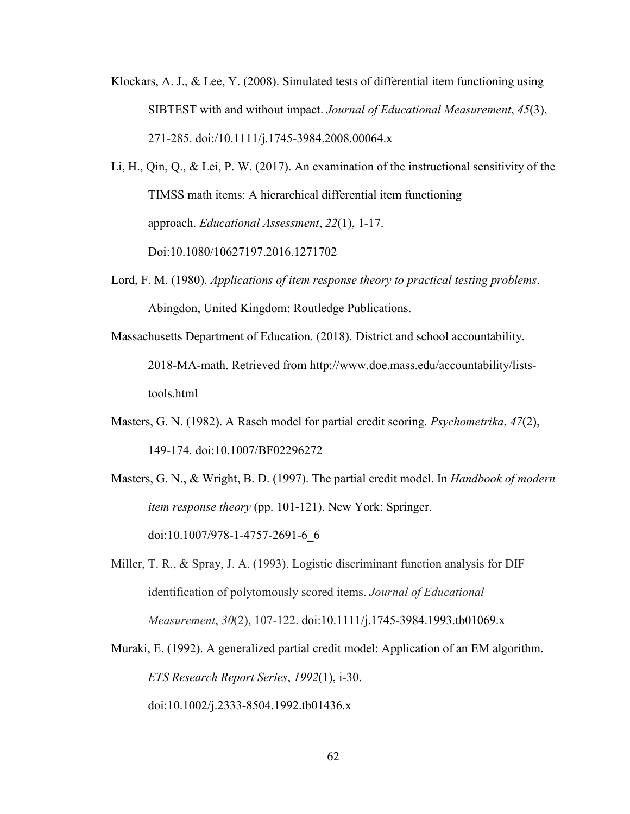- Klockars, A. J., & Lee, Y. (2008). Simulated tests of differential item functioning using SIBTEST with and without impact. *Journal of Educational Measurement*, *45*(3), 271-285. [doi:/10.1111/j.1745-3984.2008.00064.x](https://doi.org/10.1111/j.1745-3984.2008.00064.x)
- Li, H., Qin, Q., & Lei, P. W. (2017). An examination of the instructional sensitivity of the TIMSS math items: A hierarchical differential item functioning approach. *Educational Assessment*, *22*(1), 1-17. Doi:10.1080/10627197.2016.1271702
- Lord, F. M. (1980). *Applications of item response theory to practical testing problems*. [Abingdon, United Kingdom:](https://www.google.com/search?q=Abingdon+United+Kingdom&stick=H4sIAAAAAAAAAOPgE-LUz9U3ME4xzStWAjMNTZJTTLQ0Msqt9JPzc3JSk0sy8_P084vSE_MyqxJBnGKr9MSiosxioHBGIQDfDBq9QgAAAA&sa=X&ved=0ahUKEwjCgtrA3IrZAhWBl-AKHVM7BmcQmxMIrQEoATAT) Routledge Publications.
- Massachusetts Department of Education. (2018). District and school accountability. 2018-MA-math. Retrieved from [http://www.doe.mass.edu/accountability/lists](http://www.doe.mass.edu/accountability/lists-tools.html)[tools.html](http://www.doe.mass.edu/accountability/lists-tools.html)
- Masters, G. N. (1982). A Rasch model for partial credit scoring. *Psychometrika*, *47*(2), 149-174. [doi:10.1007/BF02296272](https://doi.org/10.1007/BF02296272)
- Masters, G. N., & Wright, B. D. (1997). The partial credit model. In *Handbook of modern item response theory* (pp. 101-121). New York: Springer. [doi:10.1007/978-1-4757-2691-6\\_6](https://doi.org/10.1007/978-1-4757-2691-6_6)
- Miller, T. R., & Spray, J. A. (1993). Logistic discriminant function analysis for DIF identification of polytomously scored items. *Journal of Educational Measurement*, *30*(2), 107-122. [doi:10.1111/j.1745-3984.1993.tb01069.x](https://doi.org/10.1111/j.1745-3984.1993.tb01069.x)
- Muraki, E. (1992). A generalized partial credit model: Application of an EM algorithm. *ETS Research Report Series*, *1992*(1), i-30. [doi:10.1002/j.2333-8504.1992.tb01436.x](https://doi.org/10.1002/j.2333-8504.1992.tb01436.x)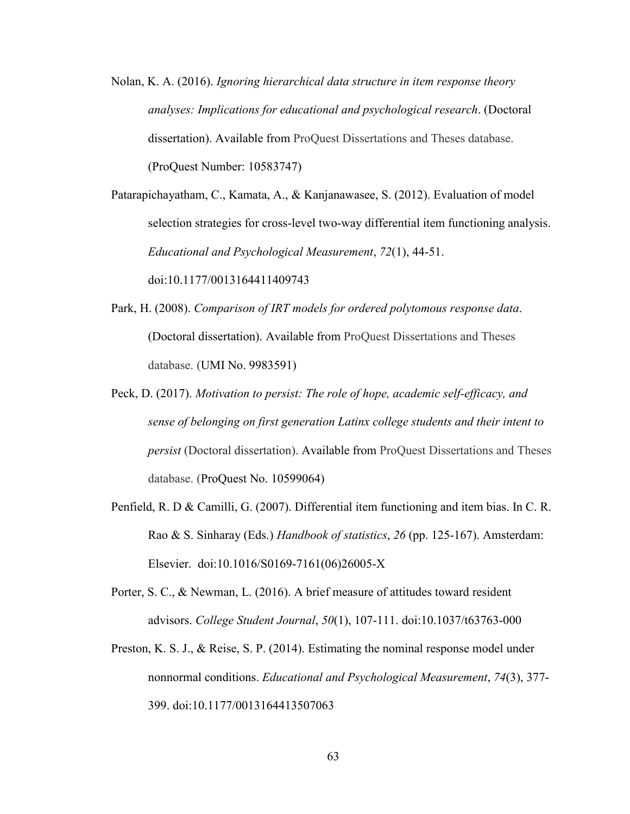Nolan, K. A. (2016). *Ignoring hierarchical data structure in item response theory analyses: Implications for educational and psychological research*. (Doctoral dissertation). Available from ProQuest Dissertations and Theses database. (ProQuest Number: 10583747)

Patarapichayatham, C., Kamata, A., & Kanjanawasee, S. (2012). Evaluation of model selection strategies for cross-level two-way differential item functioning analysis. *Educational and Psychological Measurement*, *72*(1), 44-51. [doi:10.1177/0013164411409743](https://doi.org/10.1177/0013164411409743)

- Park, H. (2008). *Comparison of IRT models for ordered polytomous response data*. (Doctoral dissertation). Available from ProQuest Dissertations and Theses database. (UMI No. 9983591)
- Peck, D. (2017). *Motivation to persist: The role of hope, academic self-efficacy, and sense of belonging on first generation Latinx college students and their intent to persist* (Doctoral dissertation). Available from ProQuest Dissertations and Theses database. (ProQuest No. 10599064)
- Penfield, R. D & Camilli, G. (2007). Differential item functioning and item bias. In C. R. Rao & S. Sinharay (Eds.) *Handbook of statistics*, *26* (pp. 125-167). Amsterdam: Elsevier. [doi:10.1016/S0169-7161\(06\)26005-X](https://doi.org/10.1016/S0169-7161(06)26005-X)
- Porter, S. C., & Newman, L. (2016). A brief measure of attitudes toward resident advisors. *College Student Journal*, *50*(1), 107-111. [doi:10.1037/t63763-000](https://doi.org/10.1037/t63763-000)
- Preston, K. S. J., & Reise, S. P. (2014). Estimating the nominal response model under nonnormal conditions. *Educational and Psychological Measurement*, *74*(3), 377- 399. doi:10.1177/0013164413507063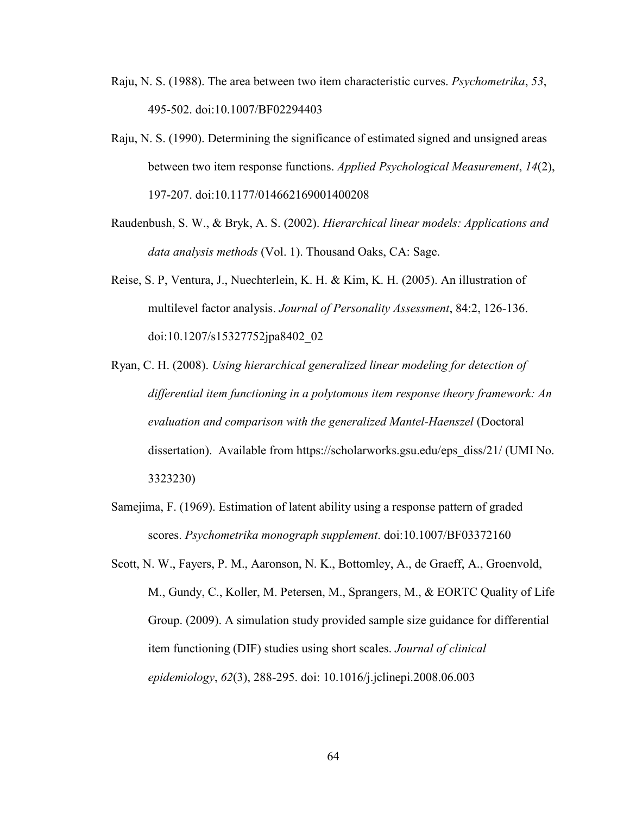- Raju, N. S. (1988). The area between two item characteristic curves. *Psychometrika*, *53*, 495-502. [doi:10.1007/BF02294403](https://doi.org/10.1007/BF02294403)
- Raju, N. S. (1990). Determining the significance of estimated signed and unsigned areas between two item response functions. *Applied Psychological Measurement*, *14*(2), 197-207. [doi:10.1177/014662169001400208](https://doi.org/10.1177/014662169001400208)
- Raudenbush, S. W., & Bryk, A. S. (2002). *Hierarchical linear models: Applications and data analysis methods* (Vol. 1). Thousand Oaks, CA: Sage.
- Reise, S. P, Ventura, J., Nuechterlein, K. H. & Kim, K. H. (2005). An illustration of multilevel factor analysis. *Journal of Personality Assessment*, 84:2, 126-136. doi:10.1207/s15327752jpa8402\_02
- Ryan, C. H. (2008). *Using hierarchical generalized linear modeling for detection of differential item functioning in a polytomous item response theory framework: An evaluation and comparison with the generalized Mantel-Haenszel* (Doctoral dissertation). Available from [https://scholarworks.gsu.edu/eps\\_diss/21/](https://scholarworks.gsu.edu/eps_diss/21/) (UMI No. 3323230)
- Samejima, F. (1969). Estimation of latent ability using a response pattern of graded scores. *Psychometrika monograph supplement*. [doi:10.1007/BF03372160](https://doi.org/10.1007/BF03372160)
- Scott, N. W., Fayers, P. M., Aaronson, N. K., Bottomley, A., de Graeff, A., Groenvold, M., Gundy, C., Koller, M. Petersen, M., Sprangers, M., & EORTC Quality of Life Group. (2009). A simulation study provided sample size guidance for differential item functioning (DIF) studies using short scales. *Journal of clinical epidemiology*, *62*(3), 288-295. doi: 10.1016/j.jclinepi.2008.06.003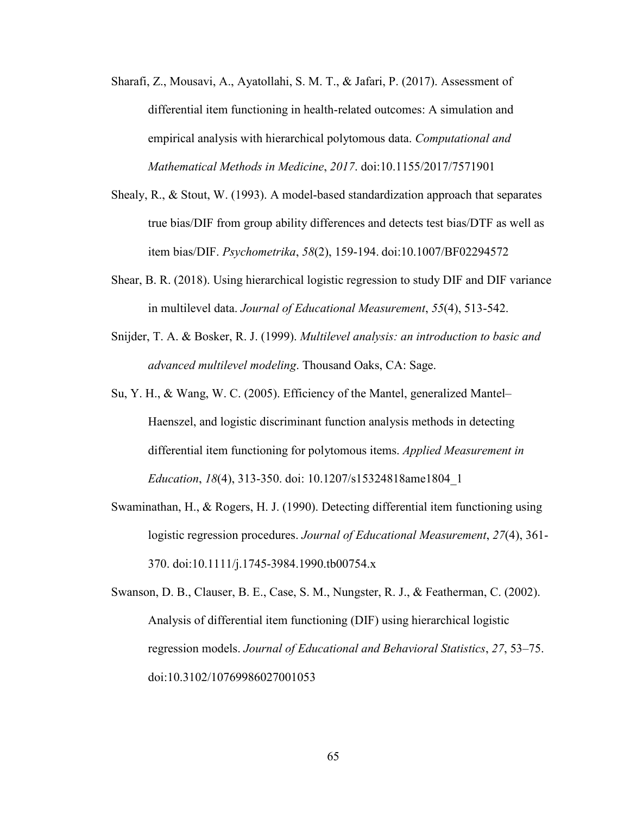- Sharafi, Z., Mousavi, A., Ayatollahi, S. M. T., & Jafari, P. (2017). Assessment of differential item functioning in health-related outcomes: A simulation and empirical analysis with hierarchical polytomous data. *Computational and Mathematical Methods in Medicine*, *2017*. [doi:10.1155/2017/7571901](https://doi.org/10.1155/2017/7571901)
- Shealy, R., & Stout, W. (1993). A model-based standardization approach that separates true bias/DIF from group ability differences and detects test bias/DTF as well as item bias/DIF. *Psychometrika*, *58*(2), 159-194. [doi:10.1007/BF02294572](https://doi.org/10.1007/BF02294572)
- Shear, B. R. (2018). Using hierarchical logistic regression to study DIF and DIF variance in multilevel data. *Journal of Educational Measurement*, *55*(4), 513-542.
- Snijder, T. A. & Bosker, R. J. (1999). *Multilevel analysis: an introduction to basic and advanced multilevel modeling*. Thousand Oaks, CA: Sage.
- Su, Y. H., & Wang, W. C. (2005). Efficiency of the Mantel, generalized Mantel– Haenszel, and logistic discriminant function analysis methods in detecting differential item functioning for polytomous items. *Applied Measurement in Education*, *18*(4), 313-350. doi: 10.1207/s15324818ame1804\_1
- Swaminathan, H., & Rogers, H. J. (1990). Detecting differential item functioning using logistic regression procedures. *Journal of Educational Measurement*, *27*(4), 361- 370. [doi:10.1111/j.1745-3984.1990.tb00754.x](https://doi.org/10.1111/j.1745-3984.1990.tb00754.x)
- Swanson, D. B., Clauser, B. E., Case, S. M., Nungster, R. J., & Featherman, C. (2002). Analysis of differential item functioning (DIF) using hierarchical logistic regression models. *Journal of Educational and Behavioral Statistics*, *27*, 53–75. [doi:10.3102/10769986027001053](https://doi.org/10.3102/10769986027001053)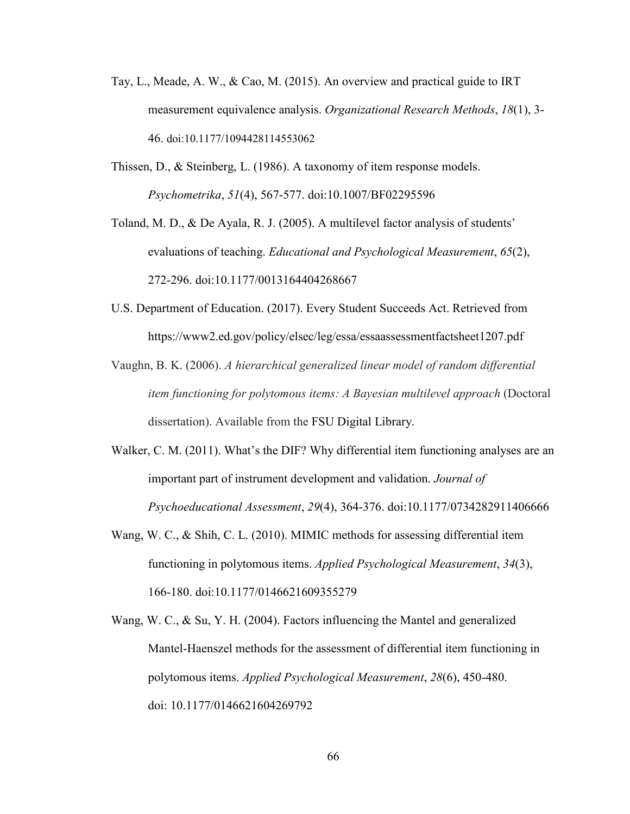- Tay, L., Meade, A. W., & Cao, M. (2015). An overview and practical guide to IRT measurement equivalence analysis. *Organizational Research Methods*, *18*(1), 3- 46. [doi:10.1177/1094428114553062](https://doi.org/10.1177/1094428114553062)
- Thissen, D., & Steinberg, L. (1986). A taxonomy of item response models. *Psychometrika*, *51*(4), 567-577. [doi:10.1007/BF02295596](https://doi.org/10.1007/BF02295596)
- Toland, M. D., & De Ayala, R. J. (2005). A multilevel factor analysis of students' evaluations of teaching. *Educational and Psychological Measurement*, *65*(2), 272-296. [doi:10.1177/0013164404268667](https://doi.org/10.1177/0013164404268667)
- U.S. Department of Education. (2017). Every Student Succeeds Act. Retrieved from https://www2.ed.gov/policy/elsec/leg/essa/essaassessmentfactsheet1207.pdf
- Vaughn, B. K. (2006). *A hierarchical generalized linear model of random differential item functioning for polytomous items: A Bayesian multilevel approach* (Doctoral dissertation). Available from the FSU Digital Library.
- Walker, C. M. (2011). What's the DIF? Why differential item functioning analyses are an important part of instrument development and validation. *Journal of Psychoeducational Assessment*, *29*(4), 364-376. [doi:10.1177/0734282911406666](https://doi.org/10.1177/0734282911406666)
- Wang, W. C., & Shih, C. L. (2010). MIMIC methods for assessing differential item functioning in polytomous items. *Applied Psychological Measurement*, *34*(3), 166-180. [doi:10.1177/0146621609355279](https://doi.org/10.1177/0146621609355279)
- Wang, W. C., & Su, Y. H. (2004). Factors influencing the Mantel and generalized Mantel-Haenszel methods for the assessment of differential item functioning in polytomous items. *Applied Psychological Measurement*, *28*(6), 450-480. doi: 10.1177/0146621604269792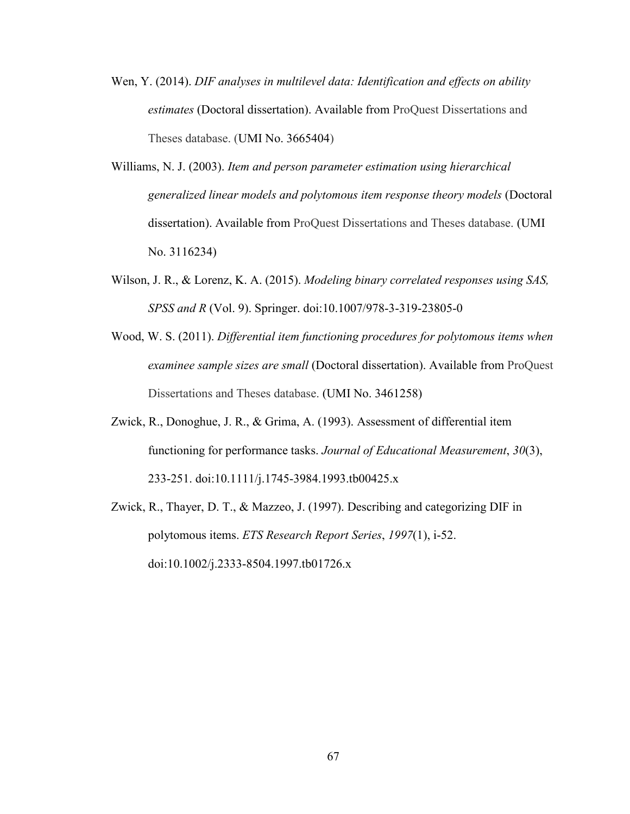- Wen, Y. (2014). *DIF analyses in multilevel data: Identification and effects on ability estimates* (Doctoral dissertation). Available from ProQuest Dissertations and Theses database. (UMI No. 3665404)
- Williams, N. J. (2003). *Item and person parameter estimation using hierarchical generalized linear models and polytomous item response theory models* (Doctoral dissertation). Available from ProQuest Dissertations and Theses database. (UMI No. 3116234)
- Wilson, J. R., & Lorenz, K. A. (2015). *Modeling binary correlated responses using SAS, SPSS and R* (Vol. 9). Springer. [doi:10.1007/978-3-319-23805-0](https://doi.org/10.1007/978-3-319-23805-0)
- Wood, W. S. (2011). *Differential item functioning procedures for polytomous items when examinee sample sizes are small* (Doctoral dissertation). Available from ProQuest Dissertations and Theses database. (UMI No. 3461258)
- Zwick, R., Donoghue, J. R., & Grima, A. (1993). Assessment of differential item functioning for performance tasks. *Journal of Educational Measurement*, *30*(3), 233-251. [doi:10.1111/j.1745-3984.1993.tb00425.x](https://doi.org/10.1111/j.1745-3984.1993.tb00425.x)
- Zwick, R., Thayer, D. T., & Mazzeo, J. (1997). Describing and categorizing DIF in polytomous items. *ETS Research Report Series*, *1997*(1), i-52. [doi:10.1002/j.2333-8504.1997.tb01726.x](https://doi.org/10.1002/j.2333-8504.1997.tb01726.x)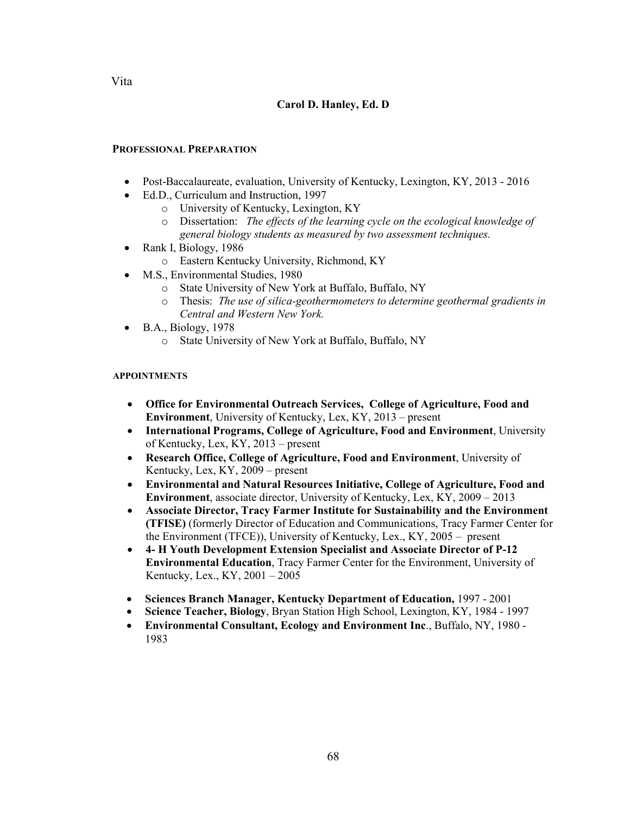## **Carol D. Hanley, Ed. D**

## **PROFESSIONAL PREPARATION**

- Post-Baccalaureate, evaluation, University of Kentucky, Lexington, KY, 2013 2016
- Ed.D., Curriculum and Instruction, 1997
	- o University of Kentucky, Lexington, KY
	- o Dissertation: *The effects of the learning cycle on the ecological knowledge of general biology students as measured by two assessment techniques.*
- Rank I, Biology, 1986
	- o Eastern Kentucky University, Richmond, KY
- M.S., Environmental Studies, 1980
	- o State University of New York at Buffalo, Buffalo, NY
	- o Thesis: *The use of silica-geothermometers to determine geothermal gradients in Central and Western New York.*
- B.A., Biology, 1978
	- o State University of New York at Buffalo, Buffalo, NY

## **APPOINTMENTS**

- **Office for Environmental Outreach Services, College of Agriculture, Food and Environment**, University of Kentucky, Lex, KY, 2013 – present
- **International Programs, College of Agriculture, Food and Environment**, University of Kentucky, Lex, KY, 2013 – present
- **Research Office, College of Agriculture, Food and Environment**, University of Kentucky, Lex, KY, 2009 – present
- **Environmental and Natural Resources Initiative, College of Agriculture, Food and Environment**, associate director, University of Kentucky, Lex, KY, 2009 – 2013
- **Associate Director, Tracy Farmer Institute for Sustainability and the Environment (TFISE)** (formerly Director of Education and Communications, Tracy Farmer Center for the Environment (TFCE)), University of Kentucky, Lex., KY, 2005 – present
- **4- H Youth Development Extension Specialist and Associate Director of P-12 Environmental Education**, Tracy Farmer Center for the Environment, University of Kentucky, Lex., KY, 2001 – 2005
- **Sciences Branch Manager, Kentucky Department of Education,** 1997 2001
- **Science Teacher, Biology**, Bryan Station High School, Lexington, KY, 1984 1997
- **Environmental Consultant, Ecology and Environment Inc**., Buffalo, NY, 1980 1983

Vita